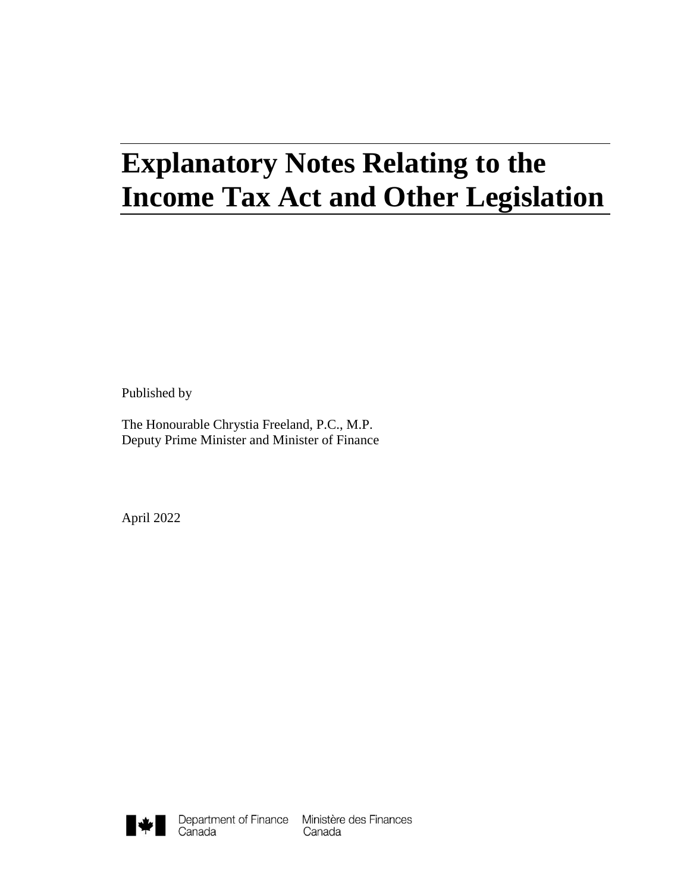# **Explanatory Notes Relating to the Income Tax Act and Other Legislation**

Published by

The Honourable Chrystia Freeland, P.C., M.P. Deputy Prime Minister and Minister of Finance

April 2022

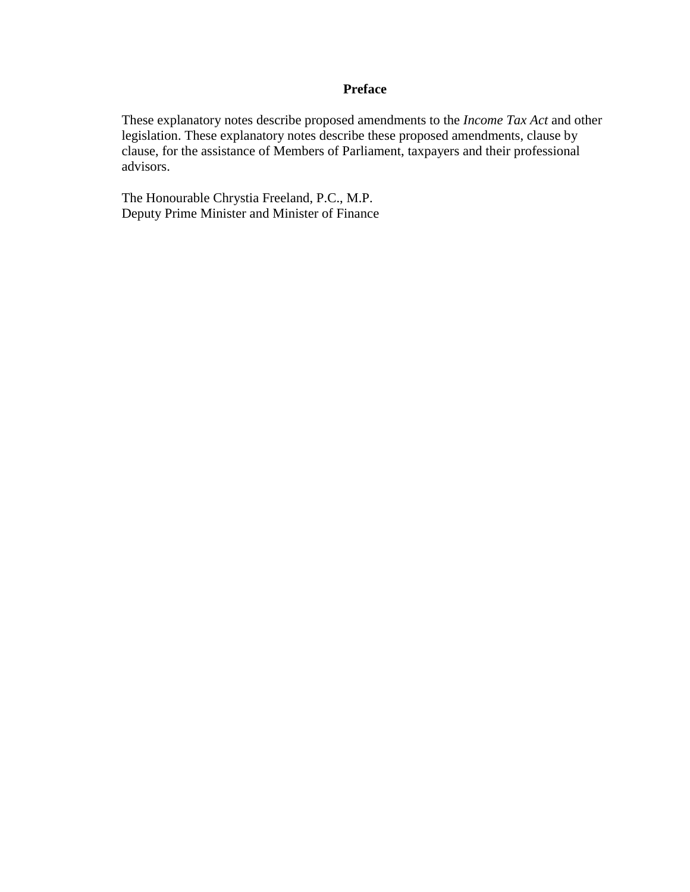#### **Preface**

These explanatory notes describe proposed amendments to the *Income Tax Act* and other legislation. These explanatory notes describe these proposed amendments, clause by clause, for the assistance of Members of Parliament, taxpayers and their professional advisors.

The Honourable Chrystia Freeland, P.C., M.P. Deputy Prime Minister and Minister of Finance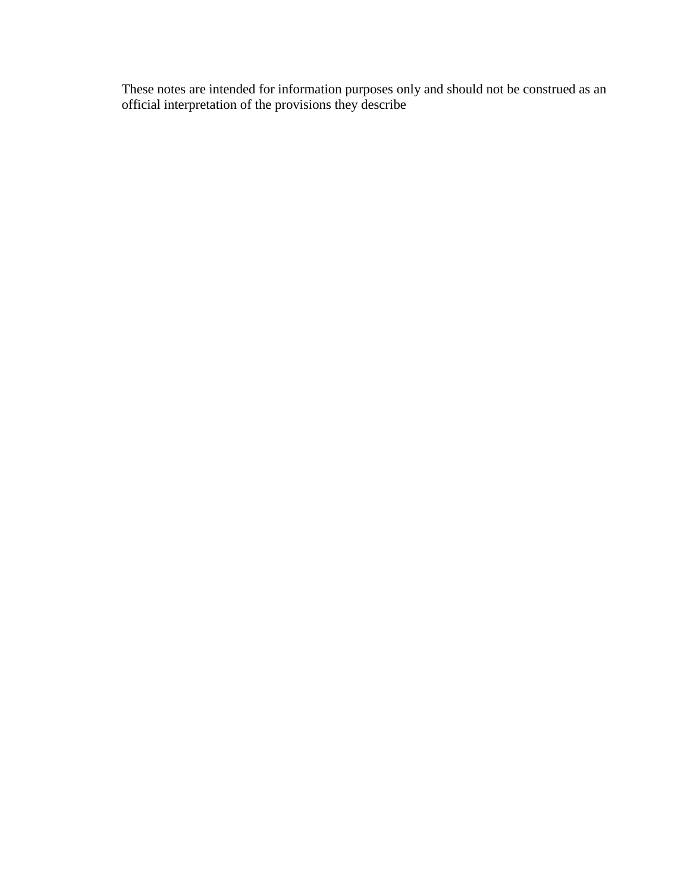These notes are intended for information purposes only and should not be construed as an official interpretation of the provisions they describe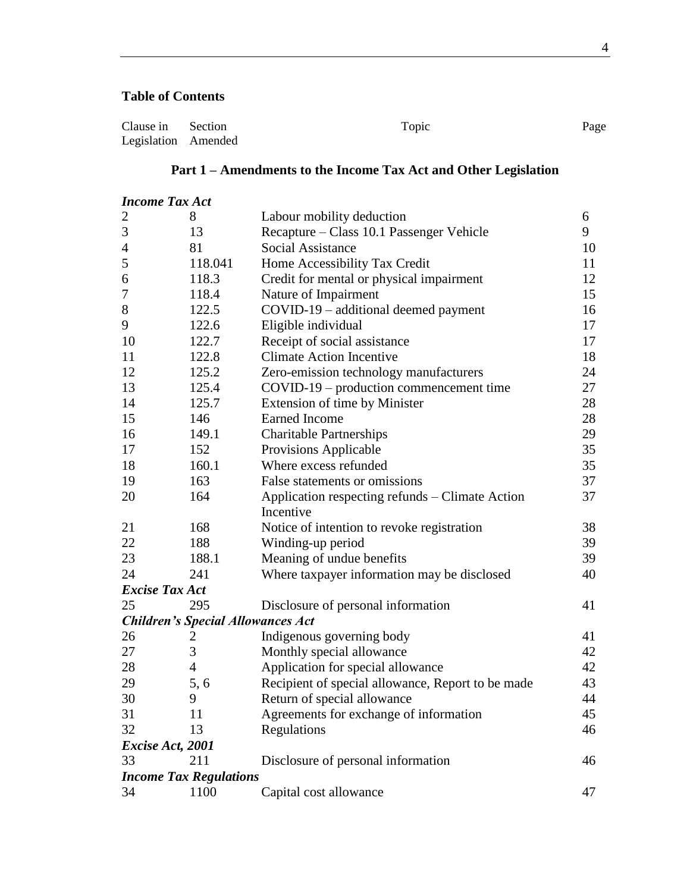## **Table of Contents**

| Clause in Section   | Topic | Page |
|---------------------|-------|------|
| Legislation Amended |       |      |

# **Part 1 – Amendments to the Income Tax Act and Other Legislation**

| <b>Income Tax Act</b>         |                                          |                                                   |    |  |  |
|-------------------------------|------------------------------------------|---------------------------------------------------|----|--|--|
| $\overline{2}$                | 8                                        | Labour mobility deduction                         | 6  |  |  |
| $\mathfrak{Z}$                | 13                                       | Recapture – Class 10.1 Passenger Vehicle          | 9  |  |  |
| $\overline{4}$                | 81                                       | <b>Social Assistance</b>                          | 10 |  |  |
| 5                             | 118.041                                  | Home Accessibility Tax Credit                     | 11 |  |  |
| 6                             | 118.3                                    | Credit for mental or physical impairment          | 12 |  |  |
| 7                             | 118.4                                    | Nature of Impairment                              | 15 |  |  |
| $8\,$                         | 122.5                                    | COVID-19 – additional deemed payment              | 16 |  |  |
| 9                             | 122.6                                    | Eligible individual                               | 17 |  |  |
| 10                            | 122.7                                    | Receipt of social assistance                      | 17 |  |  |
| 11                            | 122.8                                    | <b>Climate Action Incentive</b>                   | 18 |  |  |
| 12                            | 125.2                                    | Zero-emission technology manufacturers            | 24 |  |  |
| 13                            | 125.4                                    | $COVID-19$ – production commencement time         | 27 |  |  |
| 14                            | 125.7                                    | Extension of time by Minister                     | 28 |  |  |
| 15                            | 146                                      | <b>Earned Income</b>                              | 28 |  |  |
| 16                            | 149.1                                    | <b>Charitable Partnerships</b>                    | 29 |  |  |
| 17                            | 152                                      | Provisions Applicable                             | 35 |  |  |
| 18                            | 160.1                                    | Where excess refunded                             | 35 |  |  |
| 19                            | 163                                      | False statements or omissions                     | 37 |  |  |
| 20                            | 164                                      | Application respecting refunds – Climate Action   | 37 |  |  |
|                               |                                          | Incentive                                         |    |  |  |
| 21                            | 168                                      | Notice of intention to revoke registration        | 38 |  |  |
| 22                            | 188                                      | Winding-up period                                 | 39 |  |  |
| 23                            | 188.1                                    | Meaning of undue benefits                         | 39 |  |  |
| 24                            | 241                                      | Where taxpayer information may be disclosed       | 40 |  |  |
| <b>Excise Tax Act</b>         |                                          |                                                   |    |  |  |
| 25                            | 295                                      | Disclosure of personal information                | 41 |  |  |
|                               | <b>Children's Special Allowances Act</b> |                                                   |    |  |  |
| 26                            | 2                                        | Indigenous governing body                         | 41 |  |  |
| 27                            | 3                                        | Monthly special allowance                         | 42 |  |  |
| 28                            | 4                                        | Application for special allowance                 | 42 |  |  |
| 29                            | 5, 6                                     | Recipient of special allowance, Report to be made | 43 |  |  |
| 30                            | 9                                        | Return of special allowance                       | 44 |  |  |
| 31                            | 11                                       | Agreements for exchange of information            | 45 |  |  |
| 32                            | 13                                       | Regulations                                       | 46 |  |  |
| Excise Act, 2001              |                                          |                                                   |    |  |  |
| 33                            | 211                                      | Disclosure of personal information                | 46 |  |  |
| <b>Income Tax Regulations</b> |                                          |                                                   |    |  |  |
| 34                            | 1100                                     | Capital cost allowance                            | 47 |  |  |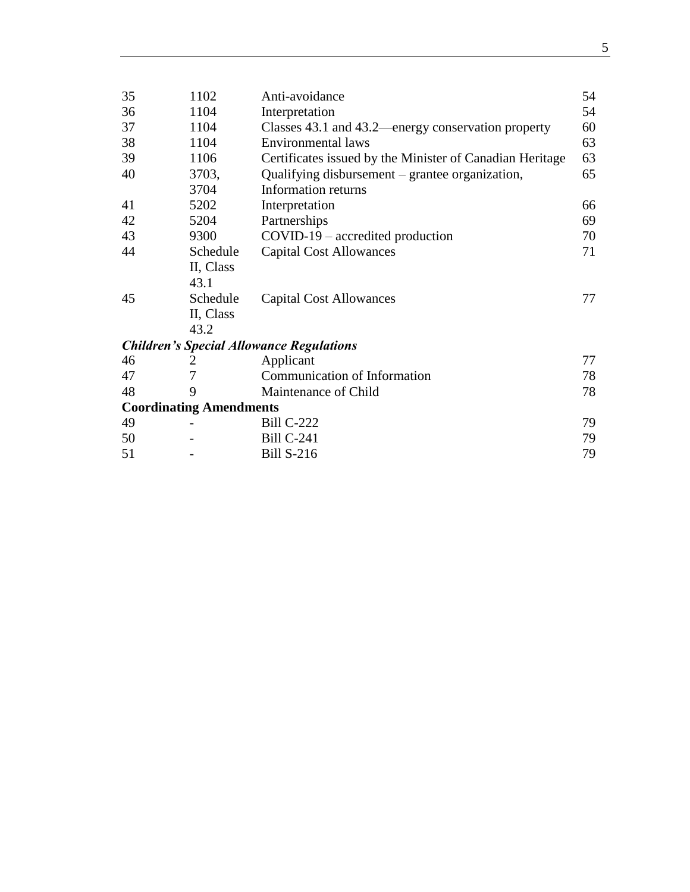| 35 | 1102                           | Anti-avoidance                                           | 54 |
|----|--------------------------------|----------------------------------------------------------|----|
| 36 | 1104                           | Interpretation                                           | 54 |
| 37 | 1104                           | Classes 43.1 and 43.2—energy conservation property       | 60 |
| 38 | 1104                           | <b>Environmental laws</b>                                | 63 |
| 39 | 1106                           | Certificates issued by the Minister of Canadian Heritage | 63 |
| 40 | 3703,                          | Qualifying disbursement – grantee organization,          | 65 |
|    | 3704                           | Information returns                                      |    |
| 41 | 5202                           | Interpretation                                           | 66 |
| 42 | 5204                           | Partnerships                                             | 69 |
| 43 | 9300                           | COVID-19 – accredited production                         | 70 |
| 44 | Schedule                       | <b>Capital Cost Allowances</b>                           | 71 |
|    | II, Class                      |                                                          |    |
|    | 43.1                           |                                                          |    |
| 45 | Schedule                       | <b>Capital Cost Allowances</b>                           | 77 |
|    | II, Class                      |                                                          |    |
|    | 43.2                           |                                                          |    |
|    |                                | <b>Children's Special Allowance Regulations</b>          |    |
| 46 | 2                              | Applicant                                                | 77 |
| 47 |                                | Communication of Information                             | 78 |
| 48 | 9                              | Maintenance of Child                                     | 78 |
|    | <b>Coordinating Amendments</b> |                                                          |    |
| 49 |                                | <b>Bill C-222</b>                                        | 79 |
| 50 |                                | <b>Bill C-241</b>                                        | 79 |
| 51 |                                | <b>Bill S-216</b>                                        | 79 |
|    |                                |                                                          |    |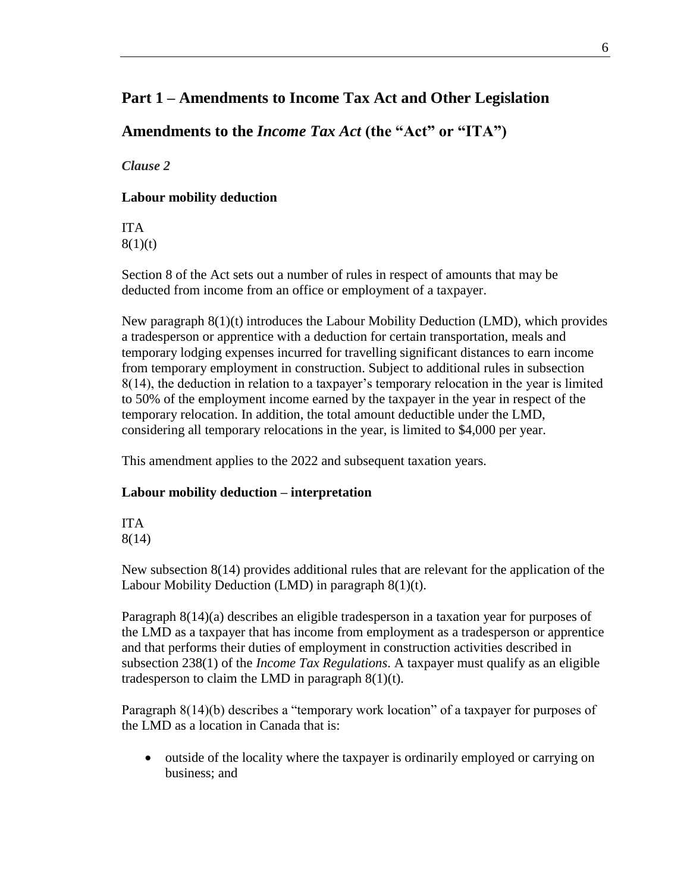# **Part 1 – Amendments to Income Tax Act and Other Legislation**

**Amendments to the** *Income Tax Act* **(the "Act" or "ITA")**

<span id="page-5-0"></span>*Clause 2*

## **Labour mobility deduction**

ITA  $8(1)(t)$ 

Section 8 of the Act sets out a number of rules in respect of amounts that may be deducted from income from an office or employment of a taxpayer.

New paragraph 8(1)(t) introduces the Labour Mobility Deduction (LMD), which provides a tradesperson or apprentice with a deduction for certain transportation, meals and temporary lodging expenses incurred for travelling significant distances to earn income from temporary employment in construction. Subject to additional rules in subsection 8(14), the deduction in relation to a taxpayer's temporary relocation in the year is limited to 50% of the employment income earned by the taxpayer in the year in respect of the temporary relocation. In addition, the total amount deductible under the LMD, considering all temporary relocations in the year, is limited to \$4,000 per year.

This amendment applies to the 2022 and subsequent taxation years.

## **Labour mobility deduction – interpretation**

ITA 8(14)

New subsection 8(14) provides additional rules that are relevant for the application of the Labour Mobility Deduction (LMD) in paragraph  $8(1)(t)$ .

Paragraph 8(14)(a) describes an eligible tradesperson in a taxation year for purposes of the LMD as a taxpayer that has income from employment as a tradesperson or apprentice and that performs their duties of employment in construction activities described in subsection 238(1) of the *Income Tax Regulations*. A taxpayer must qualify as an eligible tradesperson to claim the LMD in paragraph  $8(1)(t)$ .

Paragraph 8(14)(b) describes a "temporary work location" of a taxpayer for purposes of the LMD as a location in Canada that is:

• outside of the locality where the taxpayer is ordinarily employed or carrying on business; and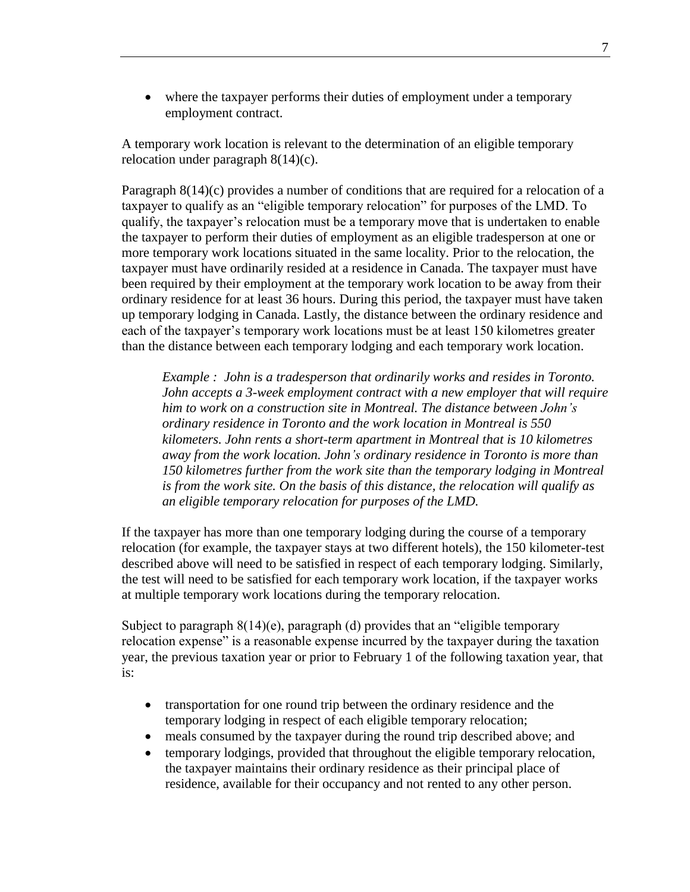where the taxpayer performs their duties of employment under a temporary employment contract.

A temporary work location is relevant to the determination of an eligible temporary relocation under paragraph 8(14)(c).

Paragraph 8(14)(c) provides a number of conditions that are required for a relocation of a taxpayer to qualify as an "eligible temporary relocation" for purposes of the LMD. To qualify, the taxpayer's relocation must be a temporary move that is undertaken to enable the taxpayer to perform their duties of employment as an eligible tradesperson at one or more temporary work locations situated in the same locality. Prior to the relocation, the taxpayer must have ordinarily resided at a residence in Canada. The taxpayer must have been required by their employment at the temporary work location to be away from their ordinary residence for at least 36 hours. During this period, the taxpayer must have taken up temporary lodging in Canada. Lastly, the distance between the ordinary residence and each of the taxpayer's temporary work locations must be at least 150 kilometres greater than the distance between each temporary lodging and each temporary work location.

*Example : John is a tradesperson that ordinarily works and resides in Toronto. John accepts a 3-week employment contract with a new employer that will require him to work on a construction site in Montreal. The distance between John's ordinary residence in Toronto and the work location in Montreal is 550 kilometers. John rents a short-term apartment in Montreal that is 10 kilometres away from the work location. John's ordinary residence in Toronto is more than 150 kilometres further from the work site than the temporary lodging in Montreal is from the work site. On the basis of this distance, the relocation will qualify as an eligible temporary relocation for purposes of the LMD.*

If the taxpayer has more than one temporary lodging during the course of a temporary relocation (for example, the taxpayer stays at two different hotels), the 150 kilometer-test described above will need to be satisfied in respect of each temporary lodging. Similarly, the test will need to be satisfied for each temporary work location, if the taxpayer works at multiple temporary work locations during the temporary relocation.

Subject to paragraph 8(14)(e), paragraph (d) provides that an "eligible temporary relocation expense" is a reasonable expense incurred by the taxpayer during the taxation year, the previous taxation year or prior to February 1 of the following taxation year, that is:

- transportation for one round trip between the ordinary residence and the temporary lodging in respect of each eligible temporary relocation;
- meals consumed by the taxpayer during the round trip described above; and
- temporary lodgings, provided that throughout the eligible temporary relocation, the taxpayer maintains their ordinary residence as their principal place of residence, available for their occupancy and not rented to any other person.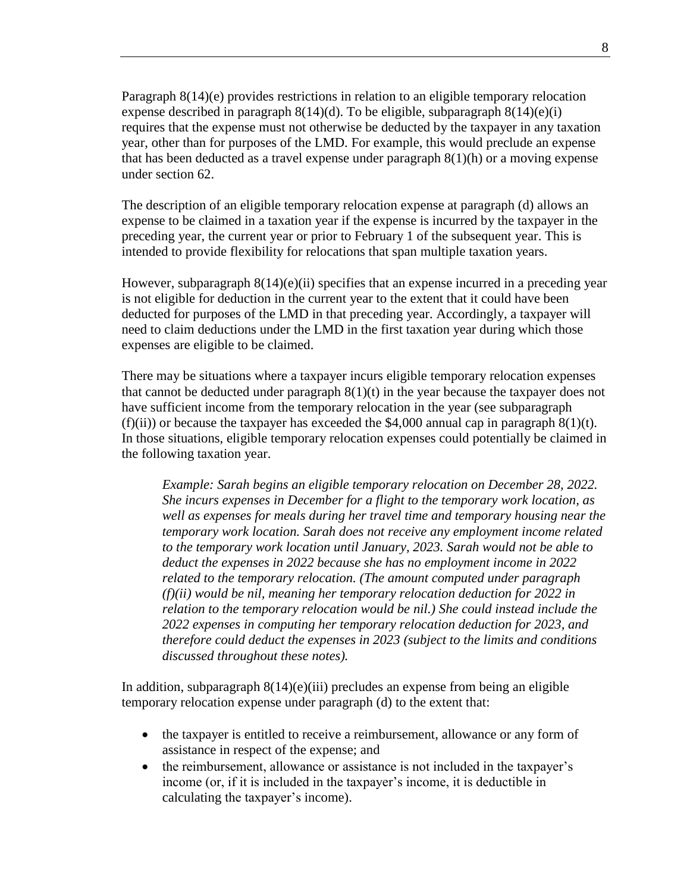Paragraph 8(14)(e) provides restrictions in relation to an eligible temporary relocation expense described in paragraph  $8(14)(d)$ . To be eligible, subparagraph  $8(14)(e)(i)$ requires that the expense must not otherwise be deducted by the taxpayer in any taxation year, other than for purposes of the LMD. For example, this would preclude an expense that has been deducted as a travel expense under paragraph  $8(1)(h)$  or a moving expense under section 62.

The description of an eligible temporary relocation expense at paragraph (d) allows an expense to be claimed in a taxation year if the expense is incurred by the taxpayer in the preceding year, the current year or prior to February 1 of the subsequent year. This is intended to provide flexibility for relocations that span multiple taxation years.

However, subparagraph  $8(14)(e)(ii)$  specifies that an expense incurred in a preceding year is not eligible for deduction in the current year to the extent that it could have been deducted for purposes of the LMD in that preceding year. Accordingly, a taxpayer will need to claim deductions under the LMD in the first taxation year during which those expenses are eligible to be claimed.

There may be situations where a taxpayer incurs eligible temporary relocation expenses that cannot be deducted under paragraph  $8(1)(t)$  in the year because the taxpayer does not have sufficient income from the temporary relocation in the year (see subparagraph (f)(ii)) or because the taxpayer has exceeded the \$4,000 annual cap in paragraph  $8(1)(t)$ . In those situations, eligible temporary relocation expenses could potentially be claimed in the following taxation year.

*Example: Sarah begins an eligible temporary relocation on December 28, 2022. She incurs expenses in December for a flight to the temporary work location, as well as expenses for meals during her travel time and temporary housing near the temporary work location. Sarah does not receive any employment income related to the temporary work location until January, 2023. Sarah would not be able to deduct the expenses in 2022 because she has no employment income in 2022 related to the temporary relocation. (The amount computed under paragraph (f)(ii) would be nil, meaning her temporary relocation deduction for 2022 in relation to the temporary relocation would be nil.) She could instead include the 2022 expenses in computing her temporary relocation deduction for 2023, and therefore could deduct the expenses in 2023 (subject to the limits and conditions discussed throughout these notes).* 

In addition, subparagraph  $8(14)(e)(iii)$  precludes an expense from being an eligible temporary relocation expense under paragraph (d) to the extent that:

- the taxpayer is entitled to receive a reimbursement, allowance or any form of assistance in respect of the expense; and
- the reimbursement, allowance or assistance is not included in the taxpayer's income (or, if it is included in the taxpayer's income, it is deductible in calculating the taxpayer's income).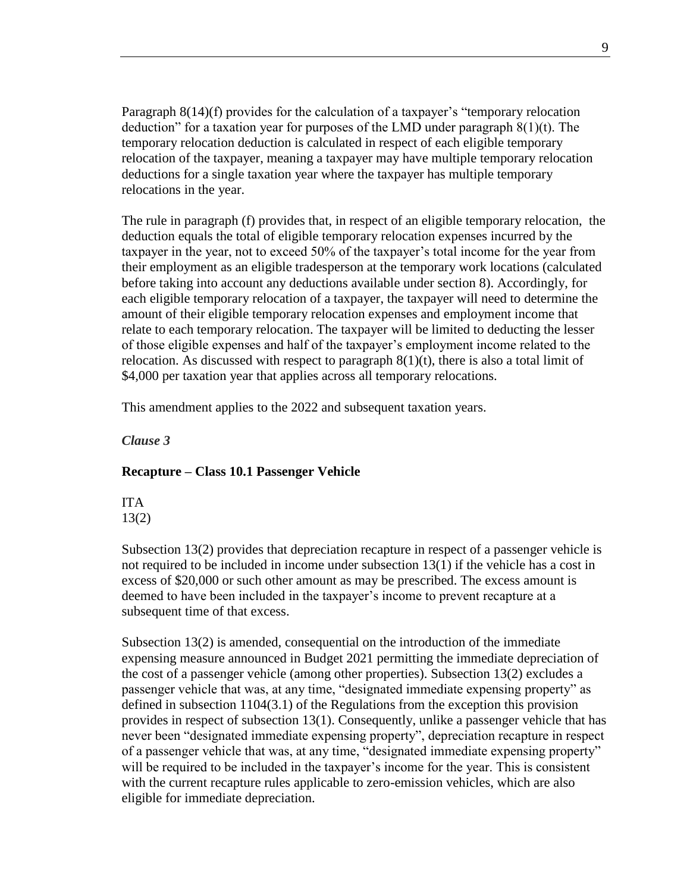Paragraph 8(14)(f) provides for the calculation of a taxpayer's "temporary relocation deduction" for a taxation year for purposes of the LMD under paragraph 8(1)(t). The temporary relocation deduction is calculated in respect of each eligible temporary relocation of the taxpayer, meaning a taxpayer may have multiple temporary relocation deductions for a single taxation year where the taxpayer has multiple temporary relocations in the year.

The rule in paragraph (f) provides that, in respect of an eligible temporary relocation, the deduction equals the total of eligible temporary relocation expenses incurred by the taxpayer in the year, not to exceed 50% of the taxpayer's total income for the year from their employment as an eligible tradesperson at the temporary work locations (calculated before taking into account any deductions available under section 8). Accordingly, for each eligible temporary relocation of a taxpayer, the taxpayer will need to determine the amount of their eligible temporary relocation expenses and employment income that relate to each temporary relocation. The taxpayer will be limited to deducting the lesser of those eligible expenses and half of the taxpayer's employment income related to the relocation. As discussed with respect to paragraph  $8(1)(t)$ , there is also a total limit of \$4,000 per taxation year that applies across all temporary relocations.

This amendment applies to the 2022 and subsequent taxation years.

<span id="page-8-0"></span>*Clause 3*

#### **Recapture – Class 10.1 Passenger Vehicle**

ITA 13(2)

Subsection 13(2) provides that depreciation recapture in respect of a passenger vehicle is not required to be included in income under subsection 13(1) if the vehicle has a cost in excess of \$20,000 or such other amount as may be prescribed. The excess amount is deemed to have been included in the taxpayer's income to prevent recapture at a subsequent time of that excess.

Subsection 13(2) is amended, consequential on the introduction of the immediate expensing measure announced in Budget 2021 permitting the immediate depreciation of the cost of a passenger vehicle (among other properties). Subsection 13(2) excludes a passenger vehicle that was, at any time, "designated immediate expensing property" as defined in subsection 1104(3.1) of the Regulations from the exception this provision provides in respect of subsection 13(1). Consequently, unlike a passenger vehicle that has never been "designated immediate expensing property", depreciation recapture in respect of a passenger vehicle that was, at any time, "designated immediate expensing property" will be required to be included in the taxpayer's income for the year. This is consistent with the current recapture rules applicable to zero-emission vehicles, which are also eligible for immediate depreciation.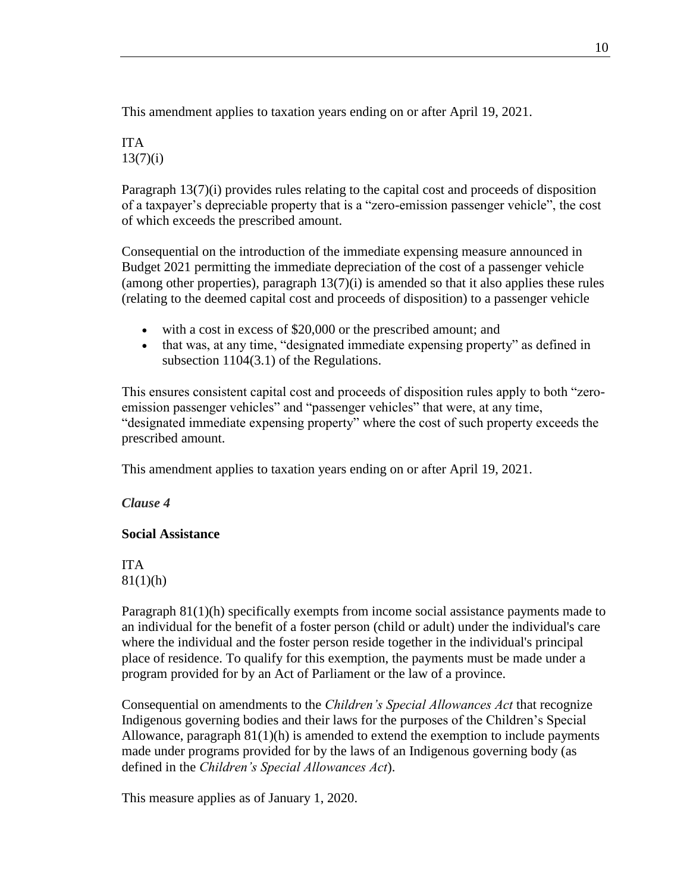This amendment applies to taxation years ending on or after April 19, 2021.

## ITA  $13(7)(i)$

Paragraph 13(7)(i) provides rules relating to the capital cost and proceeds of disposition of a taxpayer's depreciable property that is a "zero-emission passenger vehicle", the cost of which exceeds the prescribed amount.

Consequential on the introduction of the immediate expensing measure announced in Budget 2021 permitting the immediate depreciation of the cost of a passenger vehicle (among other properties), paragraph  $13(7)(i)$  is amended so that it also applies these rules (relating to the deemed capital cost and proceeds of disposition) to a passenger vehicle

- with a cost in excess of \$20,000 or the prescribed amount; and
- that was, at any time, "designated immediate expensing property" as defined in subsection 1104(3.1) of the Regulations.

This ensures consistent capital cost and proceeds of disposition rules apply to both "zeroemission passenger vehicles" and "passenger vehicles" that were, at any time, "designated immediate expensing property" where the cost of such property exceeds the prescribed amount.

This amendment applies to taxation years ending on or after April 19, 2021.

## <span id="page-9-0"></span>*Clause 4*

## **Social Assistance**

ITA  $81(1)(h)$ 

Paragraph 81(1)(h) specifically exempts from income social assistance payments made to an individual for the benefit of a foster person (child or adult) under the individual's care where the individual and the foster person reside together in the individual's principal place of residence. To qualify for this exemption, the payments must be made under a program provided for by an Act of Parliament or the law of a province.

Consequential on amendments to the *Children's Special Allowances Act* that recognize Indigenous governing bodies and their laws for the purposes of the Children's Special Allowance, paragraph  $81(1)(h)$  is amended to extend the exemption to include payments made under programs provided for by the laws of an Indigenous governing body (as defined in the *Children's Special Allowances Act*).

This measure applies as of January 1, 2020.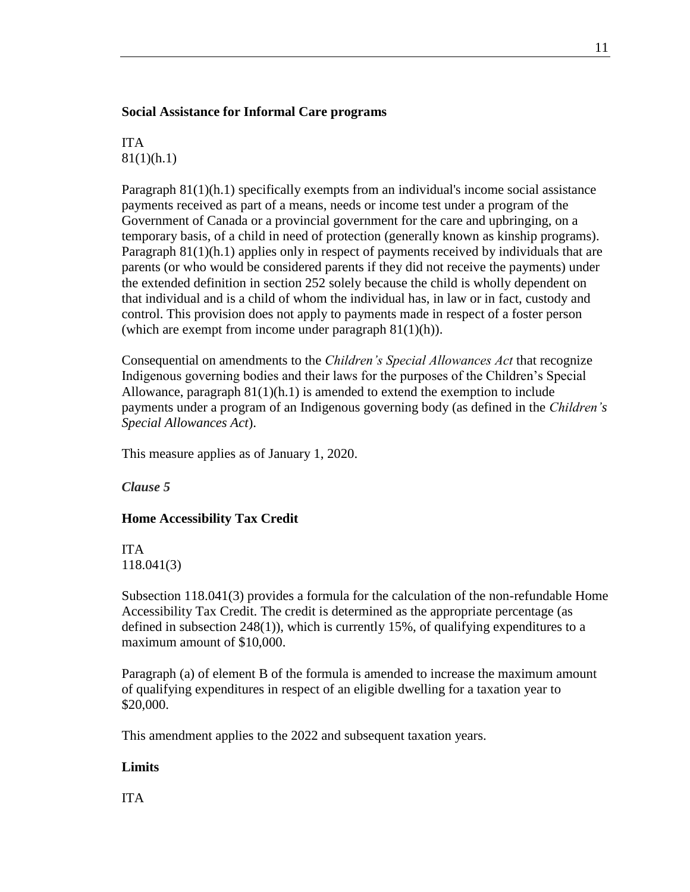#### **Social Assistance for Informal Care programs**

ITA 81(1)(h.1)

Paragraph 81(1)(h.1) specifically exempts from an individual's income social assistance payments received as part of a means, needs or income test under a program of the Government of Canada or a provincial government for the care and upbringing, on a temporary basis, of a child in need of protection (generally known as kinship programs). Paragraph 81(1)(h.1) applies only in respect of payments received by individuals that are parents (or who would be considered parents if they did not receive the payments) under the extended definition in section 252 solely because the child is wholly dependent on that individual and is a child of whom the individual has, in law or in fact, custody and control. This provision does not apply to payments made in respect of a foster person (which are exempt from income under paragraph  $81(1)(h)$ ).

Consequential on amendments to the *Children's Special Allowances Act* that recognize Indigenous governing bodies and their laws for the purposes of the Children's Special Allowance, paragraph  $81(1)(h.1)$  is amended to extend the exemption to include payments under a program of an Indigenous governing body (as defined in the *Children's Special Allowances Act*).

This measure applies as of January 1, 2020.

<span id="page-10-0"></span>*Clause 5*

## **Home Accessibility Tax Credit**

ITA 118.041(3)

Subsection 118.041(3) provides a formula for the calculation of the non-refundable Home Accessibility Tax Credit. The credit is determined as the appropriate percentage (as defined in subsection 248(1)), which is currently 15%, of qualifying expenditures to a maximum amount of \$10,000.

Paragraph (a) of element B of the formula is amended to increase the maximum amount of qualifying expenditures in respect of an eligible dwelling for a taxation year to \$20,000.

This amendment applies to the 2022 and subsequent taxation years.

#### **Limits**

ITA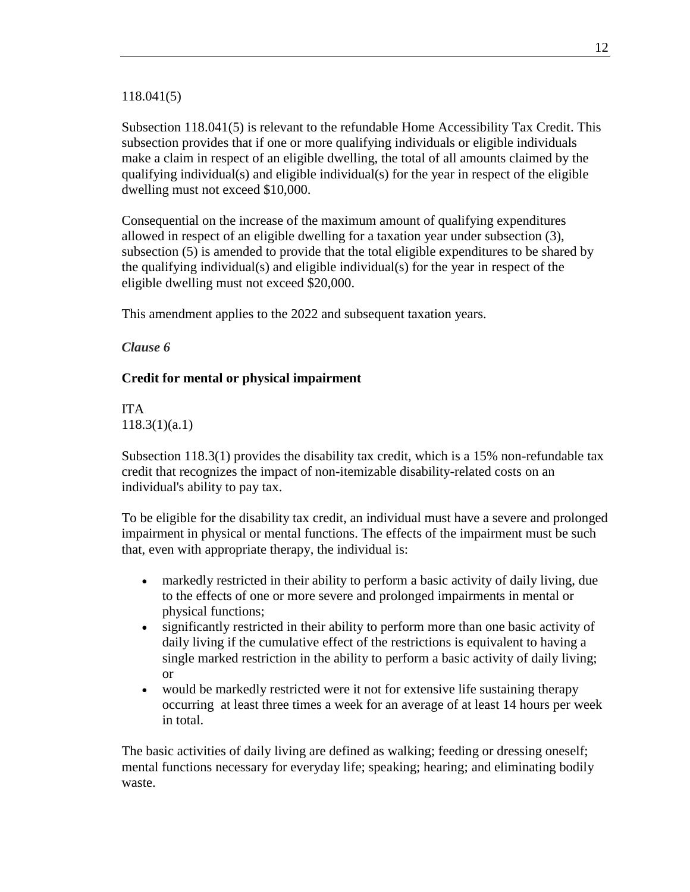#### 118.041(5)

Subsection 118.041(5) is relevant to the refundable Home Accessibility Tax Credit. This subsection provides that if one or more qualifying individuals or eligible individuals make a claim in respect of an eligible dwelling, the total of all amounts claimed by the qualifying individual(s) and eligible individual(s) for the year in respect of the eligible dwelling must not exceed \$10,000.

Consequential on the increase of the maximum amount of qualifying expenditures allowed in respect of an eligible dwelling for a taxation year under subsection (3), subsection (5) is amended to provide that the total eligible expenditures to be shared by the qualifying individual(s) and eligible individual(s) for the year in respect of the eligible dwelling must not exceed \$20,000.

This amendment applies to the 2022 and subsequent taxation years.

## <span id="page-11-0"></span>*Clause 6*

## **Credit for mental or physical impairment**

ITA 118.3(1)(a.1)

Subsection 118.3(1) provides the disability tax credit, which is a 15% non-refundable tax credit that recognizes the impact of non-itemizable disability-related costs on an individual's ability to pay tax.

To be eligible for the disability tax credit, an individual must have a severe and prolonged impairment in physical or mental functions. The effects of the impairment must be such that, even with appropriate therapy, the individual is:

- markedly restricted in their ability to perform a basic activity of daily living, due to the effects of one or more severe and prolonged impairments in mental or physical functions;
- significantly restricted in their ability to perform more than one basic activity of daily living if the cumulative effect of the restrictions is equivalent to having a single marked restriction in the ability to perform a basic activity of daily living; or
- would be markedly restricted were it not for extensive life sustaining therapy occurring at least three times a week for an average of at least 14 hours per week in total.

The basic activities of daily living are defined as walking; feeding or dressing oneself; mental functions necessary for everyday life; speaking; hearing; and eliminating bodily waste.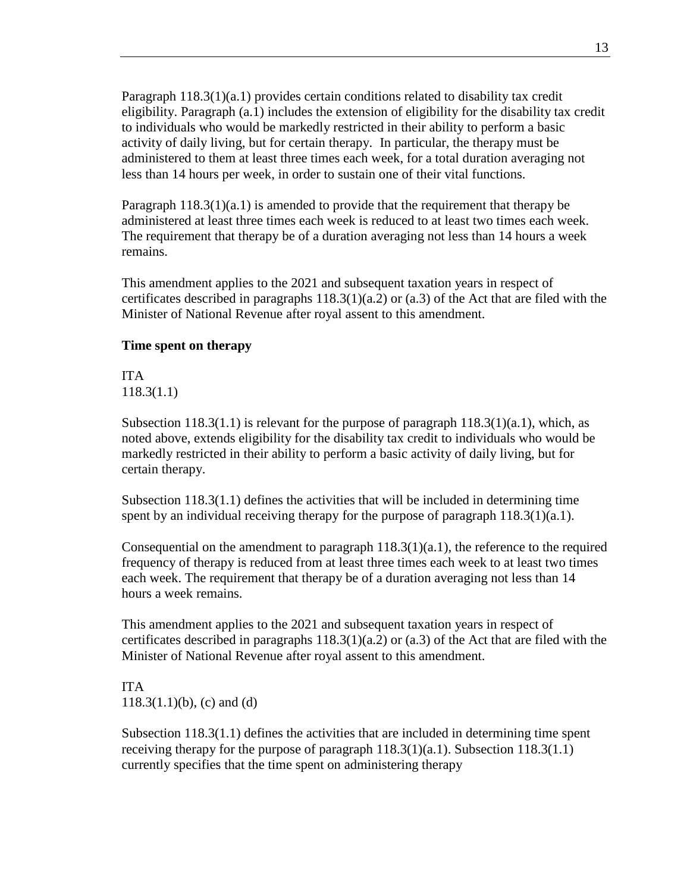Paragraph 118.3(1)(a.1) provides certain conditions related to disability tax credit eligibility. Paragraph (a.1) includes the extension of eligibility for the disability tax credit to individuals who would be markedly restricted in their ability to perform a basic activity of daily living, but for certain therapy. In particular, the therapy must be administered to them at least three times each week, for a total duration averaging not less than 14 hours per week, in order to sustain one of their vital functions.

Paragraph  $118.3(1)(a.1)$  is amended to provide that the requirement that therapy be administered at least three times each week is reduced to at least two times each week. The requirement that therapy be of a duration averaging not less than 14 hours a week remains.

This amendment applies to the 2021 and subsequent taxation years in respect of certificates described in paragraphs  $118.3(1)(a.2)$  or  $(a.3)$  of the Act that are filed with the Minister of National Revenue after royal assent to this amendment.

#### **Time spent on therapy**

ITA 118.3(1.1)

Subsection 118.3(1.1) is relevant for the purpose of paragraph  $118.3(1)(a.1)$ , which, as noted above, extends eligibility for the disability tax credit to individuals who would be markedly restricted in their ability to perform a basic activity of daily living, but for certain therapy.

Subsection 118.3(1.1) defines the activities that will be included in determining time spent by an individual receiving therapy for the purpose of paragraph 118.3(1)(a.1).

Consequential on the amendment to paragraph  $118.3(1)(a.1)$ , the reference to the required frequency of therapy is reduced from at least three times each week to at least two times each week. The requirement that therapy be of a duration averaging not less than 14 hours a week remains.

This amendment applies to the 2021 and subsequent taxation years in respect of certificates described in paragraphs  $118.3(1)(a.2)$  or  $(a.3)$  of the Act that are filed with the Minister of National Revenue after royal assent to this amendment.

ITA  $118.3(1.1)(b)$ , (c) and (d)

Subsection 118.3(1.1) defines the activities that are included in determining time spent receiving therapy for the purpose of paragraph  $118.3(1)(a.1)$ . Subsection  $118.3(1.1)$ currently specifies that the time spent on administering therapy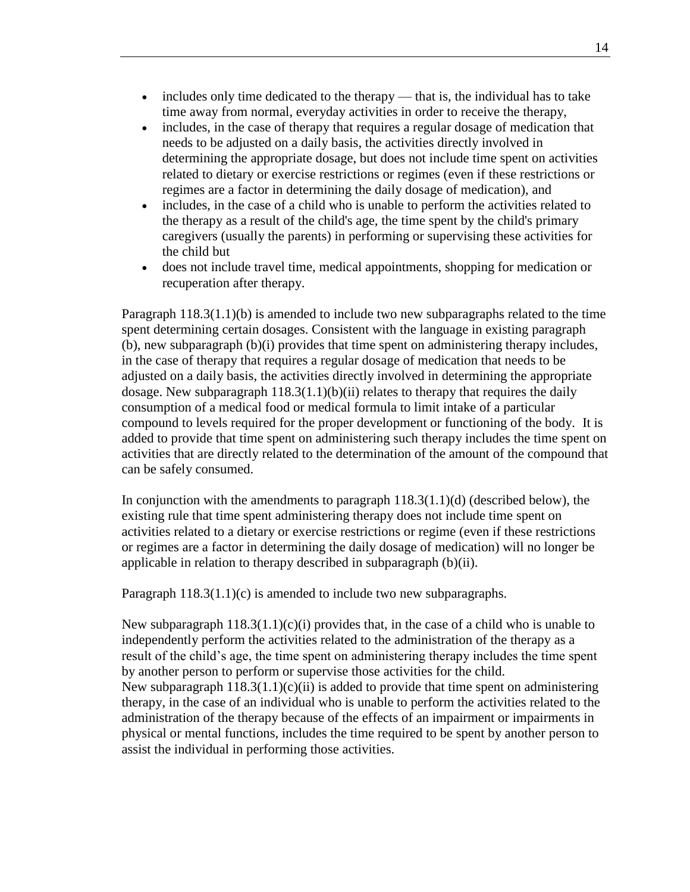- includes only time dedicated to the therapy that is, the individual has to take time away from normal, everyday activities in order to receive the therapy,
- includes, in the case of therapy that requires a regular dosage of medication that needs to be adjusted on a daily basis, the activities directly involved in determining the appropriate dosage, but does not include time spent on activities related to dietary or exercise restrictions or regimes (even if these restrictions or regimes are a factor in determining the daily dosage of medication), and
- includes, in the case of a child who is unable to perform the activities related to the therapy as a result of the child's age, the time spent by the child's primary caregivers (usually the parents) in performing or supervising these activities for the child but
- does not include travel time, medical appointments, shopping for medication or recuperation after therapy.

Paragraph 118.3(1.1)(b) is amended to include two new subparagraphs related to the time spent determining certain dosages. Consistent with the language in existing paragraph (b), new subparagraph (b)(i) provides that time spent on administering therapy includes, in the case of therapy that requires a regular dosage of medication that needs to be adjusted on a daily basis, the activities directly involved in determining the appropriate dosage. New subparagraph  $118.3(1.1)(b)(ii)$  relates to therapy that requires the daily consumption of a medical food or medical formula to limit intake of a particular compound to levels required for the proper development or functioning of the body. It is added to provide that time spent on administering such therapy includes the time spent on activities that are directly related to the determination of the amount of the compound that can be safely consumed.

In conjunction with the amendments to paragraph  $118.3(1.1)(d)$  (described below), the existing rule that time spent administering therapy does not include time spent on activities related to a dietary or exercise restrictions or regime (even if these restrictions or regimes are a factor in determining the daily dosage of medication) will no longer be applicable in relation to therapy described in subparagraph (b)(ii).

Paragraph 118.3(1.1)(c) is amended to include two new subparagraphs.

New subparagraph  $118.3(1.1)(c)(i)$  provides that, in the case of a child who is unable to independently perform the activities related to the administration of the therapy as a result of the child's age, the time spent on administering therapy includes the time spent by another person to perform or supervise those activities for the child. New subparagraph  $118.3(1.1)(c)(ii)$  is added to provide that time spent on administering therapy, in the case of an individual who is unable to perform the activities related to the administration of the therapy because of the effects of an impairment or impairments in physical or mental functions, includes the time required to be spent by another person to assist the individual in performing those activities.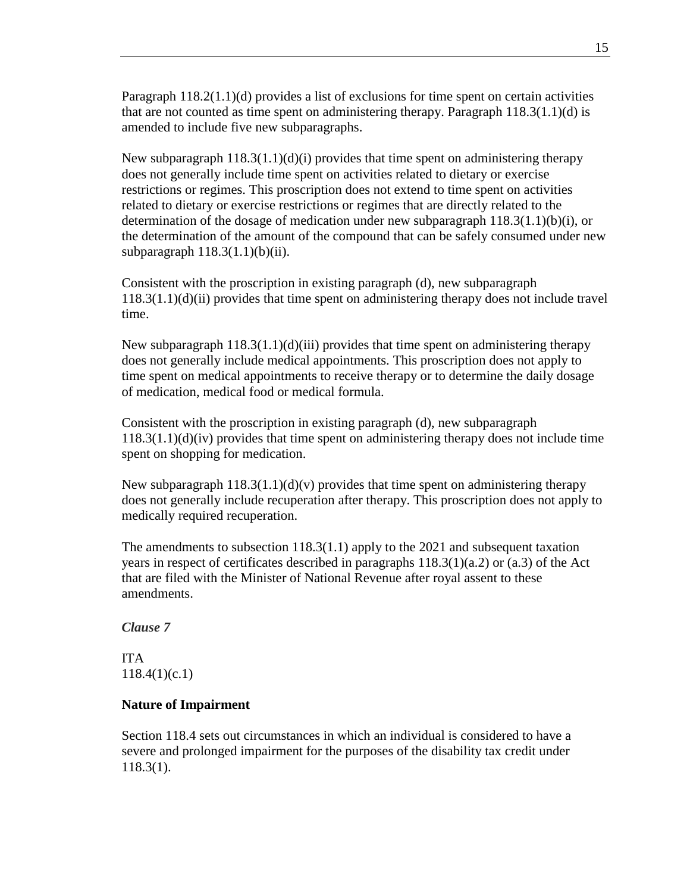Paragraph 118.2(1.1)(d) provides a list of exclusions for time spent on certain activities that are not counted as time spent on administering therapy. Paragraph 118.3(1.1)(d) is amended to include five new subparagraphs.

New subparagraph  $118.3(1.1)(d)(i)$  provides that time spent on administering therapy does not generally include time spent on activities related to dietary or exercise restrictions or regimes. This proscription does not extend to time spent on activities related to dietary or exercise restrictions or regimes that are directly related to the determination of the dosage of medication under new subparagraph  $118.3(1.1)(b)(i)$ , or the determination of the amount of the compound that can be safely consumed under new subparagraph  $118.3(1.1)(b)(ii)$ .

Consistent with the proscription in existing paragraph (d), new subparagraph 118.3(1.1)(d)(ii) provides that time spent on administering therapy does not include travel time.

New subparagraph  $118.3(1.1)(d)(iii)$  provides that time spent on administering therapy does not generally include medical appointments. This proscription does not apply to time spent on medical appointments to receive therapy or to determine the daily dosage of medication, medical food or medical formula.

Consistent with the proscription in existing paragraph (d), new subparagraph 118.3(1.1)(d)(iv) provides that time spent on administering therapy does not include time spent on shopping for medication.

New subparagraph  $118.3(1.1)(d)(v)$  provides that time spent on administering therapy does not generally include recuperation after therapy. This proscription does not apply to medically required recuperation.

The amendments to subsection 118.3(1.1) apply to the 2021 and subsequent taxation years in respect of certificates described in paragraphs  $118.3(1)(a.2)$  or  $(a.3)$  of the Act that are filed with the Minister of National Revenue after royal assent to these amendments.

#### <span id="page-14-0"></span>*Clause 7*

ITA 118.4(1)(c.1)

#### **Nature of Impairment**

Section 118.4 sets out circumstances in which an individual is considered to have a severe and prolonged impairment for the purposes of the disability tax credit under 118.3(1).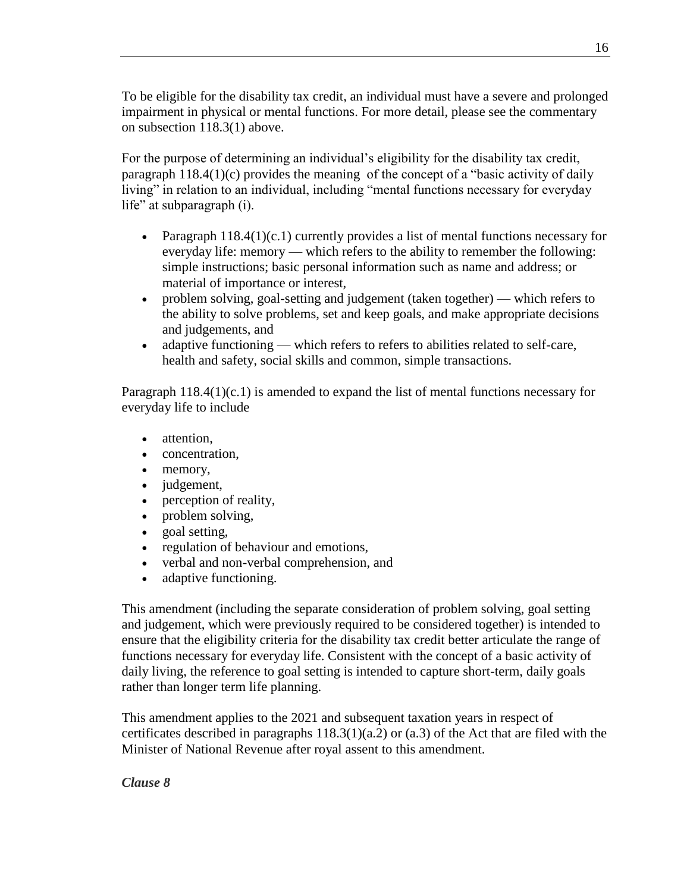To be eligible for the disability tax credit, an individual must have a severe and prolonged impairment in physical or mental functions. For more detail, please see the commentary on subsection 118.3(1) above.

For the purpose of determining an individual's eligibility for the disability tax credit, paragraph 118.4(1)(c) provides the meaning of the concept of a "basic activity of daily living" in relation to an individual, including "mental functions necessary for everyday life" at subparagraph (i).

- Paragraph  $118.4(1)(c.1)$  currently provides a list of mental functions necessary for everyday life: memory — which refers to the ability to remember the following: simple instructions; basic personal information such as name and address; or material of importance or interest,
- problem solving, goal-setting and judgement (taken together) which refers to the ability to solve problems, set and keep goals, and make appropriate decisions and judgements, and
- adaptive functioning which refers to refers to abilities related to self-care, health and safety, social skills and common, simple transactions.

Paragraph 118.4(1)(c.1) is amended to expand the list of mental functions necessary for everyday life to include

- attention.
- concentration.
- memory,
- judgement,
- perception of reality,
- problem solving,
- goal setting,
- regulation of behaviour and emotions,
- verbal and non-verbal comprehension, and
- adaptive functioning.

This amendment (including the separate consideration of problem solving, goal setting and judgement, which were previously required to be considered together) is intended to ensure that the eligibility criteria for the disability tax credit better articulate the range of functions necessary for everyday life. Consistent with the concept of a basic activity of daily living, the reference to goal setting is intended to capture short-term, daily goals rather than longer term life planning.

This amendment applies to the 2021 and subsequent taxation years in respect of certificates described in paragraphs  $118.3(1)(a.2)$  or  $(a.3)$  of the Act that are filed with the Minister of National Revenue after royal assent to this amendment.

## <span id="page-15-0"></span>*Clause 8*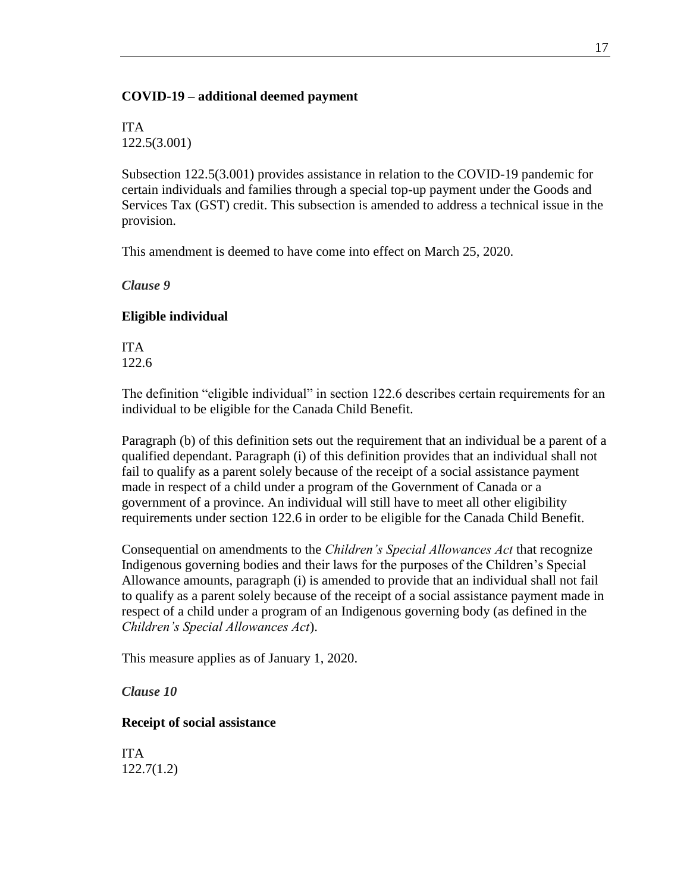#### **COVID-19 – additional deemed payment**

ITA 122.5(3.001)

Subsection 122.5(3.001) provides assistance in relation to the COVID-19 pandemic for certain individuals and families through a special top-up payment under the Goods and Services Tax (GST) credit. This subsection is amended to address a technical issue in the provision.

This amendment is deemed to have come into effect on March 25, 2020.

<span id="page-16-0"></span>*Clause 9*

#### **Eligible individual**

ITA 122.6

The definition "eligible individual" in section 122.6 describes certain requirements for an individual to be eligible for the Canada Child Benefit.

Paragraph (b) of this definition sets out the requirement that an individual be a parent of a qualified dependant. Paragraph (i) of this definition provides that an individual shall not fail to qualify as a parent solely because of the receipt of a social assistance payment made in respect of a child under a program of the Government of Canada or a government of a province. An individual will still have to meet all other eligibility requirements under section 122.6 in order to be eligible for the Canada Child Benefit.

Consequential on amendments to the *Children's Special Allowances Act* that recognize Indigenous governing bodies and their laws for the purposes of the Children's Special Allowance amounts, paragraph (i) is amended to provide that an individual shall not fail to qualify as a parent solely because of the receipt of a social assistance payment made in respect of a child under a program of an Indigenous governing body (as defined in the *Children's Special Allowances Act*).

This measure applies as of January 1, 2020.

<span id="page-16-1"></span>*Clause 10*

## **Receipt of social assistance**

ITA 122.7(1.2)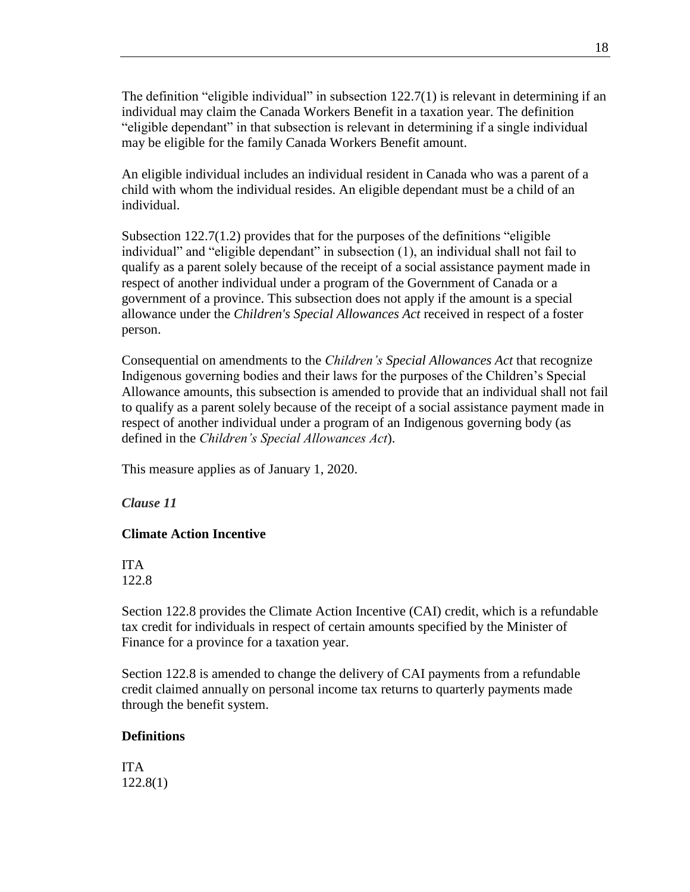The definition "eligible individual" in subsection 122.7(1) is relevant in determining if an individual may claim the Canada Workers Benefit in a taxation year. The definition "eligible dependant" in that subsection is relevant in determining if a single individual may be eligible for the family Canada Workers Benefit amount.

An eligible individual includes an individual resident in Canada who was a parent of a child with whom the individual resides. An eligible dependant must be a child of an individual.

Subsection 122.7(1.2) provides that for the purposes of the definitions "eligible individual" and "eligible dependant" in subsection (1), an individual shall not fail to qualify as a parent solely because of the receipt of a social assistance payment made in respect of another individual under a program of the Government of Canada or a government of a province. This subsection does not apply if the amount is a special allowance under the *Children's Special Allowances Act* received in respect of a foster person.

Consequential on amendments to the *Children's Special Allowances Act* that recognize Indigenous governing bodies and their laws for the purposes of the Children's Special Allowance amounts, this subsection is amended to provide that an individual shall not fail to qualify as a parent solely because of the receipt of a social assistance payment made in respect of another individual under a program of an Indigenous governing body (as defined in the *Children's Special Allowances Act*).

This measure applies as of January 1, 2020.

<span id="page-17-0"></span>*Clause 11*

#### **Climate Action Incentive**

ITA 122.8

Section 122.8 provides the Climate Action Incentive (CAI) credit, which is a refundable tax credit for individuals in respect of certain amounts specified by the Minister of Finance for a province for a taxation year.

Section 122.8 is amended to change the delivery of CAI payments from a refundable credit claimed annually on personal income tax returns to quarterly payments made through the benefit system.

#### **Definitions**

ITA 122.8(1)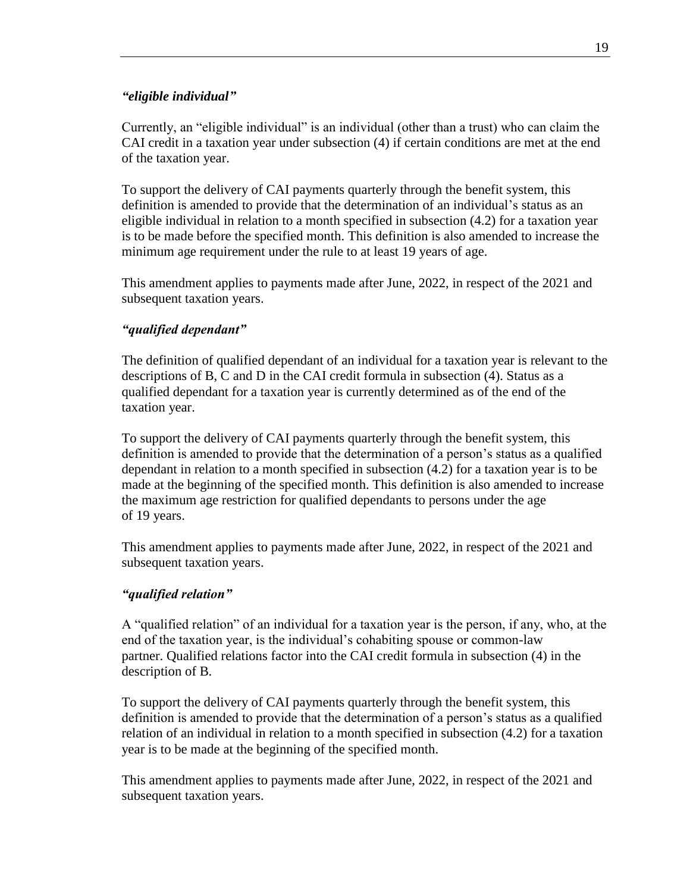#### *"eligible individual"*

Currently, an "eligible individual" is an individual (other than a trust) who can claim the CAI credit in a taxation year under subsection (4) if certain conditions are met at the end of the taxation year.

To support the delivery of CAI payments quarterly through the benefit system, this definition is amended to provide that the determination of an individual's status as an eligible individual in relation to a month specified in subsection (4.2) for a taxation year is to be made before the specified month. This definition is also amended to increase the minimum age requirement under the rule to at least 19 years of age.

This amendment applies to payments made after June, 2022, in respect of the 2021 and subsequent taxation years.

## *"qualified dependant"*

The definition of qualified dependant of an individual for a taxation year is relevant to the descriptions of B, C and D in the CAI credit formula in subsection (4). Status as a qualified dependant for a taxation year is currently determined as of the end of the taxation year.

To support the delivery of CAI payments quarterly through the benefit system, this definition is amended to provide that the determination of a person's status as a qualified dependant in relation to a month specified in subsection (4.2) for a taxation year is to be made at the beginning of the specified month. This definition is also amended to increase the maximum age restriction for qualified dependants to persons under the age of 19 years.

This amendment applies to payments made after June, 2022, in respect of the 2021 and subsequent taxation years.

#### *"qualified relation"*

A "qualified relation" of an individual for a taxation year is the person, if any, who, at the end of the taxation year, is the individual's cohabiting spouse or common-law partner. Qualified relations factor into the CAI credit formula in subsection (4) in the description of B.

To support the delivery of CAI payments quarterly through the benefit system, this definition is amended to provide that the determination of a person's status as a qualified relation of an individual in relation to a month specified in subsection (4.2) for a taxation year is to be made at the beginning of the specified month.

This amendment applies to payments made after June, 2022, in respect of the 2021 and subsequent taxation years.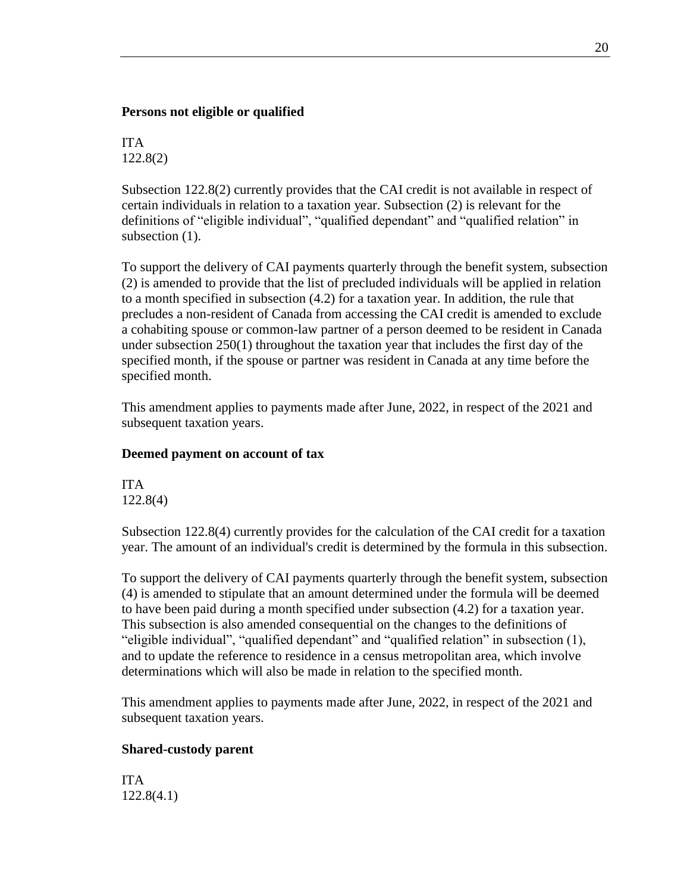#### **Persons not eligible or qualified**

ITA 122.8(2)

Subsection 122.8(2) currently provides that the CAI credit is not available in respect of certain individuals in relation to a taxation year. Subsection (2) is relevant for the definitions of "eligible individual", "qualified dependant" and "qualified relation" in subsection  $(1)$ .

To support the delivery of CAI payments quarterly through the benefit system, subsection (2) is amended to provide that the list of precluded individuals will be applied in relation to a month specified in subsection (4.2) for a taxation year. In addition, the rule that precludes a non-resident of Canada from accessing the CAI credit is amended to exclude a cohabiting spouse or common-law partner of a person deemed to be resident in Canada under subsection 250(1) throughout the taxation year that includes the first day of the specified month, if the spouse or partner was resident in Canada at any time before the specified month.

This amendment applies to payments made after June, 2022, in respect of the 2021 and subsequent taxation years.

## **Deemed payment on account of tax**

ITA 122.8(4)

Subsection 122.8(4) currently provides for the calculation of the CAI credit for a taxation year. The amount of an individual's credit is determined by the formula in this subsection.

To support the delivery of CAI payments quarterly through the benefit system, subsection (4) is amended to stipulate that an amount determined under the formula will be deemed to have been paid during a month specified under subsection (4.2) for a taxation year. This subsection is also amended consequential on the changes to the definitions of "eligible individual", "qualified dependant" and "qualified relation" in subsection (1), and to update the reference to residence in a census metropolitan area, which involve determinations which will also be made in relation to the specified month.

This amendment applies to payments made after June, 2022, in respect of the 2021 and subsequent taxation years.

## **Shared-custody parent**

ITA 122.8(4.1)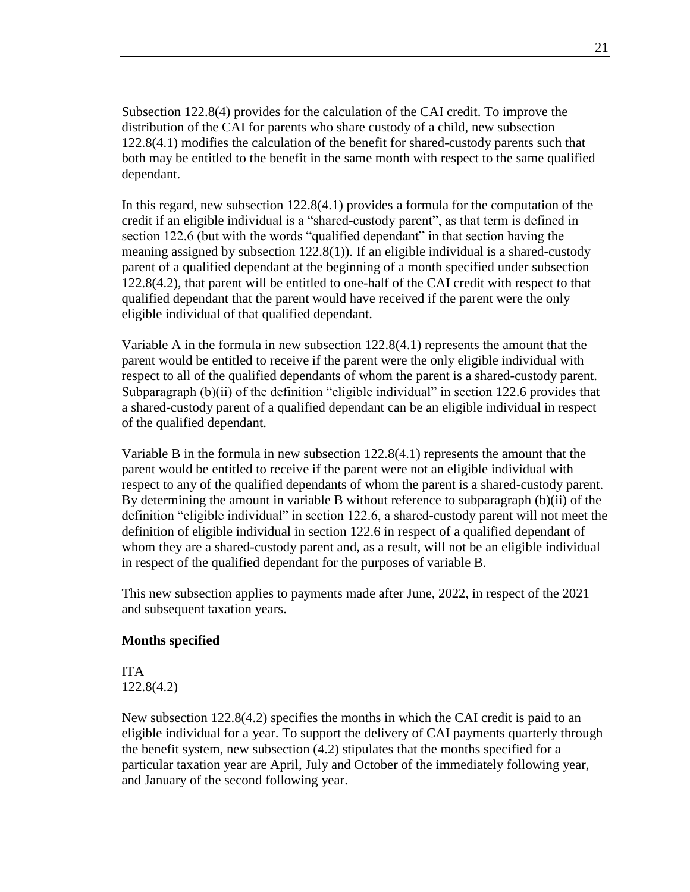Subsection 122.8(4) provides for the calculation of the CAI credit. To improve the distribution of the CAI for parents who share custody of a child, new subsection 122.8(4.1) modifies the calculation of the benefit for shared-custody parents such that both may be entitled to the benefit in the same month with respect to the same qualified dependant.

In this regard, new subsection 122.8(4.1) provides a formula for the computation of the credit if an eligible individual is a "shared-custody parent", as that term is defined in section 122.6 (but with the words "qualified dependant" in that section having the meaning assigned by subsection 122.8(1)). If an eligible individual is a shared-custody parent of a qualified dependant at the beginning of a month specified under subsection 122.8(4.2), that parent will be entitled to one-half of the CAI credit with respect to that qualified dependant that the parent would have received if the parent were the only eligible individual of that qualified dependant.

Variable A in the formula in new subsection 122.8(4.1) represents the amount that the parent would be entitled to receive if the parent were the only eligible individual with respect to all of the qualified dependants of whom the parent is a shared-custody parent. Subparagraph (b)(ii) of the definition "eligible individual" in section 122.6 provides that a shared-custody parent of a qualified dependant can be an eligible individual in respect of the qualified dependant.

Variable B in the formula in new subsection 122.8(4.1) represents the amount that the parent would be entitled to receive if the parent were not an eligible individual with respect to any of the qualified dependants of whom the parent is a shared-custody parent. By determining the amount in variable B without reference to subparagraph (b)(ii) of the definition "eligible individual" in section 122.6, a shared-custody parent will not meet the definition of eligible individual in section 122.6 in respect of a qualified dependant of whom they are a shared-custody parent and, as a result, will not be an eligible individual in respect of the qualified dependant for the purposes of variable B.

This new subsection applies to payments made after June, 2022, in respect of the 2021 and subsequent taxation years.

#### **Months specified**

ITA 122.8(4.2)

New subsection 122.8(4.2) specifies the months in which the CAI credit is paid to an eligible individual for a year. To support the delivery of CAI payments quarterly through the benefit system, new subsection (4.2) stipulates that the months specified for a particular taxation year are April, July and October of the immediately following year, and January of the second following year.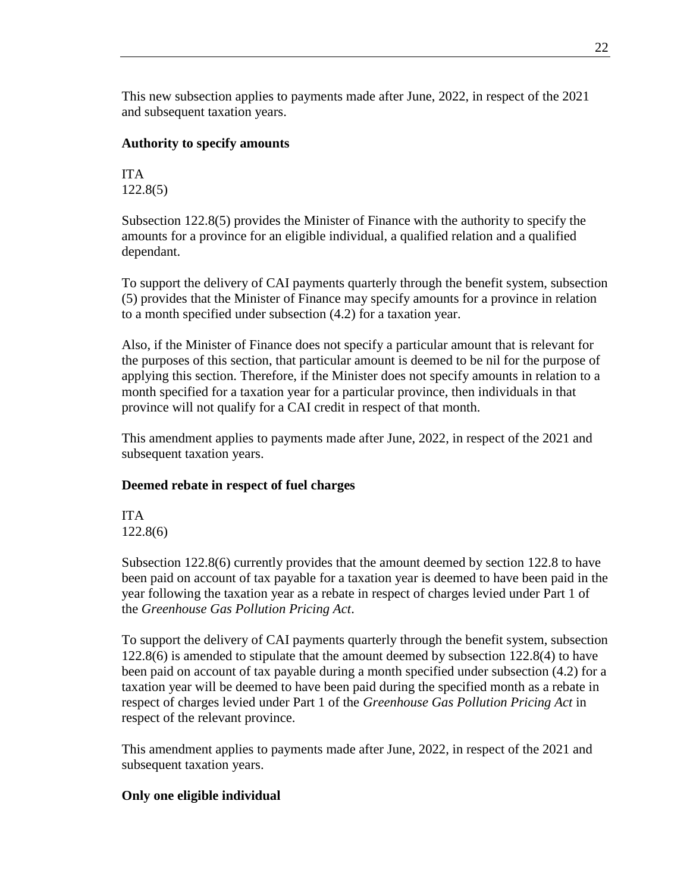This new subsection applies to payments made after June, 2022, in respect of the 2021 and subsequent taxation years.

## **Authority to specify amounts**

ITA 122.8(5)

Subsection 122.8(5) provides the Minister of Finance with the authority to specify the amounts for a province for an eligible individual, a qualified relation and a qualified dependant.

To support the delivery of CAI payments quarterly through the benefit system, subsection (5) provides that the Minister of Finance may specify amounts for a province in relation to a month specified under subsection (4.2) for a taxation year.

Also, if the Minister of Finance does not specify a particular amount that is relevant for the purposes of this section, that particular amount is deemed to be nil for the purpose of applying this section. Therefore, if the Minister does not specify amounts in relation to a month specified for a taxation year for a particular province, then individuals in that province will not qualify for a CAI credit in respect of that month.

This amendment applies to payments made after June, 2022, in respect of the 2021 and subsequent taxation years.

## **Deemed rebate in respect of fuel charges**

ITA 122.8(6)

Subsection 122.8(6) currently provides that the amount deemed by section 122.8 to have been paid on account of tax payable for a taxation year is deemed to have been paid in the year following the taxation year as a rebate in respect of charges levied under Part 1 of the *Greenhouse Gas Pollution Pricing Act*.

To support the delivery of CAI payments quarterly through the benefit system, subsection 122.8(6) is amended to stipulate that the amount deemed by subsection 122.8(4) to have been paid on account of tax payable during a month specified under subsection (4.2) for a taxation year will be deemed to have been paid during the specified month as a rebate in respect of charges levied under Part 1 of the *[Greenhouse Gas Pollution Pricing Act](https://laws-lois.justice.gc.ca/eng/acts/G-11.55)* in respect of the relevant province.

This amendment applies to payments made after June, 2022, in respect of the 2021 and subsequent taxation years.

## **Only one eligible individual**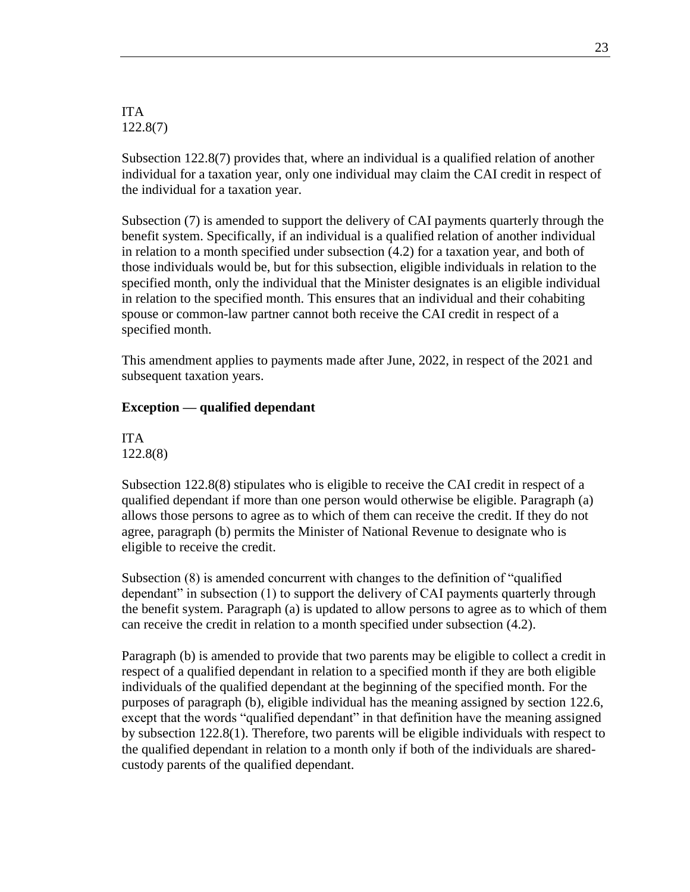ITA 122.8(7)

Subsection 122.8(7) provides that, where an individual is a qualified relation of another individual for a taxation year, only one individual may claim the CAI credit in respect of the individual for a taxation year.

Subsection (7) is amended to support the delivery of CAI payments quarterly through the benefit system. Specifically, if an individual is a qualified relation of another individual in relation to a month specified under subsection (4.2) for a taxation year, and both of those individuals would be, but for this subsection, eligible individuals in relation to the specified month, only the individual that the Minister designates is an eligible individual in relation to the specified month. This ensures that an individual and their cohabiting spouse or common-law partner cannot both receive the CAI credit in respect of a specified month.

This amendment applies to payments made after June, 2022, in respect of the 2021 and subsequent taxation years.

#### **Exception — qualified dependant**

ITA 122.8(8)

Subsection 122.8(8) stipulates who is eligible to receive the CAI credit in respect of a qualified dependant if more than one person would otherwise be eligible. Paragraph (a) allows those persons to agree as to which of them can receive the credit. If they do not agree, paragraph (b) permits the Minister of National Revenue to designate who is eligible to receive the credit.

Subsection (8) is amended concurrent with changes to the definition of "qualified dependant" in subsection (1) to support the delivery of CAI payments quarterly through the benefit system. Paragraph (a) is updated to allow persons to agree as to which of them can receive the credit in relation to a month specified under subsection (4.2).

Paragraph (b) is amended to provide that two parents may be eligible to collect a credit in respect of a qualified dependant in relation to a specified month if they are both eligible individuals of the qualified dependant at the beginning of the specified month. For the purposes of paragraph (b), eligible individual has the meaning assigned by section 122.6, except that the words "qualified dependant" in that definition have the meaning assigned by subsection 122.8(1). Therefore, two parents will be eligible individuals with respect to the qualified dependant in relation to a month only if both of the individuals are sharedcustody parents of the qualified dependant.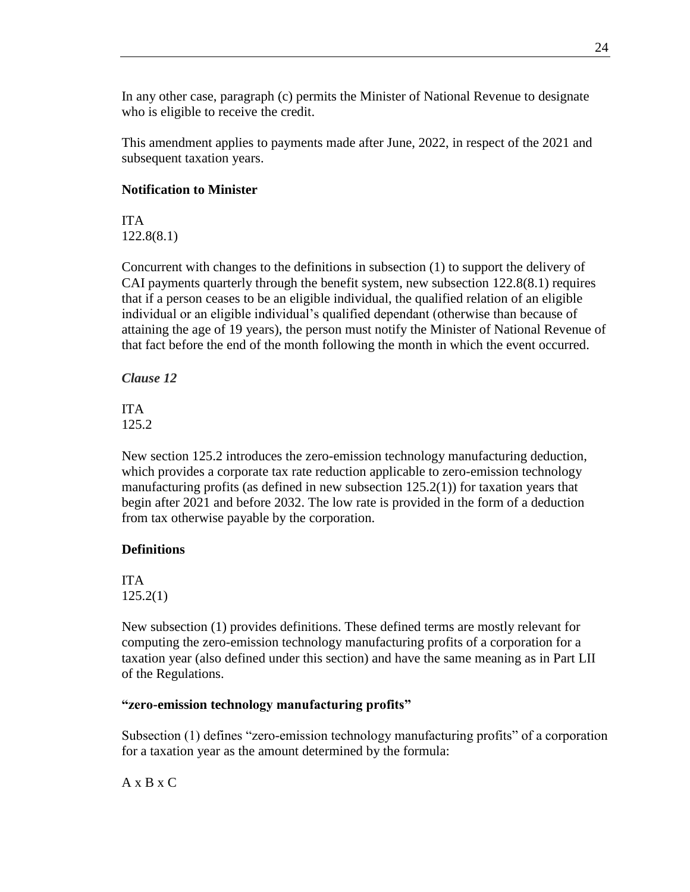In any other case, paragraph (c) permits the Minister of National Revenue to designate who is eligible to receive the credit.

This amendment applies to payments made after June, 2022, in respect of the 2021 and subsequent taxation years.

## **Notification to Minister**

ITA 122.8(8.1)

Concurrent with changes to the definitions in subsection (1) to support the delivery of CAI payments quarterly through the benefit system, new subsection 122.8(8.1) requires that if a person ceases to be an eligible individual, the qualified relation of an eligible individual or an eligible individual's qualified dependant (otherwise than because of attaining the age of 19 years), the person must notify the Minister of National Revenue of that fact before the end of the month following the month in which the event occurred.

<span id="page-23-0"></span>*Clause 12*

ITA 125.2

New section 125.2 introduces the zero-emission technology manufacturing deduction, which provides a corporate tax rate reduction applicable to zero-emission technology manufacturing profits (as defined in new subsection 125.2(1)) for taxation years that begin after 2021 and before 2032. The low rate is provided in the form of a deduction from tax otherwise payable by the corporation.

## **Definitions**

ITA 125.2(1)

New subsection (1) provides definitions. These defined terms are mostly relevant for computing the zero-emission technology manufacturing profits of a corporation for a taxation year (also defined under this section) and have the same meaning as in Part LII of the Regulations.

## **"zero-emission technology manufacturing profits"**

Subsection (1) defines "zero-emission technology manufacturing profits" of a corporation for a taxation year as the amount determined by the formula:

 $A \times B \times C$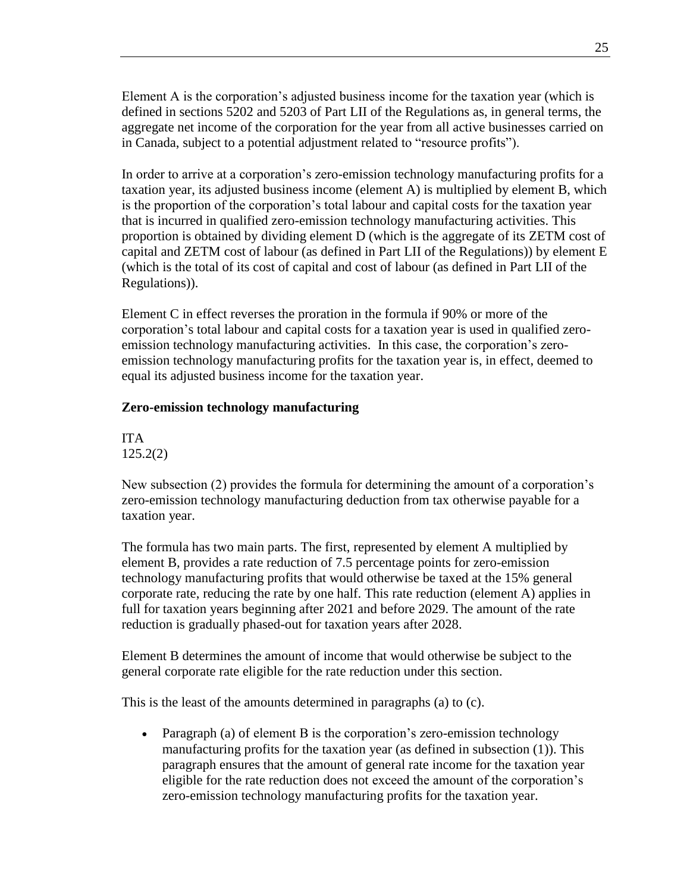Element A is the corporation's adjusted business income for the taxation year (which is defined in sections 5202 and 5203 of Part LII of the Regulations as, in general terms, the aggregate net income of the corporation for the year from all active businesses carried on in Canada, subject to a potential adjustment related to "resource profits").

In order to arrive at a corporation's zero-emission technology manufacturing profits for a taxation year, its adjusted business income (element A) is multiplied by element B, which is the proportion of the corporation's total labour and capital costs for the taxation year that is incurred in qualified zero-emission technology manufacturing activities. This proportion is obtained by dividing element D (which is the aggregate of its ZETM cost of capital and ZETM cost of labour (as defined in Part LII of the Regulations)) by element E (which is the total of its cost of capital and cost of labour (as defined in Part LII of the Regulations)).

Element C in effect reverses the proration in the formula if 90% or more of the corporation's total labour and capital costs for a taxation year is used in qualified zeroemission technology manufacturing activities. In this case, the corporation's zeroemission technology manufacturing profits for the taxation year is, in effect, deemed to equal its adjusted business income for the taxation year.

#### **Zero-emission technology manufacturing**

ITA 125.2(2)

New subsection (2) provides the formula for determining the amount of a corporation's zero-emission technology manufacturing deduction from tax otherwise payable for a taxation year.

The formula has two main parts. The first, represented by element A multiplied by element B, provides a rate reduction of 7.5 percentage points for zero-emission technology manufacturing profits that would otherwise be taxed at the 15% general corporate rate, reducing the rate by one half. This rate reduction (element A) applies in full for taxation years beginning after 2021 and before 2029. The amount of the rate reduction is gradually phased-out for taxation years after 2028.

Element B determines the amount of income that would otherwise be subject to the general corporate rate eligible for the rate reduction under this section.

This is the least of the amounts determined in paragraphs (a) to (c).

• Paragraph (a) of element B is the corporation's zero-emission technology manufacturing profits for the taxation year (as defined in subsection (1)). This paragraph ensures that the amount of general rate income for the taxation year eligible for the rate reduction does not exceed the amount of the corporation's zero-emission technology manufacturing profits for the taxation year.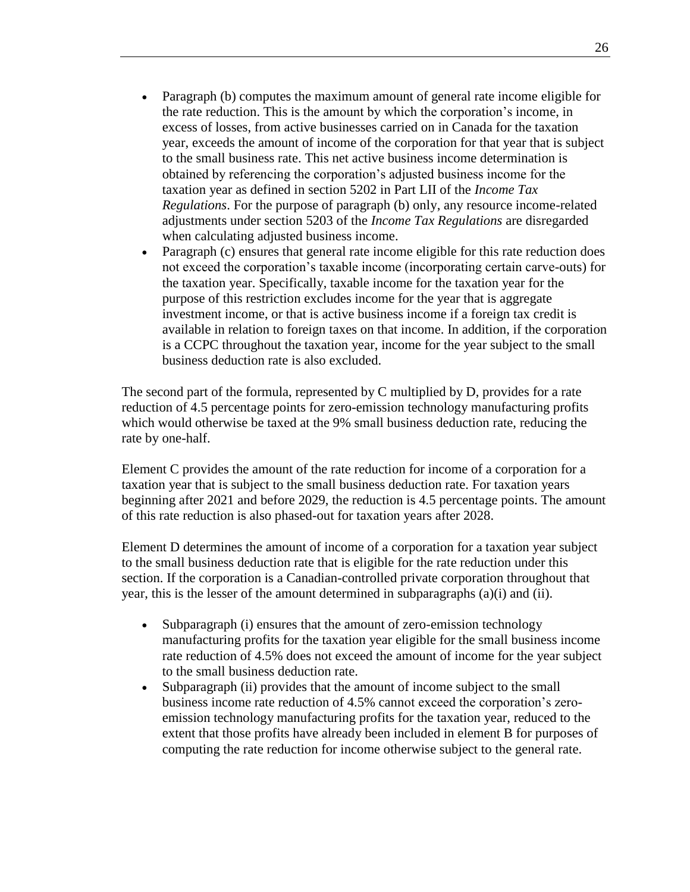- Paragraph (b) computes the maximum amount of general rate income eligible for the rate reduction. This is the amount by which the corporation's income, in excess of losses, from active businesses carried on in Canada for the taxation year, exceeds the amount of income of the corporation for that year that is subject to the small business rate. This net active business income determination is obtained by referencing the corporation's adjusted business income for the taxation year as defined in section 5202 in Part LII of the *Income Tax Regulations*. For the purpose of paragraph (b) only, any resource income-related adjustments under section 5203 of the *Income Tax Regulations* are disregarded when calculating adjusted business income.
- Paragraph (c) ensures that general rate income eligible for this rate reduction does not exceed the corporation's taxable income (incorporating certain carve-outs) for the taxation year. Specifically, taxable income for the taxation year for the purpose of this restriction excludes income for the year that is aggregate investment income, or that is active business income if a foreign tax credit is available in relation to foreign taxes on that income. In addition, if the corporation is a CCPC throughout the taxation year, income for the year subject to the small business deduction rate is also excluded.

The second part of the formula, represented by C multiplied by D, provides for a rate reduction of 4.5 percentage points for zero-emission technology manufacturing profits which would otherwise be taxed at the 9% small business deduction rate, reducing the rate by one-half.

Element C provides the amount of the rate reduction for income of a corporation for a taxation year that is subject to the small business deduction rate. For taxation years beginning after 2021 and before 2029, the reduction is 4.5 percentage points. The amount of this rate reduction is also phased-out for taxation years after 2028.

Element D determines the amount of income of a corporation for a taxation year subject to the small business deduction rate that is eligible for the rate reduction under this section. If the corporation is a Canadian-controlled private corporation throughout that year, this is the lesser of the amount determined in subparagraphs (a)(i) and (ii).

- Subparagraph (i) ensures that the amount of zero-emission technology manufacturing profits for the taxation year eligible for the small business income rate reduction of 4.5% does not exceed the amount of income for the year subject to the small business deduction rate.
- Subparagraph (ii) provides that the amount of income subject to the small business income rate reduction of 4.5% cannot exceed the corporation's zeroemission technology manufacturing profits for the taxation year, reduced to the extent that those profits have already been included in element B for purposes of computing the rate reduction for income otherwise subject to the general rate.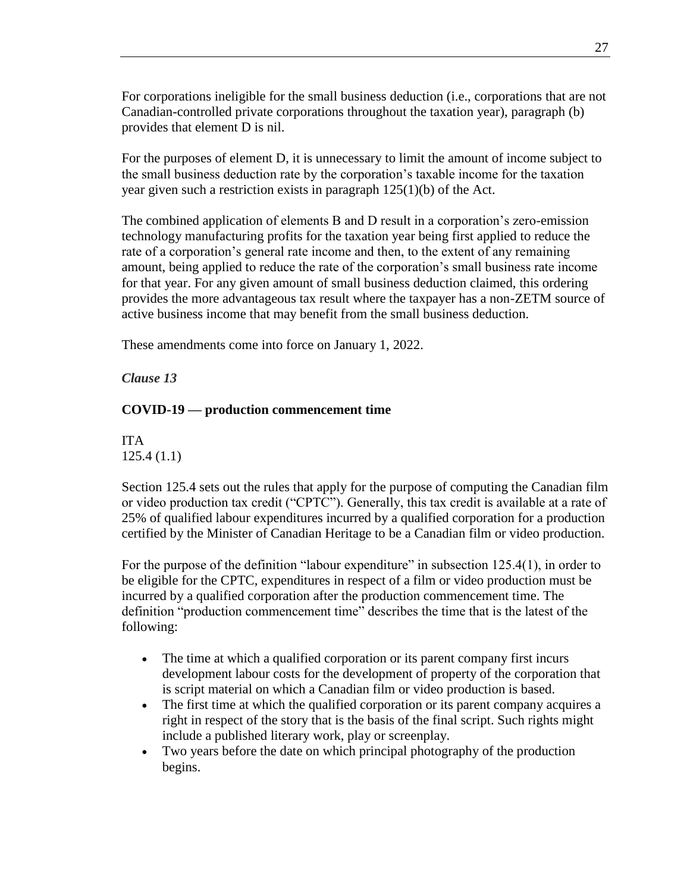For corporations ineligible for the small business deduction (i.e., corporations that are not Canadian-controlled private corporations throughout the taxation year), paragraph (b) provides that element D is nil.

For the purposes of element D, it is unnecessary to limit the amount of income subject to the small business deduction rate by the corporation's taxable income for the taxation year given such a restriction exists in paragraph 125(1)(b) of the Act.

The combined application of elements B and D result in a corporation's zero-emission technology manufacturing profits for the taxation year being first applied to reduce the rate of a corporation's general rate income and then, to the extent of any remaining amount, being applied to reduce the rate of the corporation's small business rate income for that year. For any given amount of small business deduction claimed, this ordering provides the more advantageous tax result where the taxpayer has a non-ZETM source of active business income that may benefit from the small business deduction.

These amendments come into force on January 1, 2022.

<span id="page-26-0"></span>*Clause 13*

## **COVID-19 — production commencement time**

ITA 125.4 (1.1)

Section 125.4 sets out the rules that apply for the purpose of computing the Canadian film or video production tax credit ("CPTC"). Generally, this tax credit is available at a rate of 25% of qualified labour expenditures incurred by a qualified corporation for a production certified by the Minister of Canadian Heritage to be a Canadian film or video production.

For the purpose of the definition "labour expenditure" in subsection 125.4(1), in order to be eligible for the CPTC, expenditures in respect of a film or video production must be incurred by a qualified corporation after the production commencement time. The definition "production commencement time" describes the time that is the latest of the following:

- The time at which a qualified corporation or its parent company first incurs development labour costs for the development of property of the corporation that is script material on which a Canadian film or video production is based.
- The first time at which the qualified corporation or its parent company acquires a right in respect of the story that is the basis of the final script. Such rights might include a published literary work, play or screenplay.
- Two years before the date on which principal photography of the production begins.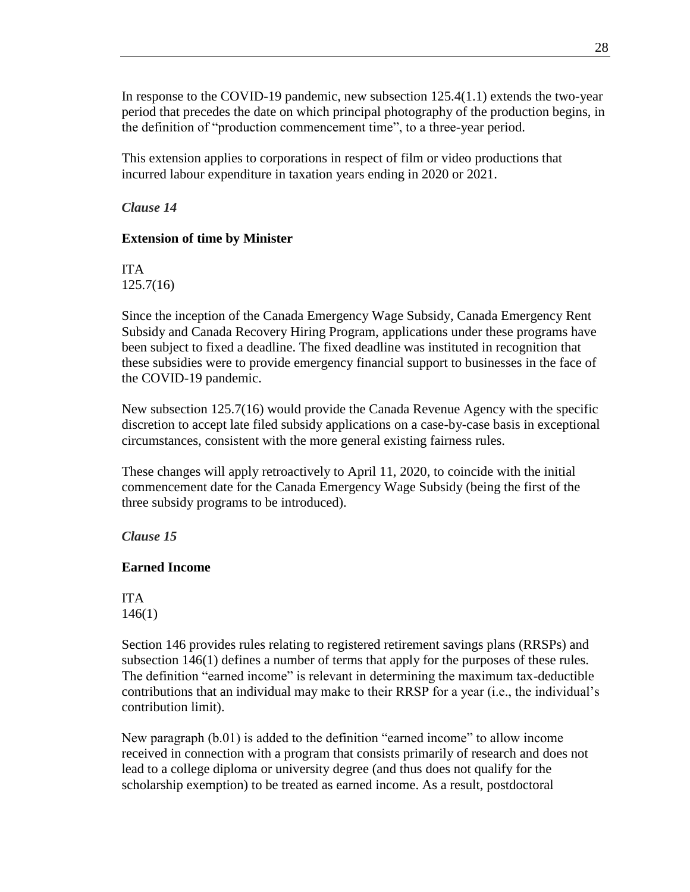In response to the COVID-19 pandemic, new subsection 125.4(1.1) extends the two-year period that precedes the date on which principal photography of the production begins, in the definition of "production commencement time", to a three-year period.

This extension applies to corporations in respect of film or video productions that incurred labour expenditure in taxation years ending in 2020 or 2021.

#### <span id="page-27-0"></span>*Clause 14*

#### **Extension of time by Minister**

ITA 125.7(16)

Since the inception of the Canada Emergency Wage Subsidy, Canada Emergency Rent Subsidy and Canada Recovery Hiring Program, applications under these programs have been subject to fixed a deadline. The fixed deadline was instituted in recognition that these subsidies were to provide emergency financial support to businesses in the face of the COVID-19 pandemic.

New subsection 125.7(16) would provide the Canada Revenue Agency with the specific discretion to accept late filed subsidy applications on a case-by-case basis in exceptional circumstances, consistent with the more general existing fairness rules.

These changes will apply retroactively to April 11, 2020, to coincide with the initial commencement date for the Canada Emergency Wage Subsidy (being the first of the three subsidy programs to be introduced).

## <span id="page-27-1"></span>*Clause 15*

#### **Earned Income**

ITA 146(1)

Section 146 provides rules relating to registered retirement savings plans (RRSPs) and subsection 146(1) defines a number of terms that apply for the purposes of these rules. The definition "earned income" is relevant in determining the maximum tax-deductible contributions that an individual may make to their RRSP for a year (i.e., the individual's contribution limit).

New paragraph (b.01) is added to the definition "earned income" to allow income received in connection with a program that consists primarily of research and does not lead to a college diploma or university degree (and thus does not qualify for the scholarship exemption) to be treated as earned income. As a result, postdoctoral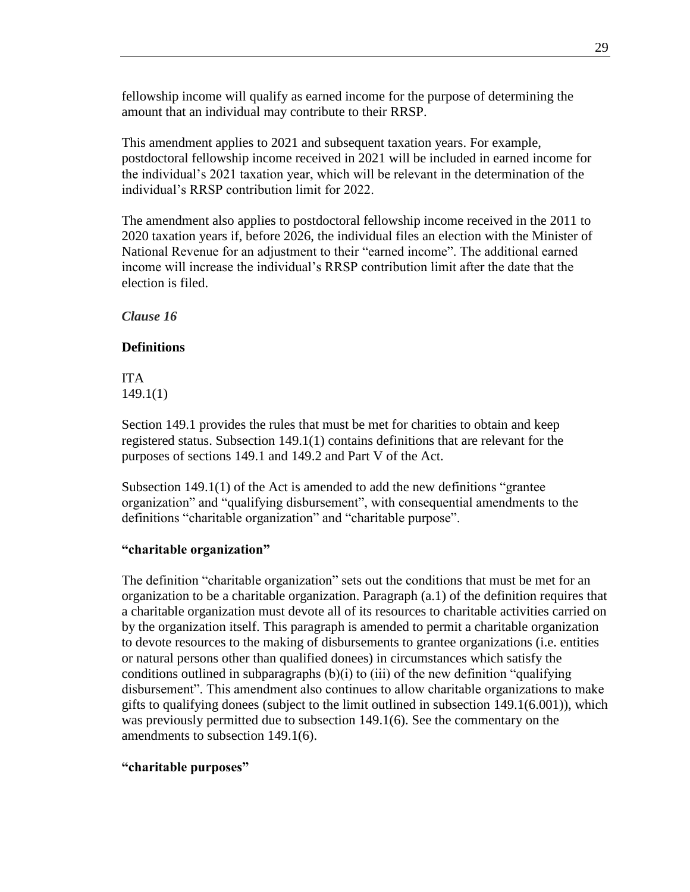fellowship income will qualify as earned income for the purpose of determining the amount that an individual may contribute to their RRSP.

This amendment applies to 2021 and subsequent taxation years. For example, postdoctoral fellowship income received in 2021 will be included in earned income for the individual's 2021 taxation year, which will be relevant in the determination of the individual's RRSP contribution limit for 2022.

The amendment also applies to postdoctoral fellowship income received in the 2011 to 2020 taxation years if, before 2026, the individual files an election with the Minister of National Revenue for an adjustment to their "earned income". The additional earned income will increase the individual's RRSP contribution limit after the date that the election is filed.

<span id="page-28-0"></span>*Clause 16*

#### **Definitions**

ITA 149.1(1)

Section 149.1 provides the rules that must be met for charities to obtain and keep registered status. Subsection 149.1(1) contains definitions that are relevant for the purposes of sections 149.1 and 149.2 and Part V of the Act.

Subsection 149.1(1) of the Act is amended to add the new definitions "grantee organization" and "qualifying disbursement", with consequential amendments to the definitions "charitable organization" and "charitable purpose".

#### **"charitable organization"**

The definition "charitable organization" sets out the conditions that must be met for an organization to be a charitable organization. Paragraph (a.1) of the definition requires that a charitable organization must devote all of its resources to charitable activities carried on by the organization itself. This paragraph is amended to permit a charitable organization to devote resources to the making of disbursements to grantee organizations (i.e. entities or natural persons other than qualified donees) in circumstances which satisfy the conditions outlined in subparagraphs  $(b)(i)$  to (iii) of the new definition "qualifying disbursement". This amendment also continues to allow charitable organizations to make gifts to qualifying donees (subject to the limit outlined in subsection 149.1(6.001)), which was previously permitted due to subsection 149.1(6). See the commentary on the amendments to subsection 149.1(6).

#### **"charitable purposes"**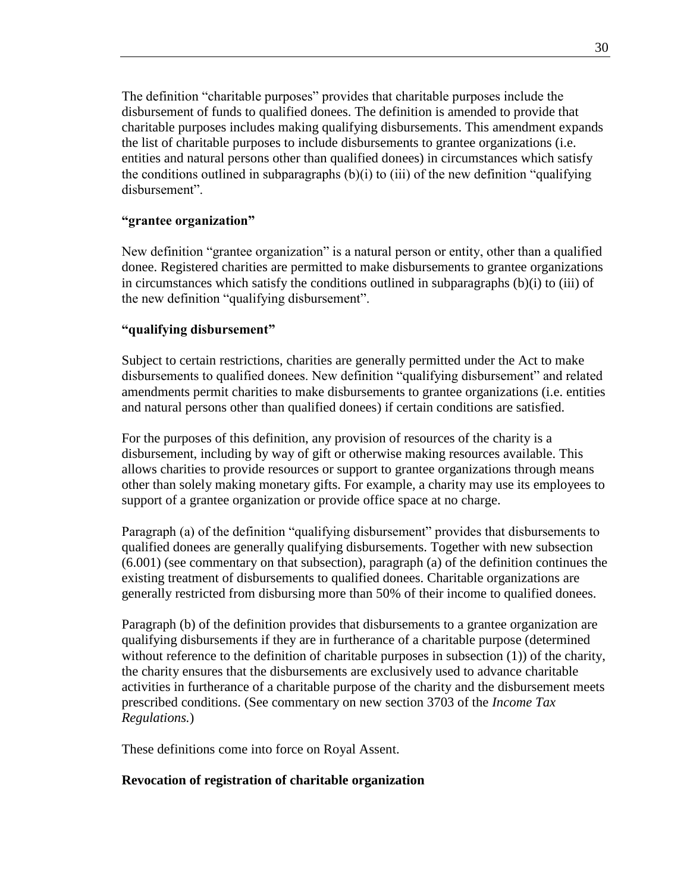The definition "charitable purposes" provides that charitable purposes include the disbursement of funds to qualified donees. The definition is amended to provide that charitable purposes includes making qualifying disbursements. This amendment expands the list of charitable purposes to include disbursements to grantee organizations (i.e. entities and natural persons other than qualified donees) in circumstances which satisfy the conditions outlined in subparagraphs  $(b)(i)$  to (iii) of the new definition "qualifying disbursement".

#### **"grantee organization"**

New definition "grantee organization" is a natural person or entity, other than a qualified donee. Registered charities are permitted to make disbursements to grantee organizations in circumstances which satisfy the conditions outlined in subparagraphs  $(b)(i)$  to (iii) of the new definition "qualifying disbursement".

## **"qualifying disbursement"**

Subject to certain restrictions, charities are generally permitted under the Act to make disbursements to qualified donees. New definition "qualifying disbursement" and related amendments permit charities to make disbursements to grantee organizations (i.e. entities and natural persons other than qualified donees) if certain conditions are satisfied.

For the purposes of this definition, any provision of resources of the charity is a disbursement, including by way of gift or otherwise making resources available. This allows charities to provide resources or support to grantee organizations through means other than solely making monetary gifts. For example, a charity may use its employees to support of a grantee organization or provide office space at no charge.

Paragraph (a) of the definition "qualifying disbursement" provides that disbursements to qualified donees are generally qualifying disbursements. Together with new subsection (6.001) (see commentary on that subsection), paragraph (a) of the definition continues the existing treatment of disbursements to qualified donees. Charitable organizations are generally restricted from disbursing more than 50% of their income to qualified donees.

Paragraph (b) of the definition provides that disbursements to a grantee organization are qualifying disbursements if they are in furtherance of a charitable purpose (determined without reference to the definition of charitable purposes in subsection (1)) of the charity, the charity ensures that the disbursements are exclusively used to advance charitable activities in furtherance of a charitable purpose of the charity and the disbursement meets prescribed conditions. (See commentary on new section 3703 of the *Income Tax Regulations.*)

These definitions come into force on Royal Assent.

#### **Revocation of registration of charitable organization**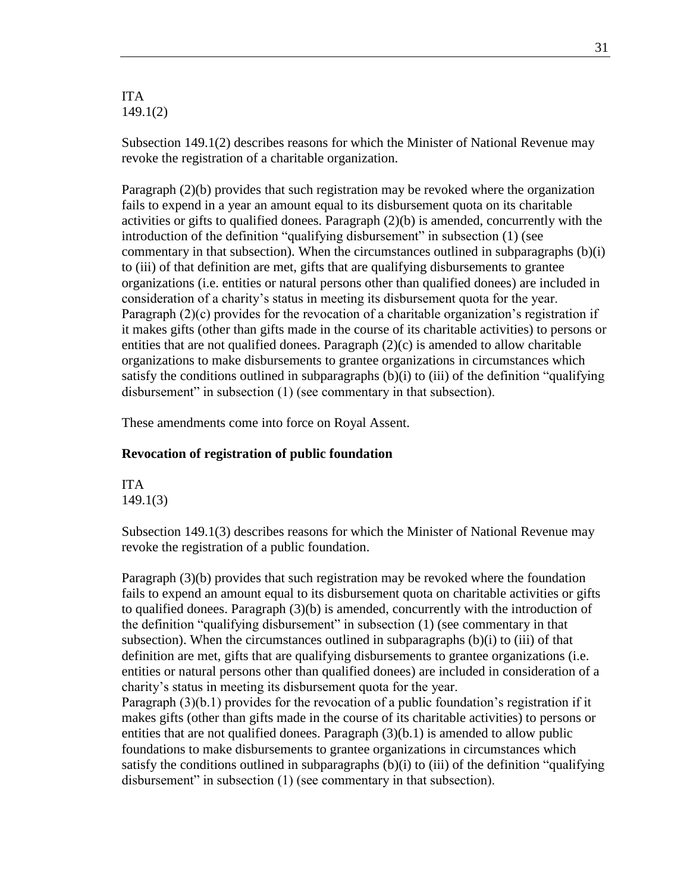#### ITA 149.1(2)

Subsection 149.1(2) describes reasons for which the Minister of National Revenue may revoke the registration of a charitable organization.

Paragraph (2)(b) provides that such registration may be revoked where the organization fails to expend in a year an amount equal to its disbursement quota on its charitable activities or gifts to qualified donees. Paragraph  $(2)(b)$  is amended, concurrently with the introduction of the definition "qualifying disbursement" in subsection (1) (see commentary in that subsection). When the circumstances outlined in subparagraphs  $(b)(i)$ to (iii) of that definition are met, gifts that are qualifying disbursements to grantee organizations (i.e. entities or natural persons other than qualified donees) are included in consideration of a charity's status in meeting its disbursement quota for the year. Paragraph (2)(c) provides for the revocation of a charitable organization's registration if it makes gifts (other than gifts made in the course of its charitable activities) to persons or entities that are not qualified donees. Paragraph  $(2)(c)$  is amended to allow charitable organizations to make disbursements to grantee organizations in circumstances which satisfy the conditions outlined in subparagraphs  $(b)(i)$  to (iii) of the definition "qualifying disbursement" in subsection (1) (see commentary in that subsection).

These amendments come into force on Royal Assent.

#### **Revocation of registration of public foundation**

ITA 149.1(3)

Subsection 149.1(3) describes reasons for which the Minister of National Revenue may revoke the registration of a public foundation.

Paragraph (3)(b) provides that such registration may be revoked where the foundation fails to expend an amount equal to its disbursement quota on charitable activities or gifts to qualified donees. Paragraph (3)(b) is amended, concurrently with the introduction of the definition "qualifying disbursement" in subsection (1) (see commentary in that subsection). When the circumstances outlined in subparagraphs  $(b)(i)$  to  $(iii)$  of that definition are met, gifts that are qualifying disbursements to grantee organizations (i.e. entities or natural persons other than qualified donees) are included in consideration of a charity's status in meeting its disbursement quota for the year. Paragraph (3)(b.1) provides for the revocation of a public foundation's registration if it makes gifts (other than gifts made in the course of its charitable activities) to persons or entities that are not qualified donees. Paragraph  $(3)(b.1)$  is amended to allow public foundations to make disbursements to grantee organizations in circumstances which satisfy the conditions outlined in subparagraphs  $(b)(i)$  to (iii) of the definition "qualifying disbursement" in subsection (1) (see commentary in that subsection).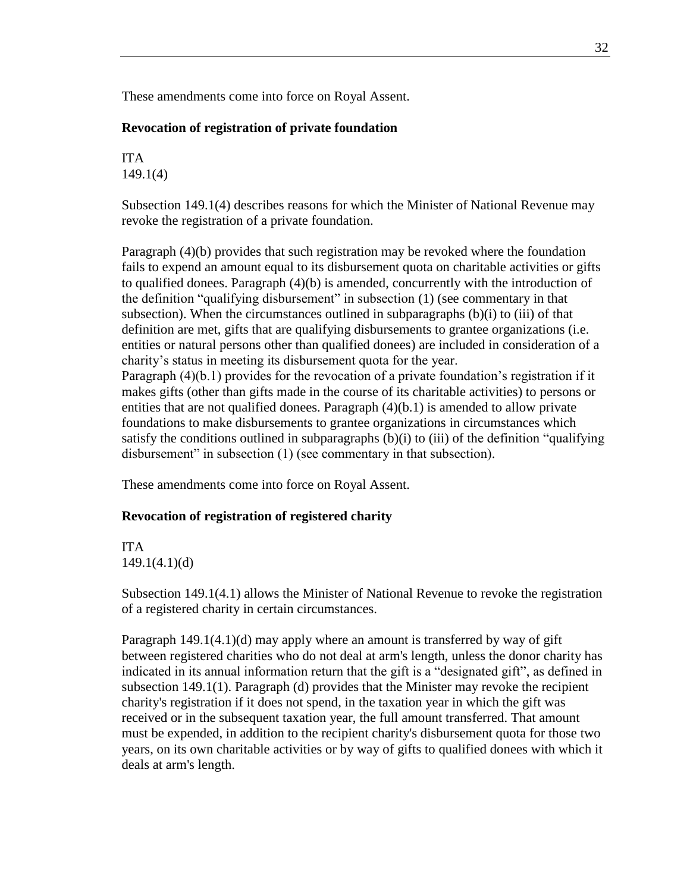These amendments come into force on Royal Assent.

#### **Revocation of registration of private foundation**

ITA 149.1(4)

Subsection 149.1(4) describes reasons for which the Minister of National Revenue may revoke the registration of a private foundation.

Paragraph (4)(b) provides that such registration may be revoked where the foundation fails to expend an amount equal to its disbursement quota on charitable activities or gifts to qualified donees. Paragraph (4)(b) is amended, concurrently with the introduction of the definition "qualifying disbursement" in subsection (1) (see commentary in that subsection). When the circumstances outlined in subparagraphs  $(b)(i)$  to (iii) of that definition are met, gifts that are qualifying disbursements to grantee organizations (i.e. entities or natural persons other than qualified donees) are included in consideration of a charity's status in meeting its disbursement quota for the year. Paragraph (4)(b.1) provides for the revocation of a private foundation's registration if it makes gifts (other than gifts made in the course of its charitable activities) to persons or entities that are not qualified donees. Paragraph (4)(b.1) is amended to allow private foundations to make disbursements to grantee organizations in circumstances which satisfy the conditions outlined in subparagraphs (b)(i) to (iii) of the definition "qualifying disbursement" in subsection (1) (see commentary in that subsection).

These amendments come into force on Royal Assent.

#### **Revocation of registration of registered charity**

ITA 149.1(4.1)(d)

Subsection 149.1(4.1) allows the Minister of National Revenue to revoke the registration of a registered charity in certain circumstances.

Paragraph 149.1(4.1)(d) may apply where an amount is transferred by way of gift between registered charities who do not deal at arm's length, unless the donor charity has indicated in its annual information return that the gift is a "designated gift", as defined in subsection 149.1(1). Paragraph (d) provides that the Minister may revoke the recipient charity's registration if it does not spend, in the taxation year in which the gift was received or in the subsequent taxation year, the full amount transferred. That amount must be expended, in addition to the recipient charity's disbursement quota for those two years, on its own charitable activities or by way of gifts to qualified donees with which it deals at arm's length.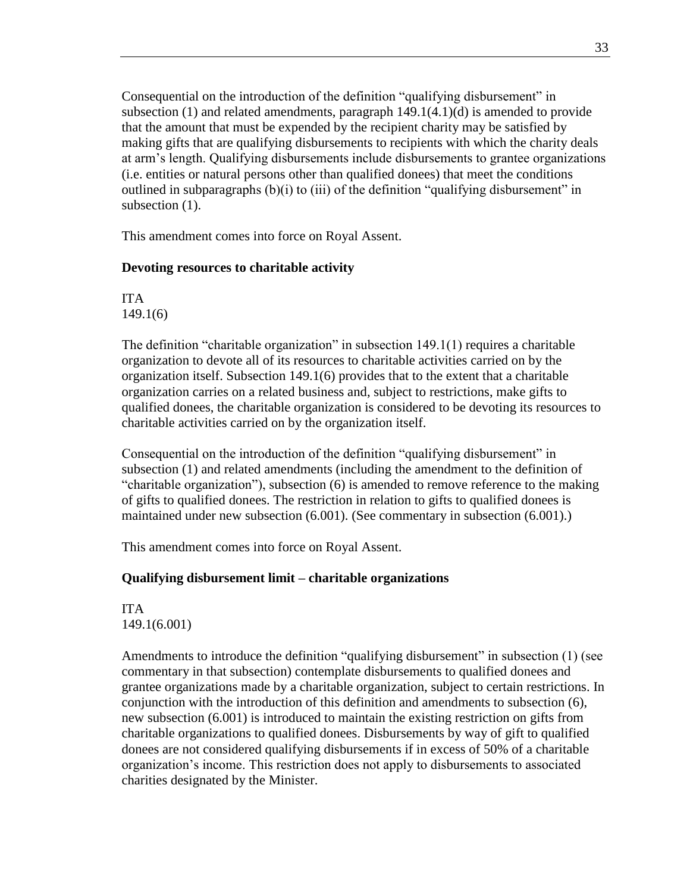Consequential on the introduction of the definition "qualifying disbursement" in subsection  $(1)$  and related amendments, paragraph  $149.1(4.1)(d)$  is amended to provide that the amount that must be expended by the recipient charity may be satisfied by making gifts that are qualifying disbursements to recipients with which the charity deals at arm's length. Qualifying disbursements include disbursements to grantee organizations (i.e. entities or natural persons other than qualified donees) that meet the conditions outlined in subparagraphs  $(b)(i)$  to (iii) of the definition "qualifying disbursement" in subsection  $(1)$ .

This amendment comes into force on Royal Assent.

#### **Devoting resources to charitable activity**

ITA 149.1(6)

The definition "charitable organization" in subsection 149.1(1) requires a charitable organization to devote all of its resources to charitable activities carried on by the organization itself. Subsection 149.1(6) provides that to the extent that a charitable organization carries on a related business and, subject to restrictions, make gifts to qualified donees, the charitable organization is considered to be devoting its resources to charitable activities carried on by the organization itself.

Consequential on the introduction of the definition "qualifying disbursement" in subsection (1) and related amendments (including the amendment to the definition of "charitable organization"), subsection (6) is amended to remove reference to the making of gifts to qualified donees. The restriction in relation to gifts to qualified donees is maintained under new subsection (6.001). (See commentary in subsection (6.001).)

This amendment comes into force on Royal Assent.

## **Qualifying disbursement limit – charitable organizations**

ITA 149.1(6.001)

Amendments to introduce the definition "qualifying disbursement" in subsection (1) (see commentary in that subsection) contemplate disbursements to qualified donees and grantee organizations made by a charitable organization, subject to certain restrictions. In conjunction with the introduction of this definition and amendments to subsection (6), new subsection (6.001) is introduced to maintain the existing restriction on gifts from charitable organizations to qualified donees. Disbursements by way of gift to qualified donees are not considered qualifying disbursements if in excess of 50% of a charitable organization's income. This restriction does not apply to disbursements to associated charities designated by the Minister.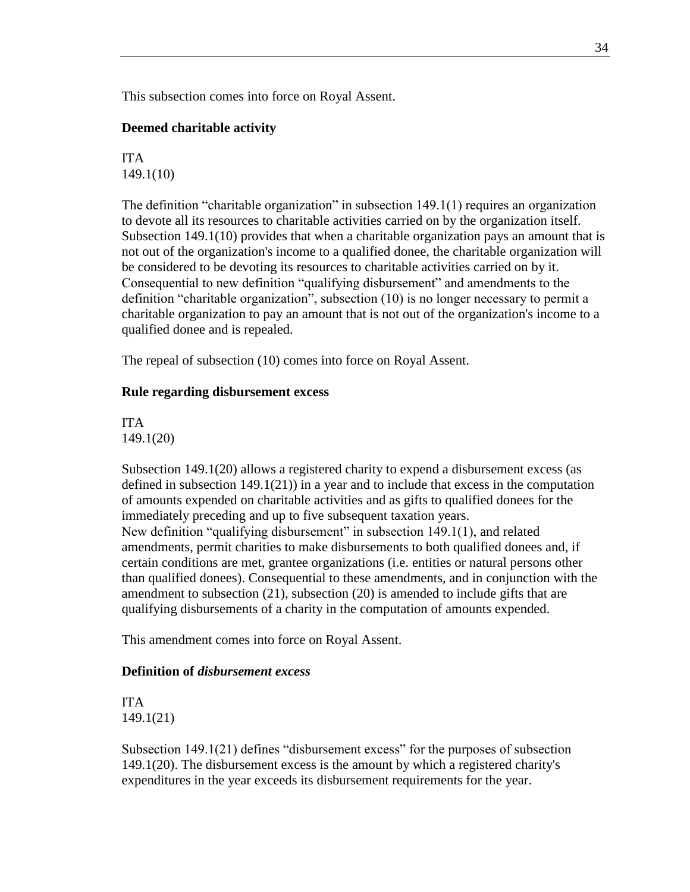This subsection comes into force on Royal Assent.

#### **Deemed charitable activity**

ITA 149.1(10)

The definition "charitable organization" in subsection 149.1(1) requires an organization to devote all its resources to charitable activities carried on by the organization itself. Subsection  $149.1(10)$  provides that when a charitable organization pays an amount that is not out of the organization's income to a qualified donee, the charitable organization will be considered to be devoting its resources to charitable activities carried on by it. Consequential to new definition "qualifying disbursement" and amendments to the definition "charitable organization", subsection (10) is no longer necessary to permit a charitable organization to pay an amount that is not out of the organization's income to a qualified donee and is repealed.

The repeal of subsection (10) comes into force on Royal Assent.

#### **Rule regarding disbursement excess**

ITA 149.1(20)

Subsection 149.1(20) allows a registered charity to expend a disbursement excess (as defined in subsection  $149.1(21)$  in a year and to include that excess in the computation of amounts expended on charitable activities and as gifts to qualified donees for the immediately preceding and up to five subsequent taxation years. New definition "qualifying disbursement" in subsection 149.1(1), and related amendments, permit charities to make disbursements to both qualified donees and, if certain conditions are met, grantee organizations (i.e. entities or natural persons other than qualified donees). Consequential to these amendments, and in conjunction with the amendment to subsection (21), subsection (20) is amended to include gifts that are qualifying disbursements of a charity in the computation of amounts expended.

This amendment comes into force on Royal Assent.

#### **Definition of** *disbursement excess*

ITA 149.1(21)

Subsection 149.1(21) defines "disbursement excess" for the purposes of subsection 149.1(20). The disbursement excess is the amount by which a registered charity's expenditures in the year exceeds its disbursement requirements for the year.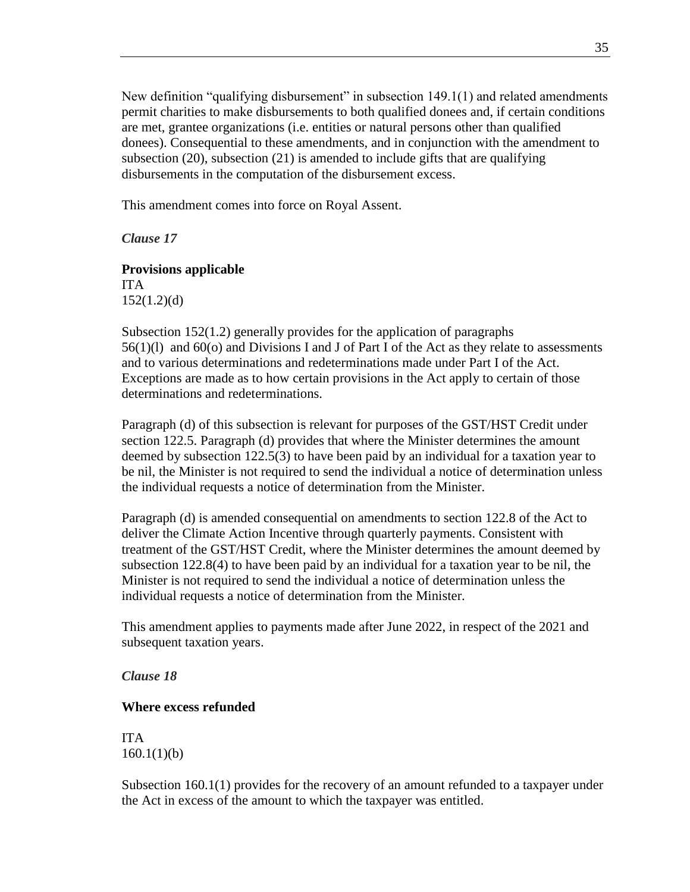New definition "qualifying disbursement" in subsection 149.1(1) and related amendments permit charities to make disbursements to both qualified donees and, if certain conditions are met, grantee organizations (i.e. entities or natural persons other than qualified donees). Consequential to these amendments, and in conjunction with the amendment to subsection (20), subsection (21) is amended to include gifts that are qualifying disbursements in the computation of the disbursement excess.

This amendment comes into force on Royal Assent.

<span id="page-34-0"></span>*Clause 17*

**Provisions applicable** ITA 152(1.2)(d)

Subsection 152(1.2) generally provides for the application of paragraphs 56(1)(l) and 60(o) and Divisions I and J of Part I of the Act as they relate to assessments and to various determinations and redeterminations made under Part I of the Act. Exceptions are made as to how certain provisions in the Act apply to certain of those determinations and redeterminations.

Paragraph (d) of this subsection is relevant for purposes of the GST/HST Credit under section 122.5. Paragraph (d) provides that where the Minister determines the amount deemed by subsection 122.5(3) to have been paid by an individual for a taxation year to be nil, the Minister is not required to send the individual a notice of determination unless the individual requests a notice of determination from the Minister.

Paragraph (d) is amended consequential on amendments to section 122.8 of the Act to deliver the Climate Action Incentive through quarterly payments. Consistent with treatment of the GST/HST Credit, where the Minister determines the amount deemed by subsection 122.8(4) to have been paid by an individual for a taxation year to be nil, the Minister is not required to send the individual a notice of determination unless the individual requests a notice of determination from the Minister.

This amendment applies to payments made after June 2022, in respect of the 2021 and subsequent taxation years.

<span id="page-34-1"></span>*Clause 18*

#### **Where excess refunded**

ITA  $160.1(1)(b)$ 

Subsection 160.1(1) provides for the recovery of an amount refunded to a taxpayer under the Act in excess of the amount to which the taxpayer was entitled.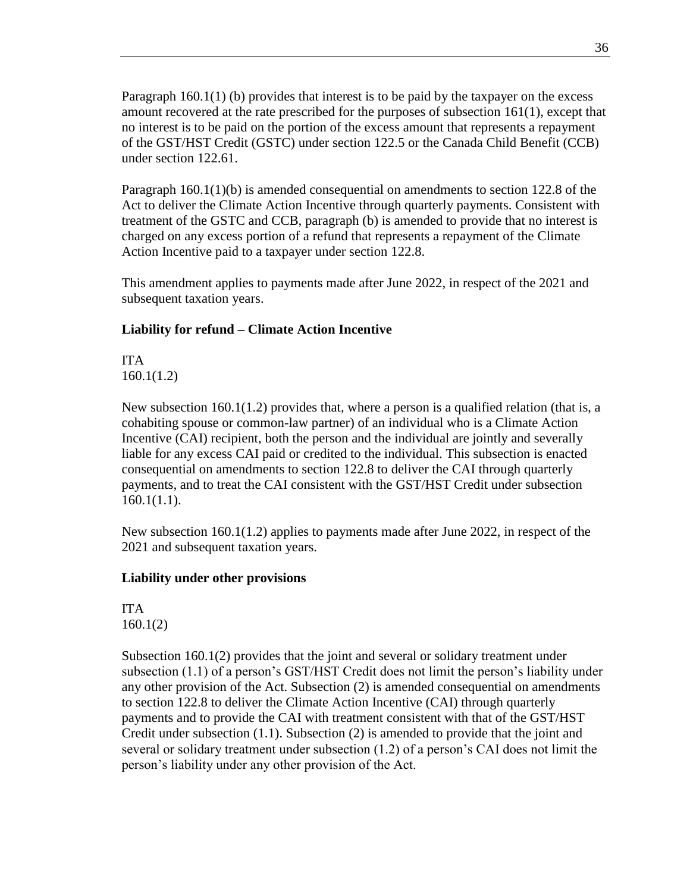Paragraph 160.1(1) (b) provides that interest is to be paid by the taxpayer on the excess amount recovered at the rate prescribed for the purposes of subsection 161(1), except that no interest is to be paid on the portion of the excess amount that represents a repayment of the GST/HST Credit (GSTC) under section 122.5 or the Canada Child Benefit (CCB) under section 122.61.

Paragraph 160.1(1)(b) is amended consequential on amendments to section 122.8 of the Act to deliver the Climate Action Incentive through quarterly payments. Consistent with treatment of the GSTC and CCB, paragraph (b) is amended to provide that no interest is charged on any excess portion of a refund that represents a repayment of the Climate Action Incentive paid to a taxpayer under section 122.8.

This amendment applies to payments made after June 2022, in respect of the 2021 and subsequent taxation years.

## **Liability for refund – Climate Action Incentive**

ITA 160.1(1.2)

New subsection 160.1(1.2) provides that, where a person is a qualified relation (that is, a cohabiting spouse or common-law partner) of an individual who is a Climate Action Incentive (CAI) recipient, both the person and the individual are jointly and severally liable for any excess CAI paid or credited to the individual. This subsection is enacted consequential on amendments to section 122.8 to deliver the CAI through quarterly payments, and to treat the CAI consistent with the GST/HST Credit under subsection 160.1(1.1).

New subsection 160.1(1.2) applies to payments made after June 2022, in respect of the 2021 and subsequent taxation years.

## **Liability under other provisions**

ITA 160.1(2)

Subsection 160.1(2) provides that the joint and several or solidary treatment under subsection (1.1) of a person's GST/HST Credit does not limit the person's liability under any other provision of the Act. Subsection (2) is amended consequential on amendments to section 122.8 to deliver the Climate Action Incentive (CAI) through quarterly payments and to provide the CAI with treatment consistent with that of the GST/HST Credit under subsection (1.1). Subsection (2) is amended to provide that the joint and several or solidary treatment under subsection (1.2) of a person's CAI does not limit the person's liability under any other provision of the Act.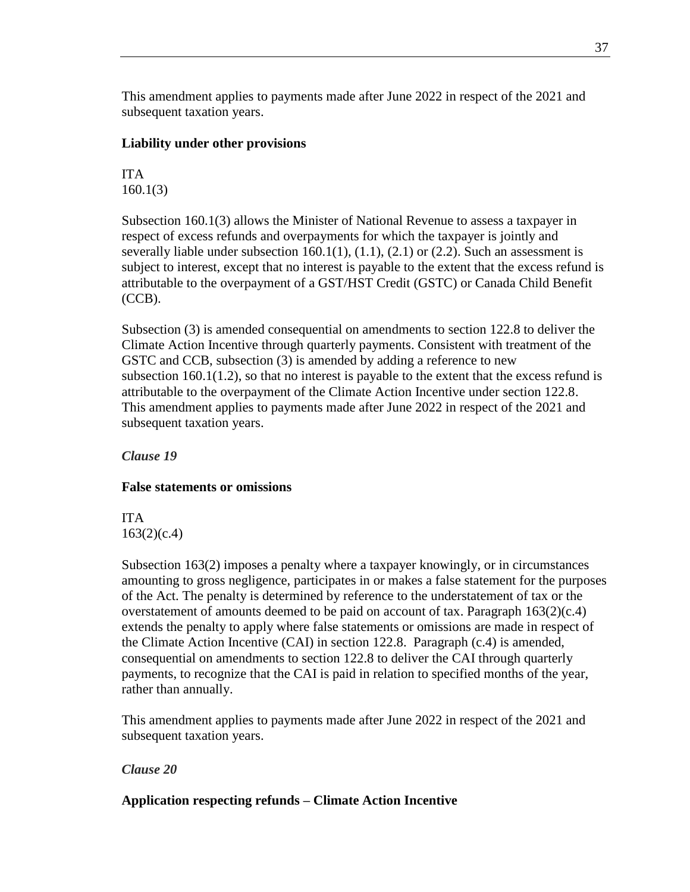This amendment applies to payments made after June 2022 in respect of the 2021 and subsequent taxation years.

### **Liability under other provisions**

## ITA 160.1(3)

Subsection 160.1(3) allows the Minister of National Revenue to assess a taxpayer in respect of excess refunds and overpayments for which the taxpayer is jointly and severally liable under subsection  $160.1(1)$ ,  $(1.1)$ ,  $(2.1)$  or  $(2.2)$ . Such an assessment is subject to interest, except that no interest is payable to the extent that the excess refund is attributable to the overpayment of a GST/HST Credit (GSTC) or Canada Child Benefit (CCB).

Subsection (3) is amended consequential on amendments to section 122.8 to deliver the Climate Action Incentive through quarterly payments. Consistent with treatment of the GSTC and CCB, subsection (3) is amended by adding a reference to new subsection  $160.1(1.2)$ , so that no interest is payable to the extent that the excess refund is attributable to the overpayment of the Climate Action Incentive under section 122.8. This amendment applies to payments made after June 2022 in respect of the 2021 and subsequent taxation years.

*Clause 19*

# **False statements or omissions**

ITA 163(2)(c.4)

Subsection 163(2) imposes a penalty where a taxpayer knowingly, or in circumstances amounting to gross negligence, participates in or makes a false statement for the purposes of the Act. The penalty is determined by reference to the understatement of tax or the overstatement of amounts deemed to be paid on account of tax. Paragraph 163(2)(c.4) extends the penalty to apply where false statements or omissions are made in respect of the Climate Action Incentive (CAI) in section 122.8. Paragraph (c.4) is amended, consequential on amendments to section 122.8 to deliver the CAI through quarterly payments, to recognize that the CAI is paid in relation to specified months of the year, rather than annually.

This amendment applies to payments made after June 2022 in respect of the 2021 and subsequent taxation years.

# *Clause 20*

# **Application respecting refunds – Climate Action Incentive**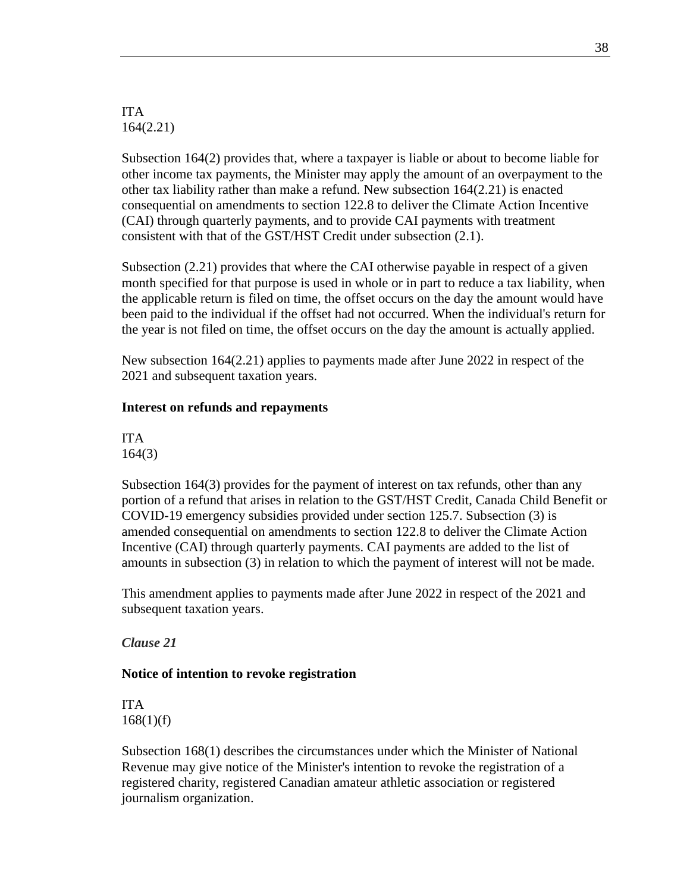ITA 164(2.21)

Subsection 164(2) provides that, where a taxpayer is liable or about to become liable for other income tax payments, the Minister may apply the amount of an overpayment to the other tax liability rather than make a refund. New subsection 164(2.21) is enacted consequential on amendments to section 122.8 to deliver the Climate Action Incentive (CAI) through quarterly payments, and to provide CAI payments with treatment consistent with that of the GST/HST Credit under subsection (2.1).

Subsection (2.21) provides that where the CAI otherwise payable in respect of a given month specified for that purpose is used in whole or in part to reduce a tax liability, when the applicable return is filed on time, the offset occurs on the day the amount would have been paid to the individual if the offset had not occurred. When the individual's return for the year is not filed on time, the offset occurs on the day the amount is actually applied.

New subsection 164(2.21) applies to payments made after June 2022 in respect of the 2021 and subsequent taxation years.

#### **Interest on refunds and repayments**

ITA 164(3)

Subsection 164(3) provides for the payment of interest on tax refunds, other than any portion of a refund that arises in relation to the GST/HST Credit, Canada Child Benefit or COVID-19 emergency subsidies provided under section 125.7. Subsection (3) is amended consequential on amendments to section 122.8 to deliver the Climate Action Incentive (CAI) through quarterly payments. CAI payments are added to the list of amounts in subsection (3) in relation to which the payment of interest will not be made.

This amendment applies to payments made after June 2022 in respect of the 2021 and subsequent taxation years.

*Clause 21*

#### **Notice of intention to revoke registration**

ITA  $168(1)(f)$ 

Subsection 168(1) describes the circumstances under which the Minister of National Revenue may give notice of the Minister's intention to revoke the registration of a registered charity, registered Canadian amateur athletic association or registered journalism organization.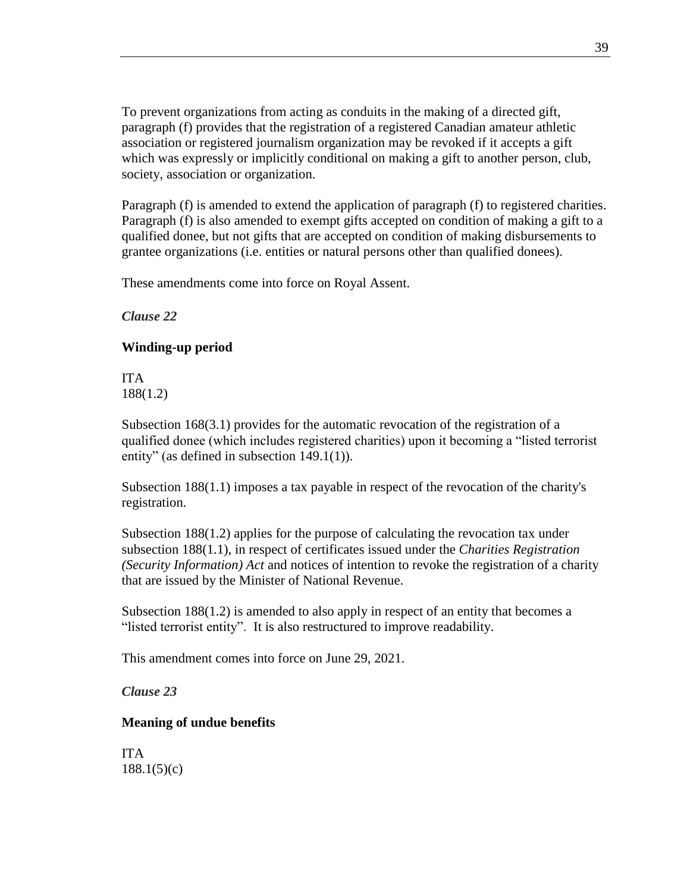To prevent organizations from acting as conduits in the making of a directed gift, paragraph (f) provides that the registration of a registered Canadian amateur athletic association or registered journalism organization may be revoked if it accepts a gift which was expressly or implicitly conditional on making a gift to another person, club, society, association or organization.

Paragraph (f) is amended to extend the application of paragraph (f) to registered charities. Paragraph (f) is also amended to exempt gifts accepted on condition of making a gift to a qualified donee, but not gifts that are accepted on condition of making disbursements to grantee organizations (i.e. entities or natural persons other than qualified donees).

These amendments come into force on Royal Assent.

*Clause 22*

### **Winding-up period**

ITA 188(1.2)

Subsection 168(3.1) provides for the automatic revocation of the registration of a qualified donee (which includes registered charities) upon it becoming a "listed terrorist entity" (as defined in subsection 149.1(1)).

Subsection 188(1.1) imposes a tax payable in respect of the revocation of the charity's registration.

Subsection 188(1.2) applies for the purpose of calculating the revocation tax under subsection 188(1.1), in respect of certificates issued under the *Charities Registration (Security Information) Act* and notices of intention to revoke the registration of a charity that are issued by the Minister of National Revenue.

Subsection  $188(1.2)$  is amended to also apply in respect of an entity that becomes a "listed terrorist entity". It is also restructured to improve readability.

This amendment comes into force on June 29, 2021.

*Clause 23*

### **Meaning of undue benefits**

ITA 188.1(5)(c)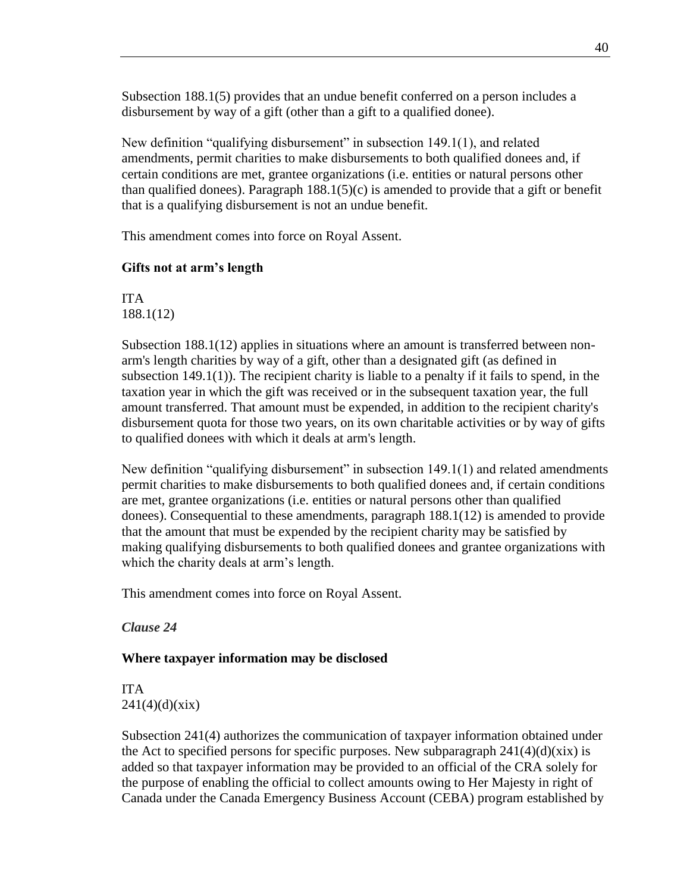Subsection 188.1(5) provides that an undue benefit conferred on a person includes a disbursement by way of a gift (other than a gift to a qualified donee).

New definition "qualifying disbursement" in subsection 149.1(1), and related amendments, permit charities to make disbursements to both qualified donees and, if certain conditions are met, grantee organizations (i.e. entities or natural persons other than qualified donees). Paragraph  $188.1(5)(c)$  is amended to provide that a gift or benefit that is a qualifying disbursement is not an undue benefit.

This amendment comes into force on Royal Assent.

### **Gifts not at arm's length**

ITA 188.1(12)

Subsection 188.1(12) applies in situations where an amount is transferred between nonarm's length charities by way of a gift, other than a designated gift (as defined in subsection  $149.1(1)$ ). The recipient charity is liable to a penalty if it fails to spend, in the taxation year in which the gift was received or in the subsequent taxation year, the full amount transferred. That amount must be expended, in addition to the recipient charity's disbursement quota for those two years, on its own charitable activities or by way of gifts to qualified donees with which it deals at arm's length.

New definition "qualifying disbursement" in subsection 149.1(1) and related amendments permit charities to make disbursements to both qualified donees and, if certain conditions are met, grantee organizations (i.e. entities or natural persons other than qualified donees). Consequential to these amendments, paragraph 188.1(12) is amended to provide that the amount that must be expended by the recipient charity may be satisfied by making qualifying disbursements to both qualified donees and grantee organizations with which the charity deals at arm's length.

This amendment comes into force on Royal Assent.

### *Clause 24*

### **Where taxpayer information may be disclosed**

ITA  $241(4)(d)(xix)$ 

Subsection 241(4) authorizes the communication of taxpayer information obtained under the Act to specified persons for specific purposes. New subparagraph  $241(4)(d)(xix)$  is added so that taxpayer information may be provided to an official of the CRA solely for the purpose of enabling the official to collect amounts owing to Her Majesty in right of Canada under the Canada Emergency Business Account (CEBA) program established by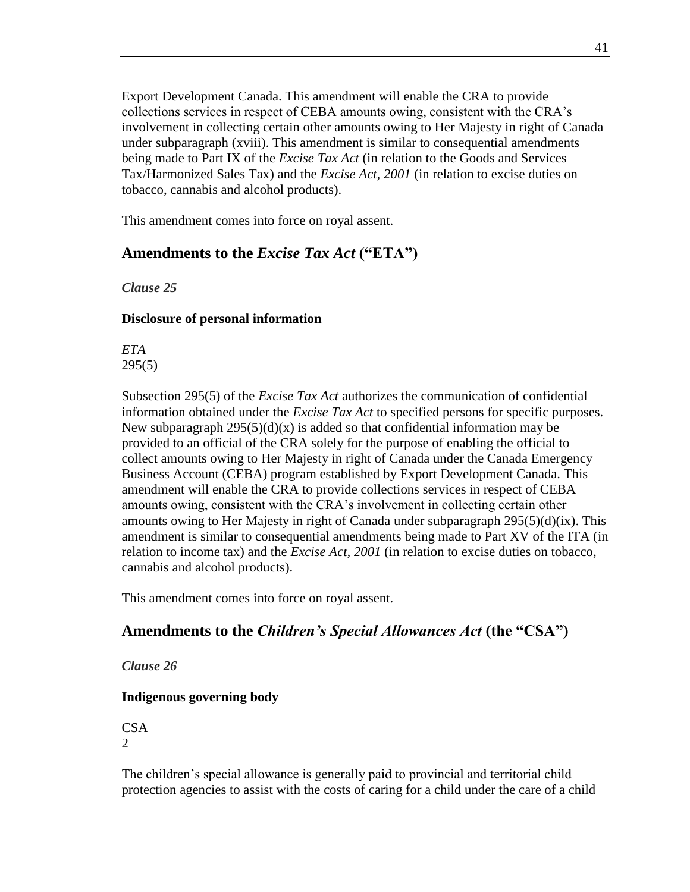Export Development Canada. This amendment will enable the CRA to provide collections services in respect of CEBA amounts owing, consistent with the CRA's involvement in collecting certain other amounts owing to Her Majesty in right of Canada under subparagraph (xviii). This amendment is similar to consequential amendments being made to Part IX of the *Excise Tax Act* (in relation to the Goods and Services Tax/Harmonized Sales Tax) and the *Excise Act, 2001* (in relation to excise duties on tobacco, cannabis and alcohol products).

This amendment comes into force on royal assent.

# **Amendments to the** *Excise Tax Act* **("ETA")**

*Clause 25*

### **Disclosure of personal information**

*ETA* 295(5)

Subsection 295(5) of the *Excise Tax Act* authorizes the communication of confidential information obtained under the *Excise Tax Act* to specified persons for specific purposes. New subparagraph  $295(5)(d)(x)$  is added so that confidential information may be provided to an official of the CRA solely for the purpose of enabling the official to collect amounts owing to Her Majesty in right of Canada under the Canada Emergency Business Account (CEBA) program established by Export Development Canada. This amendment will enable the CRA to provide collections services in respect of CEBA amounts owing, consistent with the CRA's involvement in collecting certain other amounts owing to Her Majesty in right of Canada under subparagraph 295(5)(d)(ix). This amendment is similar to consequential amendments being made to Part XV of the ITA (in relation to income tax) and the *Excise Act, 2001* (in relation to excise duties on tobacco, cannabis and alcohol products).

This amendment comes into force on royal assent.

# **Amendments to the** *Children's Special Allowances Act* **(the "CSA")**

*Clause 26*

# **Indigenous governing body**

CSA 2

The children's special allowance is generally paid to provincial and territorial child protection agencies to assist with the costs of caring for a child under the care of a child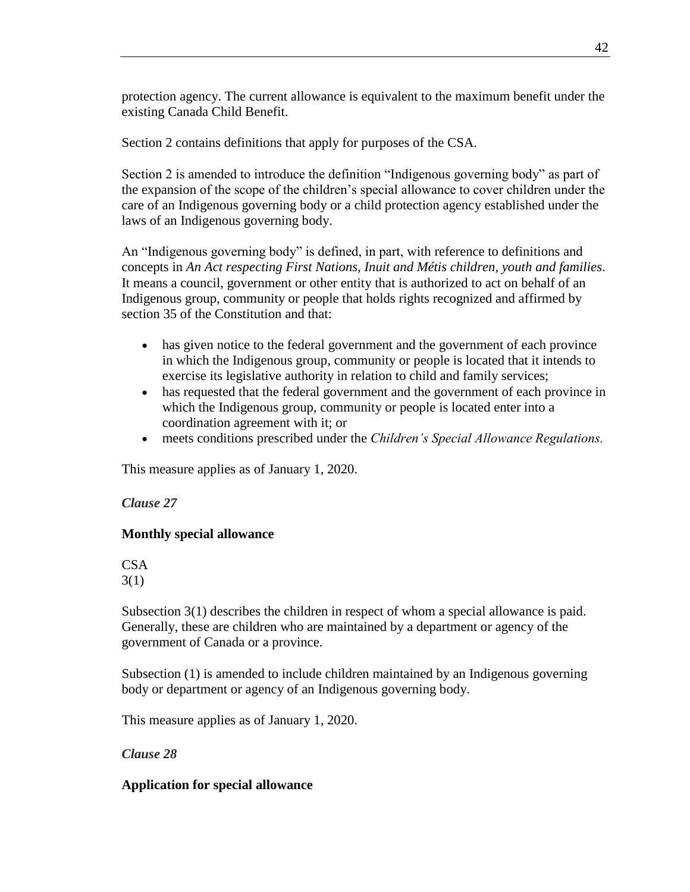protection agency. The current allowance is equivalent to the maximum benefit under the existing Canada Child Benefit.

Section 2 contains definitions that apply for purposes of the CSA.

Section 2 is amended to introduce the definition "Indigenous governing body" as part of the expansion of the scope of the children's special allowance to cover children under the care of an Indigenous governing body or a child protection agency established under the laws of an Indigenous governing body.

An "Indigenous governing body" is defined, in part, with reference to definitions and concepts in *An Act respecting First Nations, Inuit and Métis children, youth and families*. It means a council, government or other entity that is authorized to act on behalf of an Indigenous group, community or people that holds rights recognized and affirmed by section 35 of the Constitution and that:

- has given notice to the federal government and the government of each province in which the Indigenous group, community or people is located that it intends to exercise its legislative authority in relation to child and family services;
- has requested that the federal government and the government of each province in which the Indigenous group, community or people is located enter into a coordination agreement with it; or
- meets conditions prescribed under the *Children's Special Allowance Regulations.*

This measure applies as of January 1, 2020.

### *Clause 27*

# **Monthly special allowance**

CSA 3(1)

Subsection 3(1) describes the children in respect of whom a special allowance is paid. Generally, these are children who are maintained by a department or agency of the government of Canada or a province.

Subsection (1) is amended to include children maintained by an Indigenous governing body or department or agency of an Indigenous governing body.

This measure applies as of January 1, 2020.

*Clause 28*

### **Application for special allowance**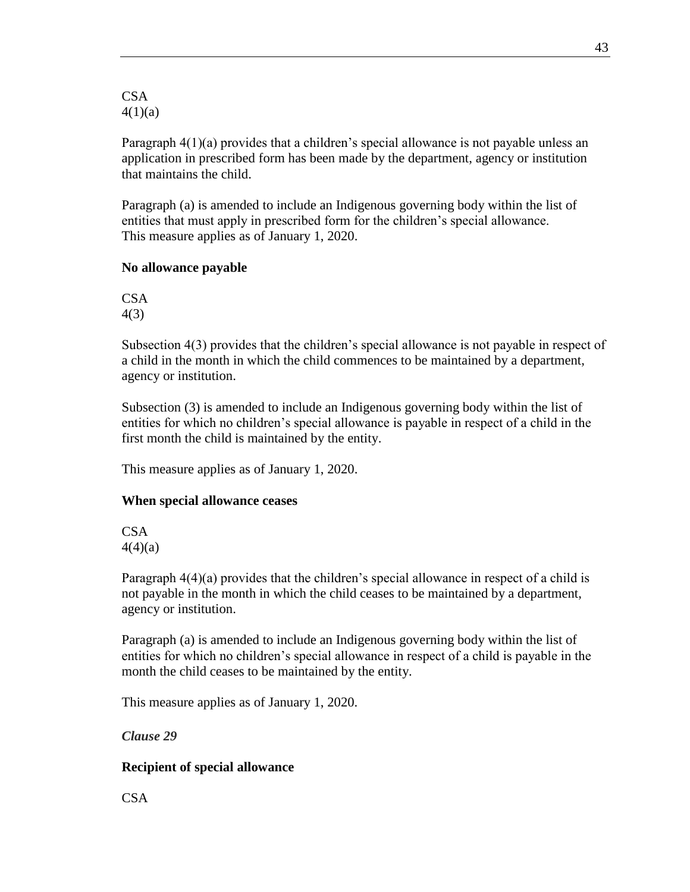CSA 4(1)(a)

Paragraph 4(1)(a) provides that a children's special allowance is not payable unless an application in prescribed form has been made by the department, agency or institution that maintains the child.

Paragraph (a) is amended to include an Indigenous governing body within the list of entities that must apply in prescribed form for the children's special allowance. This measure applies as of January 1, 2020.

#### **No allowance payable**

**CSA** 4(3)

Subsection 4(3) provides that the children's special allowance is not payable in respect of a child in the month in which the child commences to be maintained by a department, agency or institution.

Subsection (3) is amended to include an Indigenous governing body within the list of entities for which no children's special allowance is payable in respect of a child in the first month the child is maintained by the entity.

This measure applies as of January 1, 2020.

#### **When special allowance ceases**

**CSA**  $4(4)(a)$ 

Paragraph 4(4)(a) provides that the children's special allowance in respect of a child is not payable in the month in which the child ceases to be maintained by a department, agency or institution.

Paragraph (a) is amended to include an Indigenous governing body within the list of entities for which no children's special allowance in respect of a child is payable in the month the child ceases to be maintained by the entity.

This measure applies as of January 1, 2020.

*Clause 29*

### **Recipient of special allowance**

CSA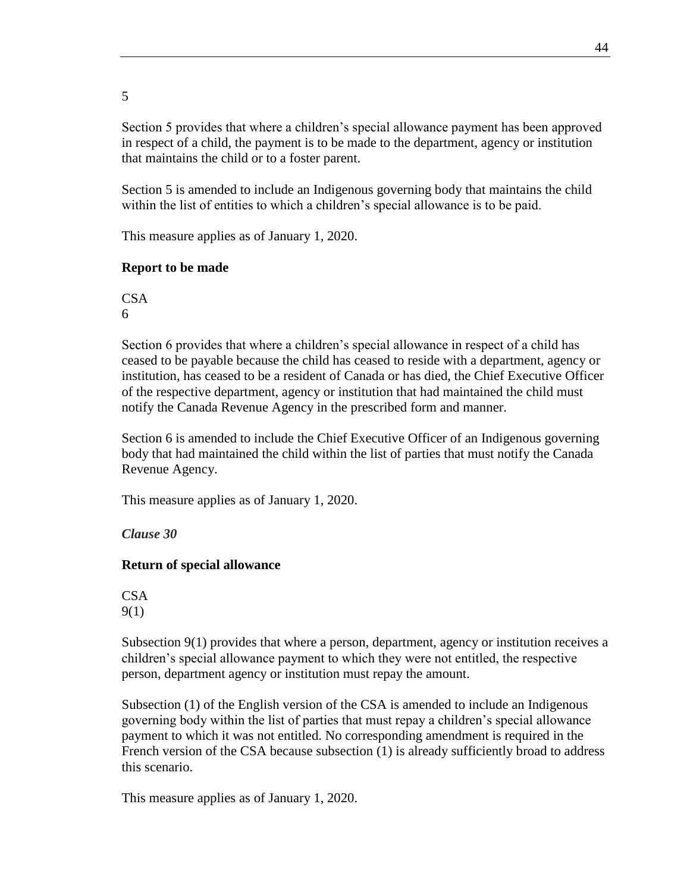5

Section 5 provides that where a children's special allowance payment has been approved in respect of a child, the payment is to be made to the department, agency or institution that maintains the child or to a foster parent.

Section 5 is amended to include an Indigenous governing body that maintains the child within the list of entities to which a children's special allowance is to be paid.

This measure applies as of January 1, 2020.

### **Report to be made**

**CSA** 6

Section 6 provides that where a children's special allowance in respect of a child has ceased to be payable because the child has ceased to reside with a department, agency or institution, has ceased to be a resident of Canada or has died, the Chief Executive Officer of the respective department, agency or institution that had maintained the child must notify the Canada Revenue Agency in the prescribed form and manner.

Section 6 is amended to include the Chief Executive Officer of an Indigenous governing body that had maintained the child within the list of parties that must notify the Canada Revenue Agency.

This measure applies as of January 1, 2020.

*Clause 30*

### **Return of special allowance**

**CSA** 9(1)

Subsection 9(1) provides that where a person, department, agency or institution receives a children's special allowance payment to which they were not entitled, the respective person, department agency or institution must repay the amount.

Subsection (1) of the English version of the CSA is amended to include an Indigenous governing body within the list of parties that must repay a children's special allowance payment to which it was not entitled. No corresponding amendment is required in the French version of the CSA because subsection (1) is already sufficiently broad to address this scenario.

This measure applies as of January 1, 2020.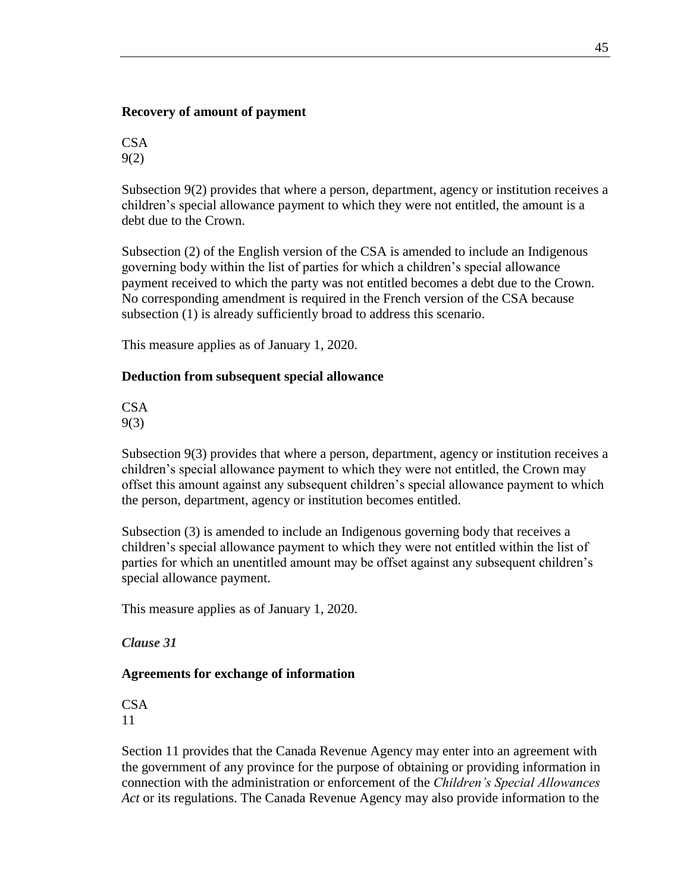### **Recovery of amount of payment**

**CSA** 9(2)

Subsection 9(2) provides that where a person, department, agency or institution receives a children's special allowance payment to which they were not entitled, the amount is a debt due to the Crown.

Subsection (2) of the English version of the CSA is amended to include an Indigenous governing body within the list of parties for which a children's special allowance payment received to which the party was not entitled becomes a debt due to the Crown. No corresponding amendment is required in the French version of the CSA because subsection (1) is already sufficiently broad to address this scenario.

This measure applies as of January 1, 2020.

### **Deduction from subsequent special allowance**

CSA 9(3)

Subsection 9(3) provides that where a person, department, agency or institution receives a children's special allowance payment to which they were not entitled, the Crown may offset this amount against any subsequent children's special allowance payment to which the person, department, agency or institution becomes entitled.

Subsection (3) is amended to include an Indigenous governing body that receives a children's special allowance payment to which they were not entitled within the list of parties for which an unentitled amount may be offset against any subsequent children's special allowance payment.

This measure applies as of January 1, 2020.

*Clause 31*

### **Agreements for exchange of information**

CSA 11

Section 11 provides that the Canada Revenue Agency may enter into an agreement with the government of any province for the purpose of obtaining or providing information in connection with the administration or enforcement of the *Children's Special Allowances Act* or its regulations. The Canada Revenue Agency may also provide information to the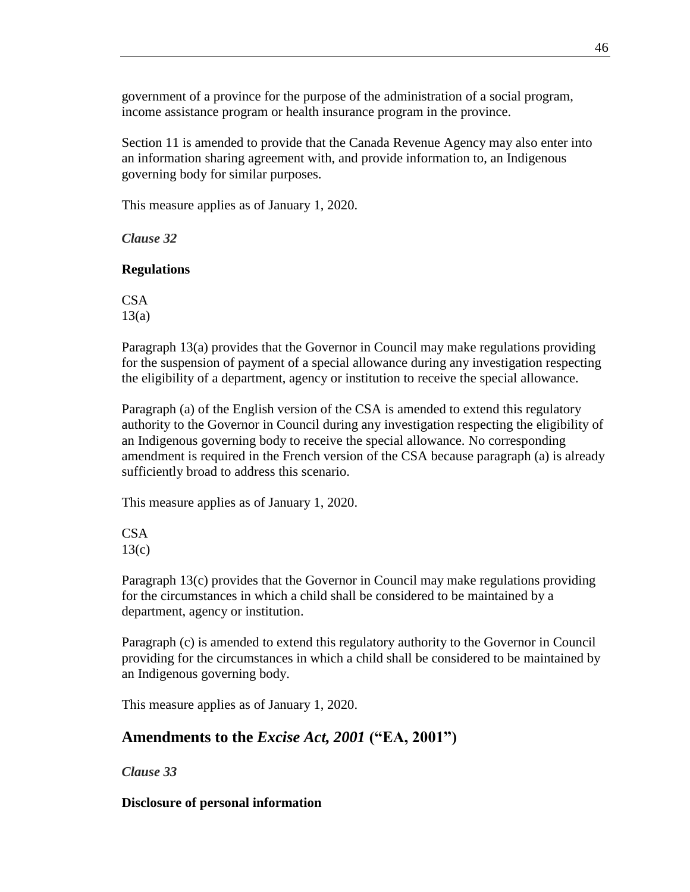government of a province for the purpose of the administration of a social program, income assistance program or health insurance program in the province.

Section 11 is amended to provide that the Canada Revenue Agency may also enter into an information sharing agreement with, and provide information to, an Indigenous governing body for similar purposes.

This measure applies as of January 1, 2020.

*Clause 32*

### **Regulations**

CSA 13(a)

Paragraph 13(a) provides that the Governor in Council may make regulations providing for the suspension of payment of a special allowance during any investigation respecting the eligibility of a department, agency or institution to receive the special allowance.

Paragraph (a) of the English version of the CSA is amended to extend this regulatory authority to the Governor in Council during any investigation respecting the eligibility of an Indigenous governing body to receive the special allowance. No corresponding amendment is required in the French version of the CSA because paragraph (a) is already sufficiently broad to address this scenario.

This measure applies as of January 1, 2020.

**CSA** 13(c)

Paragraph 13(c) provides that the Governor in Council may make regulations providing for the circumstances in which a child shall be considered to be maintained by a department, agency or institution.

Paragraph (c) is amended to extend this regulatory authority to the Governor in Council providing for the circumstances in which a child shall be considered to be maintained by an Indigenous governing body.

This measure applies as of January 1, 2020.

# **Amendments to the** *Excise Act, 2001* **("EA, 2001")**

*Clause 33*

# **Disclosure of personal information**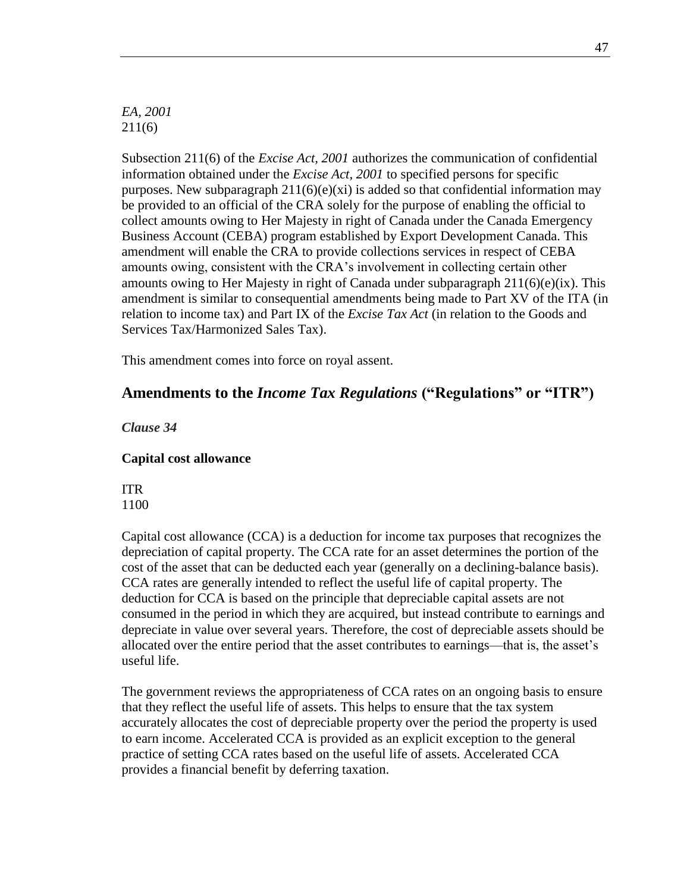*EA, 2001* 211(6)

Subsection 211(6) of the *Excise Act, 2001* authorizes the communication of confidential information obtained under the *Excise Act, 2001* to specified persons for specific purposes. New subparagraph  $211(6)(e)(xi)$  is added so that confidential information may be provided to an official of the CRA solely for the purpose of enabling the official to collect amounts owing to Her Majesty in right of Canada under the Canada Emergency Business Account (CEBA) program established by Export Development Canada. This amendment will enable the CRA to provide collections services in respect of CEBA amounts owing, consistent with the CRA's involvement in collecting certain other amounts owing to Her Majesty in right of Canada under subparagraph  $211(6)(e)(ix)$ . This amendment is similar to consequential amendments being made to Part XV of the ITA (in relation to income tax) and Part IX of the *Excise Tax Act* (in relation to the Goods and Services Tax/Harmonized Sales Tax).

This amendment comes into force on royal assent.

### **Amendments to the** *Income Tax Regulations* **("Regulations" or "ITR")**

*Clause 34*

#### **Capital cost allowance**

ITR 1100

Capital cost allowance (CCA) is a deduction for income tax purposes that recognizes the depreciation of capital property. The CCA rate for an asset determines the portion of the cost of the asset that can be deducted each year (generally on a declining-balance basis). CCA rates are generally intended to reflect the useful life of capital property. The deduction for CCA is based on the principle that depreciable capital assets are not consumed in the period in which they are acquired, but instead contribute to earnings and depreciate in value over several years. Therefore, the cost of depreciable assets should be allocated over the entire period that the asset contributes to earnings—that is, the asset's useful life.

The government reviews the appropriateness of CCA rates on an ongoing basis to ensure that they reflect the useful life of assets. This helps to ensure that the tax system accurately allocates the cost of depreciable property over the period the property is used to earn income. Accelerated CCA is provided as an explicit exception to the general practice of setting CCA rates based on the useful life of assets. Accelerated CCA provides a financial benefit by deferring taxation.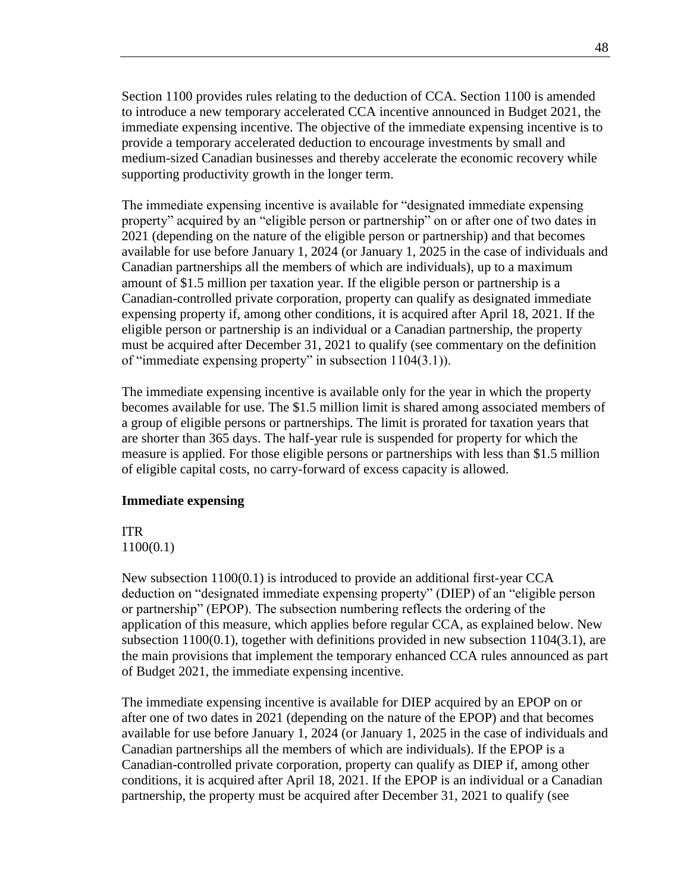Section 1100 provides rules relating to the deduction of CCA. Section 1100 is amended to introduce a new temporary accelerated CCA incentive announced in Budget 2021, the immediate expensing incentive. The objective of the immediate expensing incentive is to provide a temporary accelerated deduction to encourage investments by small and medium-sized Canadian businesses and thereby accelerate the economic recovery while supporting productivity growth in the longer term.

The immediate expensing incentive is available for "designated immediate expensing property" acquired by an "eligible person or partnership" on or after one of two dates in 2021 (depending on the nature of the eligible person or partnership) and that becomes available for use before January 1, 2024 (or January 1, 2025 in the case of individuals and Canadian partnerships all the members of which are individuals), up to a maximum amount of \$1.5 million per taxation year. If the eligible person or partnership is a Canadian-controlled private corporation, property can qualify as designated immediate expensing property if, among other conditions, it is acquired after April 18, 2021. If the eligible person or partnership is an individual or a Canadian partnership, the property must be acquired after December 31, 2021 to qualify (see commentary on the definition of "immediate expensing property" in subsection 1104(3.1)).

The immediate expensing incentive is available only for the year in which the property becomes available for use. The \$1.5 million limit is shared among associated members of a group of eligible persons or partnerships. The limit is prorated for taxation years that are shorter than 365 days. The half-year rule is suspended for property for which the measure is applied. For those eligible persons or partnerships with less than \$1.5 million of eligible capital costs, no carry-forward of excess capacity is allowed.

#### **Immediate expensing**

# ITR

1100(0.1)

New subsection 1100(0.1) is introduced to provide an additional first-year CCA deduction on "designated immediate expensing property" (DIEP) of an "eligible person or partnership" (EPOP). The subsection numbering reflects the ordering of the application of this measure, which applies before regular CCA, as explained below. New subsection  $1100(0.1)$ , together with definitions provided in new subsection  $1104(3.1)$ , are the main provisions that implement the temporary enhanced CCA rules announced as part of Budget 2021, the immediate expensing incentive.

The immediate expensing incentive is available for DIEP acquired by an EPOP on or after one of two dates in 2021 (depending on the nature of the EPOP) and that becomes available for use before January 1, 2024 (or January 1, 2025 in the case of individuals and Canadian partnerships all the members of which are individuals). If the EPOP is a Canadian-controlled private corporation, property can qualify as DIEP if, among other conditions, it is acquired after April 18, 2021. If the EPOP is an individual or a Canadian partnership, the property must be acquired after December 31, 2021 to qualify (see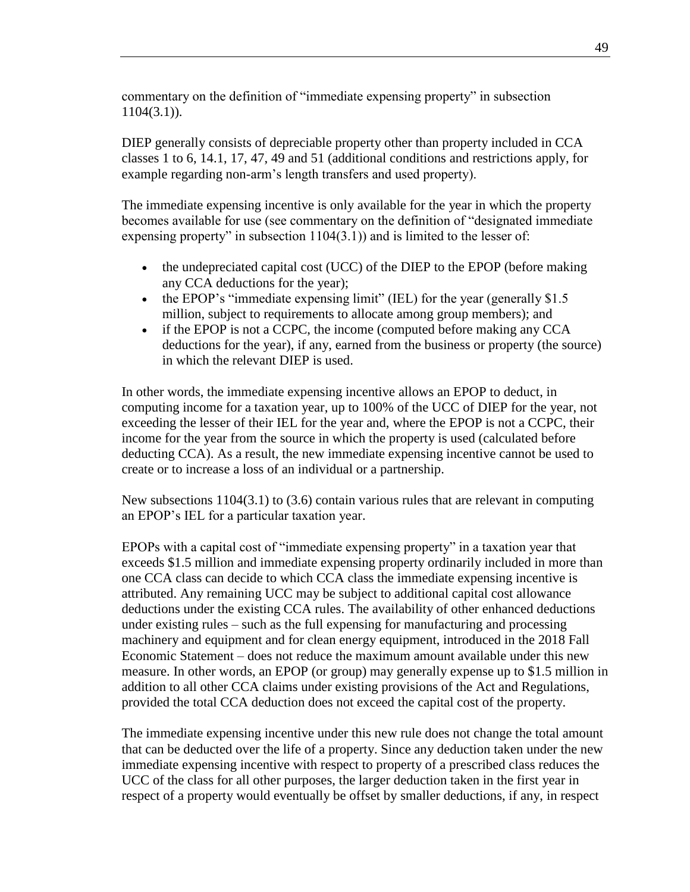commentary on the definition of "immediate expensing property" in subsection 1104(3.1)).

DIEP generally consists of depreciable property other than property included in CCA classes 1 to 6, 14.1, 17, 47, 49 and 51 (additional conditions and restrictions apply, for example regarding non-arm's length transfers and used property).

The immediate expensing incentive is only available for the year in which the property becomes available for use (see commentary on the definition of "designated immediate expensing property" in subsection 1104(3.1)) and is limited to the lesser of:

- the undepreciated capital cost (UCC) of the DIEP to the EPOP (before making any CCA deductions for the year);
- $\bullet$  the EPOP's "immediate expensing limit" (IEL) for the year (generally \$1.5 million, subject to requirements to allocate among group members); and
- if the EPOP is not a CCPC, the income (computed before making any CCA deductions for the year), if any, earned from the business or property (the source) in which the relevant DIEP is used.

In other words, the immediate expensing incentive allows an EPOP to deduct, in computing income for a taxation year, up to 100% of the UCC of DIEP for the year, not exceeding the lesser of their IEL for the year and, where the EPOP is not a CCPC, their income for the year from the source in which the property is used (calculated before deducting CCA). As a result, the new immediate expensing incentive cannot be used to create or to increase a loss of an individual or a partnership.

New subsections 1104(3.1) to (3.6) contain various rules that are relevant in computing an EPOP's IEL for a particular taxation year.

EPOPs with a capital cost of "immediate expensing property" in a taxation year that exceeds \$1.5 million and immediate expensing property ordinarily included in more than one CCA class can decide to which CCA class the immediate expensing incentive is attributed. Any remaining UCC may be subject to additional capital cost allowance deductions under the existing CCA rules. The availability of other enhanced deductions under existing rules – such as the full expensing for manufacturing and processing machinery and equipment and for clean energy equipment, introduced in the 2018 Fall Economic Statement – does not reduce the maximum amount available under this new measure. In other words, an EPOP (or group) may generally expense up to \$1.5 million in addition to all other CCA claims under existing provisions of the Act and Regulations, provided the total CCA deduction does not exceed the capital cost of the property.

The immediate expensing incentive under this new rule does not change the total amount that can be deducted over the life of a property. Since any deduction taken under the new immediate expensing incentive with respect to property of a prescribed class reduces the UCC of the class for all other purposes, the larger deduction taken in the first year in respect of a property would eventually be offset by smaller deductions, if any, in respect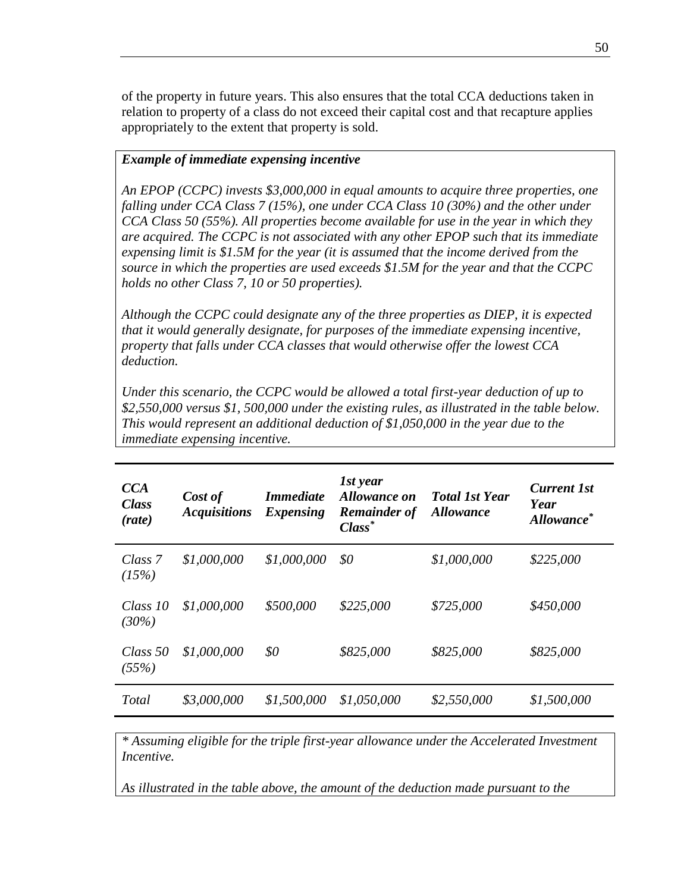of the property in future years. This also ensures that the total CCA deductions taken in relation to property of a class do not exceed their capital cost and that recapture applies appropriately to the extent that property is sold.

### *Example of immediate expensing incentive*

*An EPOP (CCPC) invests \$3,000,000 in equal amounts to acquire three properties, one falling under CCA Class 7 (15%), one under CCA Class 10 (30%) and the other under CCA Class 50 (55%). All properties become available for use in the year in which they are acquired. The CCPC is not associated with any other EPOP such that its immediate expensing limit is \$1.5M for the year (it is assumed that the income derived from the source in which the properties are used exceeds \$1.5M for the year and that the CCPC holds no other Class 7, 10 or 50 properties).*

*Although the CCPC could designate any of the three properties as DIEP, it is expected that it would generally designate, for purposes of the immediate expensing incentive, property that falls under CCA classes that would otherwise offer the lowest CCA deduction.*

*Under this scenario, the CCPC would be allowed a total first-year deduction of up to \$2,550,000 versus \$1, 500,000 under the existing rules, as illustrated in the table below. This would represent an additional deduction of \$1,050,000 in the year due to the immediate expensing incentive.*

| CCA<br><b>Class</b><br>( <i>rate</i> ) | Cost of<br><b>Acquisitions</b> | <i>Immediate</i><br><i>Expensing</i> | 1st year<br><b>Allowance on</b><br><b>Remainder of</b><br>$Class^*$ | <b>Total 1st Year</b><br><b>Allowance</b> | <b>Current 1st</b><br>Year<br>Allowance <sup>*</sup> |
|----------------------------------------|--------------------------------|--------------------------------------|---------------------------------------------------------------------|-------------------------------------------|------------------------------------------------------|
| Class 7<br>(15%)                       | \$1,000,000                    | \$1,000,000                          | \$0                                                                 | \$1,000,000                               | \$225,000                                            |
| Class $10$<br>(30%)                    | \$1,000,000                    | \$500,000                            | \$225,000                                                           | \$725,000                                 | \$450,000                                            |
| Class $50$<br>(55%)                    | \$1,000,000                    | \$0                                  | \$825,000                                                           | \$825,000                                 | \$825,000                                            |
| Total                                  | \$3,000,000                    | \$1,500,000                          | \$1,050,000                                                         | \$2,550,000                               | \$1,500,000                                          |

*\* Assuming eligible for the triple first-year allowance under the Accelerated Investment Incentive.*

*As illustrated in the table above, the amount of the deduction made pursuant to the*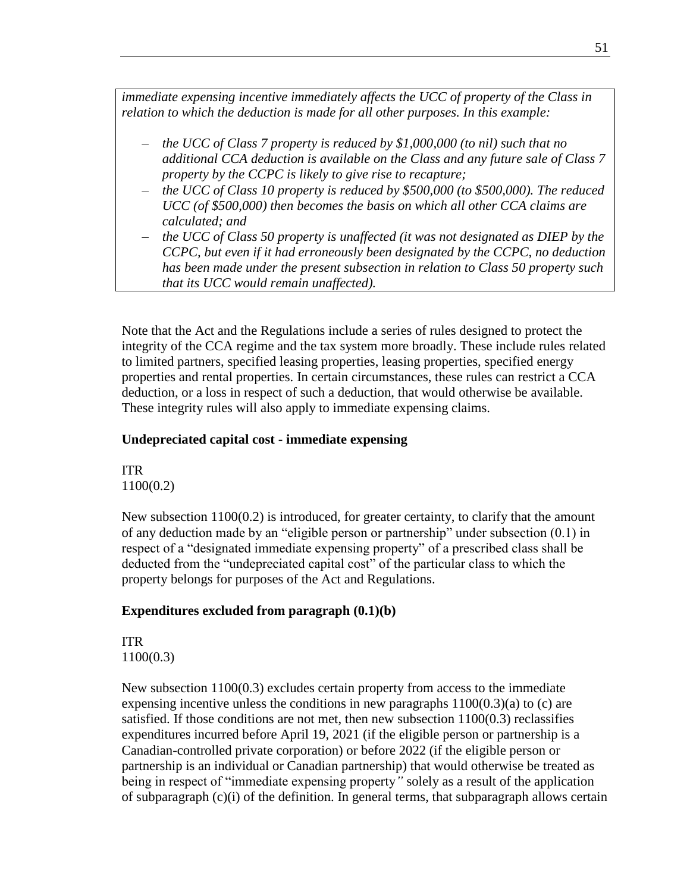*immediate expensing incentive immediately affects the UCC of property of the Class in relation to which the deduction is made for all other purposes. In this example:*

- *the UCC of Class 7 property is reduced by \$1,000,000 (to nil) such that no additional CCA deduction is available on the Class and any future sale of Class 7 property by the CCPC is likely to give rise to recapture;*
- *the UCC of Class 10 property is reduced by \$500,000 (to \$500,000). The reduced UCC (of \$500,000) then becomes the basis on which all other CCA claims are calculated; and*
- *the UCC of Class 50 property is unaffected (it was not designated as DIEP by the CCPC, but even if it had erroneously been designated by the CCPC, no deduction has been made under the present subsection in relation to Class 50 property such that its UCC would remain unaffected).*

Note that the Act and the Regulations include a series of rules designed to protect the integrity of the CCA regime and the tax system more broadly. These include rules related to limited partners, specified leasing properties, leasing properties, specified energy properties and rental properties. In certain circumstances, these rules can restrict a CCA deduction, or a loss in respect of such a deduction, that would otherwise be available. These integrity rules will also apply to immediate expensing claims.

### **Undepreciated capital cost - immediate expensing**

ITR 1100(0.2)

New subsection  $1100(0.2)$  is introduced, for greater certainty, to clarify that the amount of any deduction made by an "eligible person or partnership" under subsection (0.1) in respect of a "designated immediate expensing property" of a prescribed class shall be deducted from the "undepreciated capital cost" of the particular class to which the property belongs for purposes of the Act and Regulations.

### **Expenditures excluded from paragraph (0.1)(b)**

ITR 1100(0.3)

New subsection 1100(0.3) excludes certain property from access to the immediate expensing incentive unless the conditions in new paragraphs  $1100(0.3)(a)$  to (c) are satisfied. If those conditions are not met, then new subsection 1100(0.3) reclassifies expenditures incurred before April 19, 2021 (if the eligible person or partnership is a Canadian-controlled private corporation) or before 2022 (if the eligible person or partnership is an individual or Canadian partnership) that would otherwise be treated as being in respect of "immediate expensing property*"* solely as a result of the application of subparagraph (c)(i) of the definition. In general terms, that subparagraph allows certain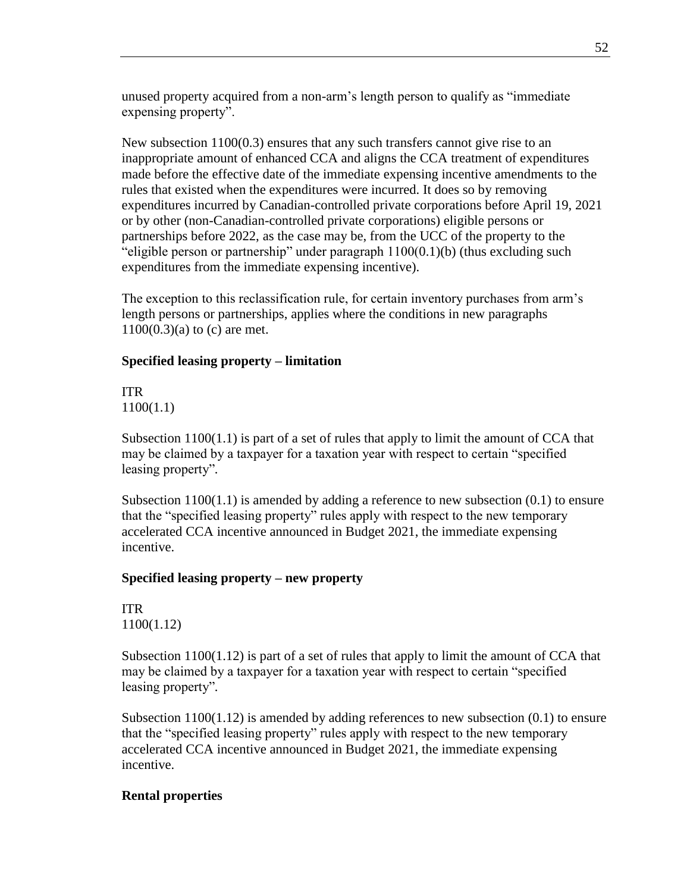unused property acquired from a non-arm's length person to qualify as "immediate expensing property".

New subsection 1100(0.3) ensures that any such transfers cannot give rise to an inappropriate amount of enhanced CCA and aligns the CCA treatment of expenditures made before the effective date of the immediate expensing incentive amendments to the rules that existed when the expenditures were incurred. It does so by removing expenditures incurred by Canadian-controlled private corporations before April 19, 2021 or by other (non-Canadian-controlled private corporations) eligible persons or partnerships before 2022, as the case may be, from the UCC of the property to the "eligible person or partnership" under paragraph  $1100(0.1)$ (b) (thus excluding such expenditures from the immediate expensing incentive).

The exception to this reclassification rule, for certain inventory purchases from arm's length persons or partnerships, applies where the conditions in new paragraphs 1100(0.3)(a) to (c) are met.

### **Specified leasing property – limitation**

ITR 1100(1.1)

Subsection  $1100(1.1)$  is part of a set of rules that apply to limit the amount of CCA that may be claimed by a taxpayer for a taxation year with respect to certain "specified leasing property"*.*

Subsection  $1100(1.1)$  is amended by adding a reference to new subsection  $(0.1)$  to ensure that the "specified leasing property" rules apply with respect to the new temporary accelerated CCA incentive announced in Budget 2021, the immediate expensing incentive.

### **Specified leasing property – new property**

ITR 1100(1.12)

Subsection 1100(1.12) is part of a set of rules that apply to limit the amount of CCA that may be claimed by a taxpayer for a taxation year with respect to certain "specified leasing property"*.*

Subsection  $1100(1.12)$  is amended by adding references to new subsection  $(0.1)$  to ensure that the "specified leasing property" rules apply with respect to the new temporary accelerated CCA incentive announced in Budget 2021, the immediate expensing incentive.

### **Rental properties**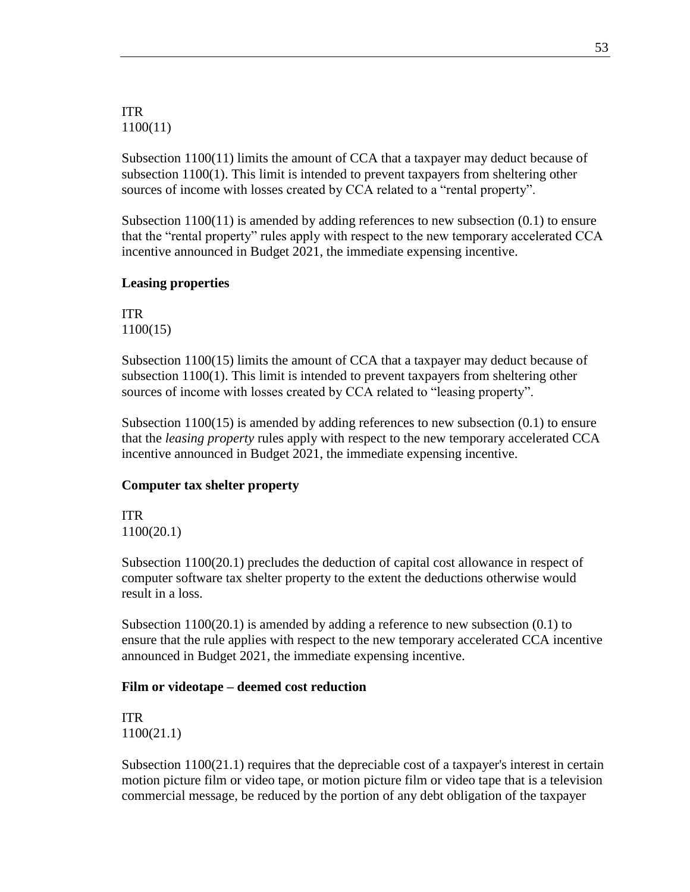ITR 1100(11)

Subsection 1100(11) limits the amount of CCA that a taxpayer may deduct because of subsection 1100(1). This limit is intended to prevent taxpayers from sheltering other sources of income with losses created by CCA related to a "rental property".

Subsection 1100(11) is amended by adding references to new subsection (0.1) to ensure that the "rental property" rules apply with respect to the new temporary accelerated CCA incentive announced in Budget 2021, the immediate expensing incentive.

#### **Leasing properties**

ITR 1100(15)

Subsection 1100(15) limits the amount of CCA that a taxpayer may deduct because of subsection 1100(1). This limit is intended to prevent taxpayers from sheltering other sources of income with losses created by CCA related to "leasing property".

Subsection 1100(15) is amended by adding references to new subsection (0.1) to ensure that the *leasing property* rules apply with respect to the new temporary accelerated CCA incentive announced in Budget 2021, the immediate expensing incentive.

#### **Computer tax shelter property**

ITR 1100(20.1)

Subsection 1100(20.1) precludes the deduction of capital cost allowance in respect of computer software tax shelter property to the extent the deductions otherwise would result in a loss.

Subsection 1100(20.1) is amended by adding a reference to new subsection (0.1) to ensure that the rule applies with respect to the new temporary accelerated CCA incentive announced in Budget 2021, the immediate expensing incentive.

#### **Film or videotape – deemed cost reduction**

ITR 1100(21.1)

Subsection  $1100(21.1)$  requires that the depreciable cost of a taxpayer's interest in certain motion picture film or video tape, or motion picture film or video tape that is a television commercial message, be reduced by the portion of any debt obligation of the taxpayer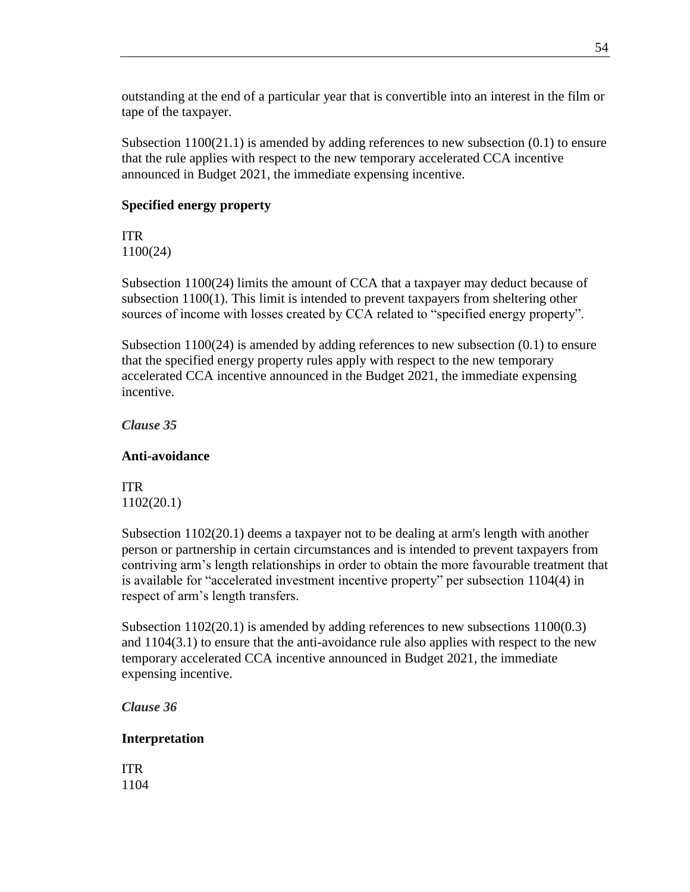outstanding at the end of a particular year that is convertible into an interest in the film or tape of the taxpayer.

Subsection  $1100(21.1)$  is amended by adding references to new subsection  $(0.1)$  to ensure that the rule applies with respect to the new temporary accelerated CCA incentive announced in Budget 2021, the immediate expensing incentive.

### **Specified energy property**

ITR 1100(24)

Subsection 1100(24) limits the amount of CCA that a taxpayer may deduct because of subsection 1100(1). This limit is intended to prevent taxpayers from sheltering other sources of income with losses created by CCA related to "specified energy property".

Subsection 1100(24) is amended by adding references to new subsection (0.1) to ensure that the specified energy property rules apply with respect to the new temporary accelerated CCA incentive announced in the Budget 2021, the immediate expensing incentive.

*Clause 35*

### **Anti-avoidance**

ITR 1102(20.1)

Subsection 1102(20.1) deems a taxpayer not to be dealing at arm's length with another person or partnership in certain circumstances and is intended to prevent taxpayers from contriving arm's length relationships in order to obtain the more favourable treatment that is available for "accelerated investment incentive property" per subsection 1104(4) in respect of arm's length transfers.

Subsection 1102(20.1) is amended by adding references to new subsections 1100(0.3) and 1104(3.1) to ensure that the anti-avoidance rule also applies with respect to the new temporary accelerated CCA incentive announced in Budget 2021, the immediate expensing incentive.

*Clause 36*

### **Interpretation**

ITR 1104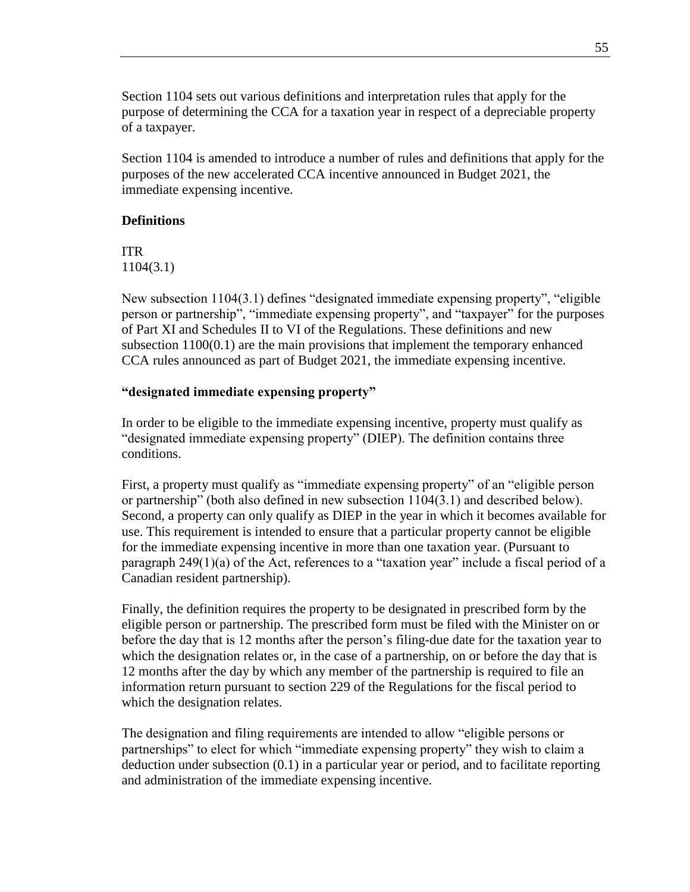Section 1104 sets out various definitions and interpretation rules that apply for the purpose of determining the CCA for a taxation year in respect of a depreciable property of a taxpayer.

Section 1104 is amended to introduce a number of rules and definitions that apply for the purposes of the new accelerated CCA incentive announced in Budget 2021, the immediate expensing incentive.

### **Definitions**

ITR 1104(3.1)

New subsection 1104(3.1) defines "designated immediate expensing property", "eligible person or partnership", "immediate expensing property", and "taxpayer" for the purposes of Part XI and Schedules II to VI of the Regulations. These definitions and new subsection 1100(0.1) are the main provisions that implement the temporary enhanced CCA rules announced as part of Budget 2021, the immediate expensing incentive.

### **"designated immediate expensing property"**

In order to be eligible to the immediate expensing incentive, property must qualify as "designated immediate expensing property" (DIEP). The definition contains three conditions.

First, a property must qualify as "immediate expensing property" of an "eligible person or partnership" (both also defined in new subsection 1104(3.1) and described below). Second, a property can only qualify as DIEP in the year in which it becomes available for use. This requirement is intended to ensure that a particular property cannot be eligible for the immediate expensing incentive in more than one taxation year. (Pursuant to paragraph 249(1)(a) of the Act, references to a "taxation year" include a fiscal period of a Canadian resident partnership).

Finally, the definition requires the property to be designated in prescribed form by the eligible person or partnership. The prescribed form must be filed with the Minister on or before the day that is 12 months after the person's filing-due date for the taxation year to which the designation relates or, in the case of a partnership, on or before the day that is 12 months after the day by which any member of the partnership is required to file an information return pursuant to section 229 of the Regulations for the fiscal period to which the designation relates.

The designation and filing requirements are intended to allow "eligible persons or partnerships" to elect for which "immediate expensing property" they wish to claim a deduction under subsection (0.1) in a particular year or period, and to facilitate reporting and administration of the immediate expensing incentive.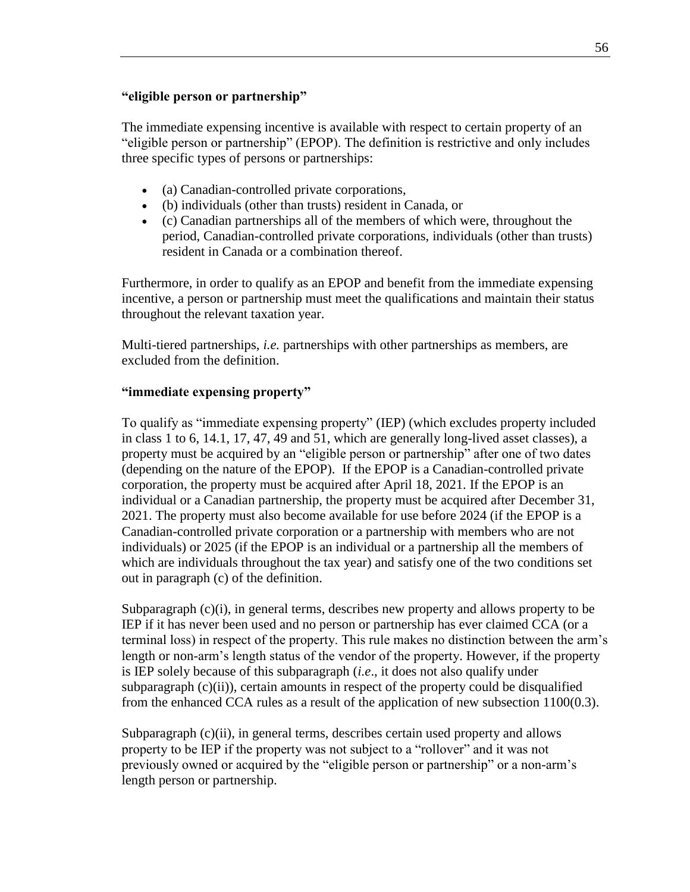### **"eligible person or partnership"**

The immediate expensing incentive is available with respect to certain property of an "eligible person or partnership" (EPOP). The definition is restrictive and only includes three specific types of persons or partnerships:

- (a) Canadian-controlled private corporations,
- (b) individuals (other than trusts) resident in Canada, or
- (c) Canadian partnerships all of the members of which were, throughout the period, Canadian-controlled private corporations, individuals (other than trusts) resident in Canada or a combination thereof.

Furthermore, in order to qualify as an EPOP and benefit from the immediate expensing incentive, a person or partnership must meet the qualifications and maintain their status throughout the relevant taxation year.

Multi-tiered partnerships, *i.e.* partnerships with other partnerships as members, are excluded from the definition.

### **"immediate expensing property"**

To qualify as "immediate expensing property" (IEP) (which excludes property included in class 1 to 6, 14.1, 17, 47, 49 and 51, which are generally long-lived asset classes), a property must be acquired by an "eligible person or partnership" after one of two dates (depending on the nature of the EPOP). If the EPOP is a Canadian-controlled private corporation, the property must be acquired after April 18, 2021. If the EPOP is an individual or a Canadian partnership, the property must be acquired after December 31, 2021. The property must also become available for use before 2024 (if the EPOP is a Canadian-controlled private corporation or a partnership with members who are not individuals) or 2025 (if the EPOP is an individual or a partnership all the members of which are individuals throughout the tax year) and satisfy one of the two conditions set out in paragraph (c) of the definition.

Subparagraph  $(c)(i)$ , in general terms, describes new property and allows property to be IEP if it has never been used and no person or partnership has ever claimed CCA (or a terminal loss) in respect of the property. This rule makes no distinction between the arm's length or non-arm's length status of the vendor of the property. However, if the property is IEP solely because of this subparagraph (*i.e*., it does not also qualify under subparagraph  $(c)(ii)$ , certain amounts in respect of the property could be disqualified from the enhanced CCA rules as a result of the application of new subsection 1100(0.3).

Subparagraph (c)(ii), in general terms, describes certain used property and allows property to be IEP if the property was not subject to a "rollover" and it was not previously owned or acquired by the "eligible person or partnership" or a non-arm's length person or partnership.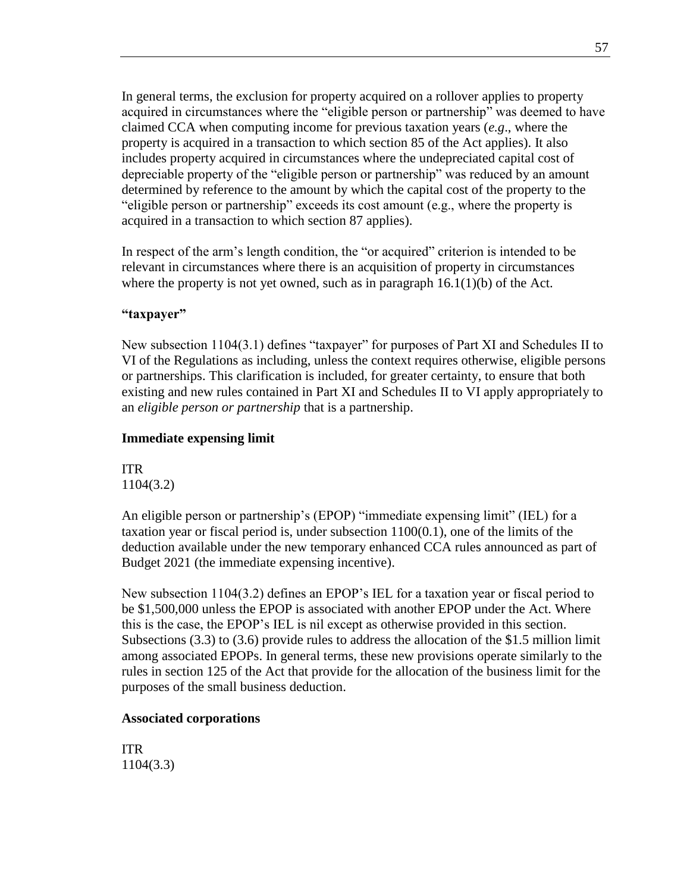In general terms, the exclusion for property acquired on a rollover applies to property acquired in circumstances where the "eligible person or partnership" was deemed to have claimed CCA when computing income for previous taxation years (*e.g*., where the property is acquired in a transaction to which section 85 of the Act applies). It also includes property acquired in circumstances where the undepreciated capital cost of depreciable property of the "eligible person or partnership" was reduced by an amount determined by reference to the amount by which the capital cost of the property to the "eligible person or partnership" exceeds its cost amount (e.g., where the property is acquired in a transaction to which section 87 applies).

In respect of the arm's length condition, the "or acquired" criterion is intended to be relevant in circumstances where there is an acquisition of property in circumstances where the property is not yet owned, such as in paragraph  $16.1(1)(b)$  of the Act.

#### **"taxpayer"**

New subsection 1104(3.1) defines "taxpayer" for purposes of Part XI and Schedules II to VI of the Regulations as including, unless the context requires otherwise, eligible persons or partnerships. This clarification is included, for greater certainty, to ensure that both existing and new rules contained in Part XI and Schedules II to VI apply appropriately to an *eligible person or partnership* that is a partnership.

#### **Immediate expensing limit**

ITR 1104(3.2)

An eligible person or partnership's (EPOP) "immediate expensing limit" (IEL) for a taxation year or fiscal period is, under subsection 1100(0.1), one of the limits of the deduction available under the new temporary enhanced CCA rules announced as part of Budget 2021 (the immediate expensing incentive).

New subsection 1104(3.2) defines an EPOP's IEL for a taxation year or fiscal period to be \$1,500,000 unless the EPOP is associated with another EPOP under the Act. Where this is the case, the EPOP's IEL is nil except as otherwise provided in this section. Subsections (3.3) to (3.6) provide rules to address the allocation of the \$1.5 million limit among associated EPOPs. In general terms, these new provisions operate similarly to the rules in section 125 of the Act that provide for the allocation of the business limit for the purposes of the small business deduction.

### **Associated corporations**

ITR 1104(3.3)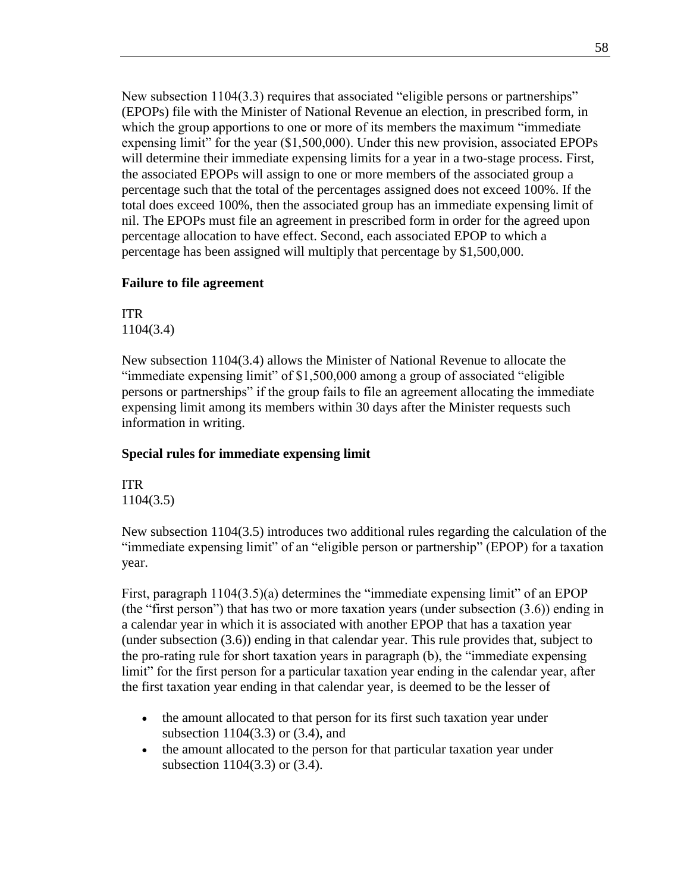New subsection 1104(3.3) requires that associated "eligible persons or partnerships" (EPOPs) file with the Minister of National Revenue an election, in prescribed form, in which the group apportions to one or more of its members the maximum "immediate expensing limit" for the year (\$1,500,000). Under this new provision, associated EPOPs will determine their immediate expensing limits for a year in a two-stage process. First, the associated EPOPs will assign to one or more members of the associated group a percentage such that the total of the percentages assigned does not exceed 100%. If the total does exceed 100%, then the associated group has an immediate expensing limit of nil. The EPOPs must file an agreement in prescribed form in order for the agreed upon percentage allocation to have effect. Second, each associated EPOP to which a percentage has been assigned will multiply that percentage by \$1,500,000.

### **Failure to file agreement**

ITR 1104(3.4)

New subsection 1104(3.4) allows the Minister of National Revenue to allocate the "immediate expensing limit" of \$1,500,000 among a group of associated "eligible persons or partnerships" if the group fails to file an agreement allocating the immediate expensing limit among its members within 30 days after the Minister requests such information in writing.

### **Special rules for immediate expensing limit**

ITR 1104(3.5)

New subsection 1104(3.5) introduces two additional rules regarding the calculation of the "immediate expensing limit" of an "eligible person or partnership" (EPOP) for a taxation year.

First, paragraph 1104(3.5)(a) determines the "immediate expensing limit" of an EPOP (the "first person") that has two or more taxation years (under subsection (3.6)) ending in a calendar year in which it is associated with another EPOP that has a taxation year (under subsection (3.6)) ending in that calendar year. This rule provides that, subject to the pro-rating rule for short taxation years in paragraph (b), the "immediate expensing limit" for the first person for a particular taxation year ending in the calendar year, after the first taxation year ending in that calendar year, is deemed to be the lesser of

- the amount allocated to that person for its first such taxation year under subsection 1104(3.3) or (3.4), and
- the amount allocated to the person for that particular taxation year under subsection 1104(3.3) or (3.4).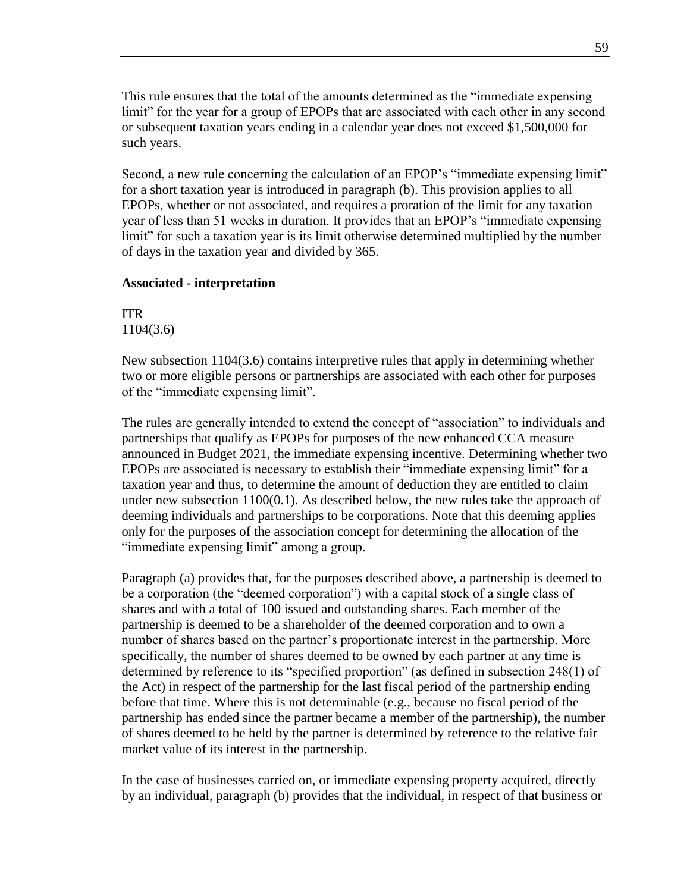This rule ensures that the total of the amounts determined as the "immediate expensing limit" for the year for a group of EPOPs that are associated with each other in any second or subsequent taxation years ending in a calendar year does not exceed \$1,500,000 for such years.

Second, a new rule concerning the calculation of an EPOP's "immediate expensing limit" for a short taxation year is introduced in paragraph (b). This provision applies to all EPOPs, whether or not associated, and requires a proration of the limit for any taxation year of less than 51 weeks in duration. It provides that an EPOP's "immediate expensing limit" for such a taxation year is its limit otherwise determined multiplied by the number of days in the taxation year and divided by 365.

#### **Associated - interpretation**

ITR 1104(3.6)

New subsection 1104(3.6) contains interpretive rules that apply in determining whether two or more eligible persons or partnerships are associated with each other for purposes of the "immediate expensing limit".

The rules are generally intended to extend the concept of "association" to individuals and partnerships that qualify as EPOPs for purposes of the new enhanced CCA measure announced in Budget 2021, the immediate expensing incentive. Determining whether two EPOPs are associated is necessary to establish their "immediate expensing limit" for a taxation year and thus, to determine the amount of deduction they are entitled to claim under new subsection 1100(0.1). As described below, the new rules take the approach of deeming individuals and partnerships to be corporations. Note that this deeming applies only for the purposes of the association concept for determining the allocation of the "immediate expensing limit" among a group.

Paragraph (a) provides that, for the purposes described above, a partnership is deemed to be a corporation (the "deemed corporation") with a capital stock of a single class of shares and with a total of 100 issued and outstanding shares. Each member of the partnership is deemed to be a shareholder of the deemed corporation and to own a number of shares based on the partner's proportionate interest in the partnership. More specifically, the number of shares deemed to be owned by each partner at any time is determined by reference to its "specified proportion" (as defined in subsection 248(1) of the Act) in respect of the partnership for the last fiscal period of the partnership ending before that time. Where this is not determinable (e.g., because no fiscal period of the partnership has ended since the partner became a member of the partnership), the number of shares deemed to be held by the partner is determined by reference to the relative fair market value of its interest in the partnership.

In the case of businesses carried on, or immediate expensing property acquired, directly by an individual, paragraph (b) provides that the individual, in respect of that business or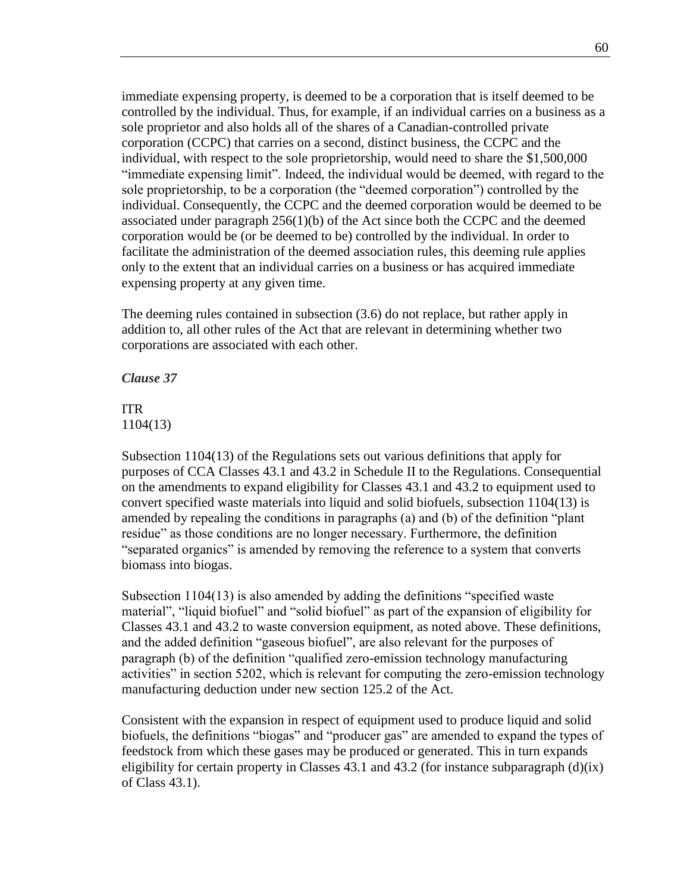immediate expensing property, is deemed to be a corporation that is itself deemed to be controlled by the individual. Thus, for example, if an individual carries on a business as a sole proprietor and also holds all of the shares of a Canadian-controlled private corporation (CCPC) that carries on a second, distinct business, the CCPC and the individual, with respect to the sole proprietorship, would need to share the \$1,500,000 "immediate expensing limit". Indeed, the individual would be deemed, with regard to the sole proprietorship, to be a corporation (the "deemed corporation") controlled by the individual. Consequently, the CCPC and the deemed corporation would be deemed to be associated under paragraph  $256(1)(b)$  of the Act since both the CCPC and the deemed corporation would be (or be deemed to be) controlled by the individual. In order to facilitate the administration of the deemed association rules, this deeming rule applies only to the extent that an individual carries on a business or has acquired immediate expensing property at any given time.

The deeming rules contained in subsection (3.6) do not replace, but rather apply in addition to, all other rules of the Act that are relevant in determining whether two corporations are associated with each other.

*Clause 37*

### ITR 1104(13)

Subsection 1104(13) of the Regulations sets out various definitions that apply for purposes of CCA Classes 43.1 and 43.2 in Schedule II to the Regulations. Consequential on the amendments to expand eligibility for Classes 43.1 and 43.2 to equipment used to convert specified waste materials into liquid and solid biofuels, subsection 1104(13) is amended by repealing the conditions in paragraphs (a) and (b) of the definition "plant residue" as those conditions are no longer necessary. Furthermore, the definition "separated organics" is amended by removing the reference to a system that converts biomass into biogas.

Subsection 1104(13) is also amended by adding the definitions "specified waste material", "liquid biofuel" and "solid biofuel" as part of the expansion of eligibility for Classes 43.1 and 43.2 to waste conversion equipment, as noted above. These definitions, and the added definition "gaseous biofuel", are also relevant for the purposes of paragraph (b) of the definition "qualified zero-emission technology manufacturing activities" in section 5202, which is relevant for computing the zero-emission technology manufacturing deduction under new section 125.2 of the Act.

Consistent with the expansion in respect of equipment used to produce liquid and solid biofuels, the definitions "biogas" and "producer gas" are amended to expand the types of feedstock from which these gases may be produced or generated. This in turn expands eligibility for certain property in Classes 43.1 and 43.2 (for instance subparagraph  $(d)(ix)$ ) of Class 43.1).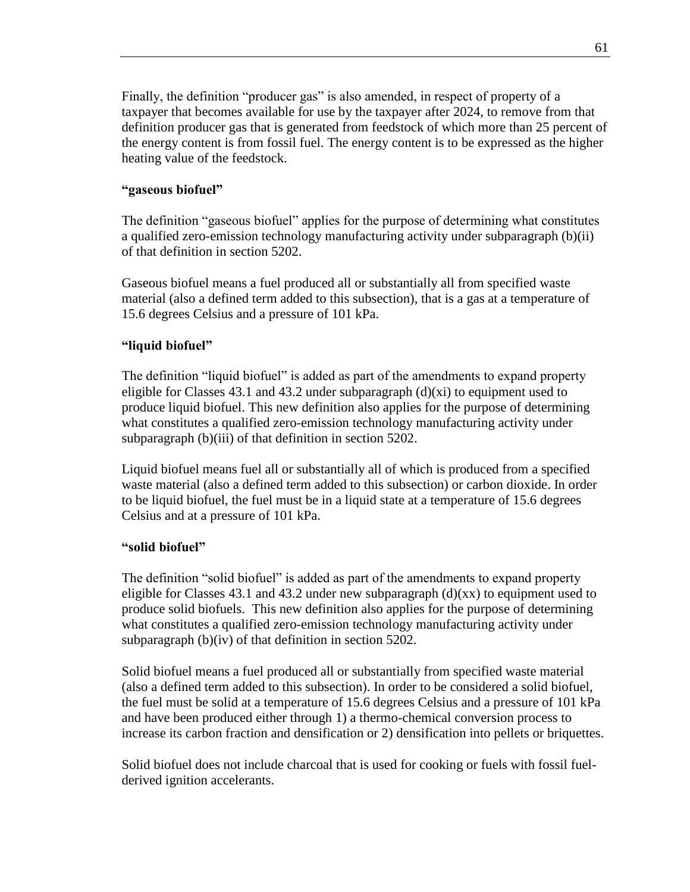Finally, the definition "producer gas" is also amended, in respect of property of a taxpayer that becomes available for use by the taxpayer after 2024, to remove from that definition producer gas that is generated from feedstock of which more than 25 percent of the energy content is from fossil fuel. The energy content is to be expressed as the higher heating value of the feedstock.

### **"gaseous biofuel"**

The definition "gaseous biofuel" applies for the purpose of determining what constitutes a qualified zero-emission technology manufacturing activity under subparagraph (b)(ii) of that definition in section 5202.

Gaseous biofuel means a fuel produced all or substantially all from specified waste material (also a defined term added to this subsection), that is a gas at a temperature of 15.6 degrees Celsius and a pressure of 101 kPa.

### **"liquid biofuel"**

The definition "liquid biofuel" is added as part of the amendments to expand property eligible for Classes 43.1 and 43.2 under subparagraph  $(d)(xi)$  to equipment used to produce liquid biofuel. This new definition also applies for the purpose of determining what constitutes a qualified zero-emission technology manufacturing activity under subparagraph (b)(iii) of that definition in section 5202.

Liquid biofuel means fuel all or substantially all of which is produced from a specified waste material (also a defined term added to this subsection) or carbon dioxide. In order to be liquid biofuel, the fuel must be in a liquid state at a temperature of 15.6 degrees Celsius and at a pressure of 101 kPa.

### **"solid biofuel"**

The definition "solid biofuel" is added as part of the amendments to expand property eligible for Classes 43.1 and 43.2 under new subparagraph  $(d)(xx)$  to equipment used to produce solid biofuels. This new definition also applies for the purpose of determining what constitutes a qualified zero-emission technology manufacturing activity under subparagraph (b)(iv) of that definition in section 5202.

Solid biofuel means a fuel produced all or substantially from specified waste material (also a defined term added to this subsection). In order to be considered a solid biofuel, the fuel must be solid at a temperature of 15.6 degrees Celsius and a pressure of 101 kPa and have been produced either through 1) a thermo-chemical conversion process to increase its carbon fraction and densification or 2) densification into pellets or briquettes.

Solid biofuel does not include charcoal that is used for cooking or fuels with fossil fuelderived ignition accelerants.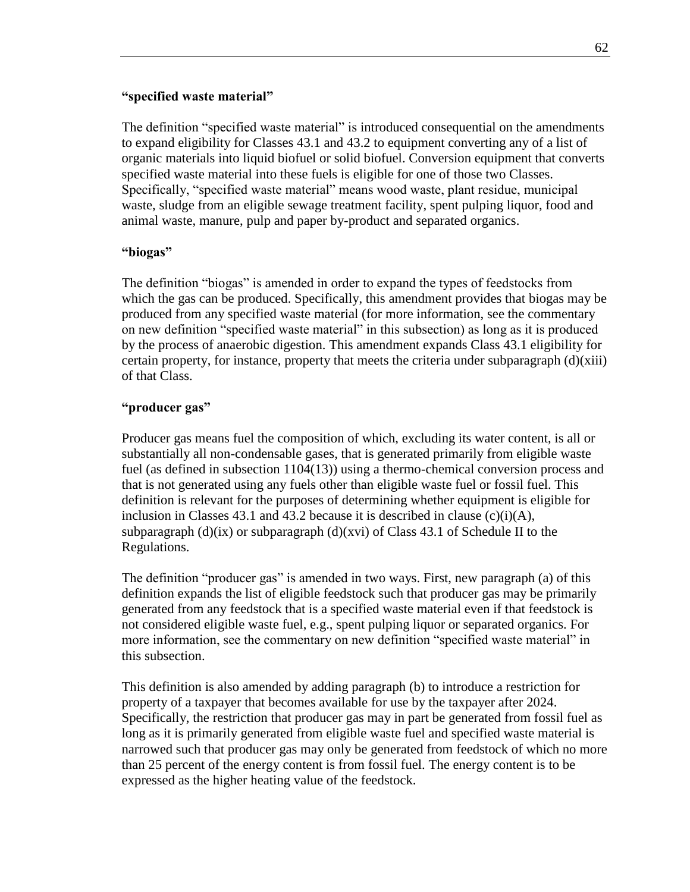#### **"specified waste material"**

The definition "specified waste material" is introduced consequential on the amendments to expand eligibility for Classes 43.1 and 43.2 to equipment converting any of a list of organic materials into liquid biofuel or solid biofuel. Conversion equipment that converts specified waste material into these fuels is eligible for one of those two Classes. Specifically, "specified waste material" means wood waste, plant residue, municipal waste, sludge from an eligible sewage treatment facility, spent pulping liquor, food and animal waste, manure, pulp and paper by-product and separated organics.

#### **"biogas"**

The definition "biogas" is amended in order to expand the types of feedstocks from which the gas can be produced. Specifically, this amendment provides that biogas may be produced from any specified waste material (for more information, see the commentary on new definition "specified waste material" in this subsection) as long as it is produced by the process of anaerobic digestion. This amendment expands Class 43.1 eligibility for certain property, for instance, property that meets the criteria under subparagraph (d)(xiii) of that Class.

### **"producer gas"**

Producer gas means fuel the composition of which, excluding its water content, is all or substantially all non-condensable gases, that is generated primarily from eligible waste fuel (as defined in subsection 1104(13)) using a thermo-chemical conversion process and that is not generated using any fuels other than eligible waste fuel or fossil fuel. This definition is relevant for the purposes of determining whether equipment is eligible for inclusion in Classes 43.1 and 43.2 because it is described in clause  $(c)(i)(A)$ , subparagraph  $(d)(ix)$  or subparagraph  $(d)(xvi)$  of Class 43.1 of Schedule II to the Regulations.

The definition "producer gas" is amended in two ways. First, new paragraph (a) of this definition expands the list of eligible feedstock such that producer gas may be primarily generated from any feedstock that is a specified waste material even if that feedstock is not considered eligible waste fuel, e.g., spent pulping liquor or separated organics. For more information, see the commentary on new definition "specified waste material" in this subsection.

This definition is also amended by adding paragraph (b) to introduce a restriction for property of a taxpayer that becomes available for use by the taxpayer after 2024. Specifically, the restriction that producer gas may in part be generated from fossil fuel as long as it is primarily generated from eligible waste fuel and specified waste material is narrowed such that producer gas may only be generated from feedstock of which no more than 25 percent of the energy content is from fossil fuel. The energy content is to be expressed as the higher heating value of the feedstock.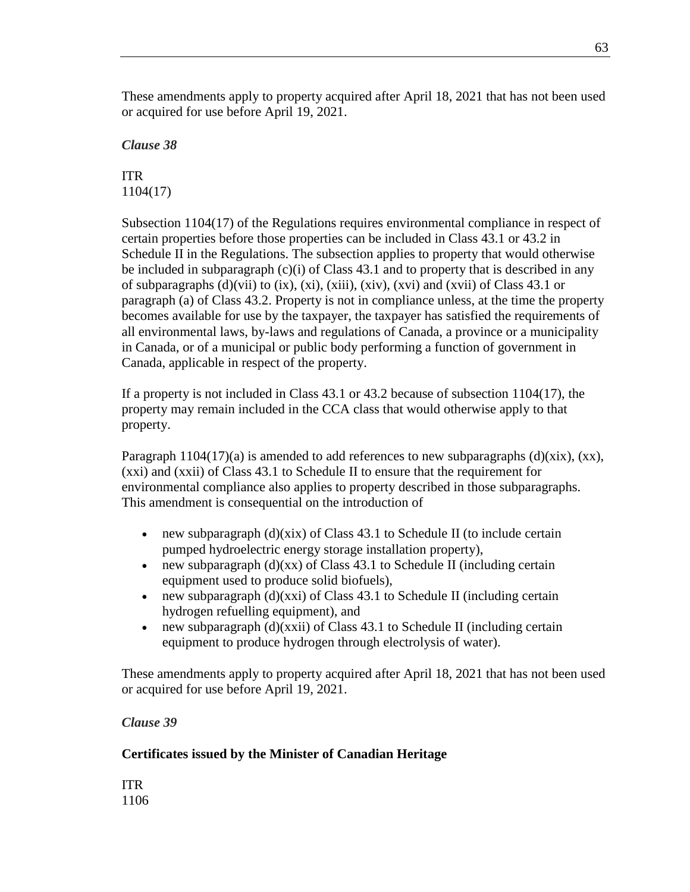These amendments apply to property acquired after April 18, 2021 that has not been used or acquired for use before April 19, 2021.

*Clause 38*

ITR 1104(17)

Subsection 1104(17) of the Regulations requires environmental compliance in respect of certain properties before those properties can be included in Class 43.1 or 43.2 in Schedule II in the Regulations. The subsection applies to property that would otherwise be included in subparagraph  $(c)(i)$  of Class 43.1 and to property that is described in any of subparagraphs (d)(vii) to (ix), (xi), (xiii), (xiv), (xvi) and (xvii) of Class 43.1 or paragraph (a) of Class 43.2. Property is not in compliance unless, at the time the property becomes available for use by the taxpayer, the taxpayer has satisfied the requirements of all environmental laws, by-laws and regulations of Canada, a province or a municipality in Canada, or of a municipal or public body performing a function of government in Canada, applicable in respect of the property.

If a property is not included in Class 43.1 or 43.2 because of subsection 1104(17), the property may remain included in the CCA class that would otherwise apply to that property.

Paragraph 1104(17)(a) is amended to add references to new subparagraphs (d)(xix), (xx), (xxi) and (xxii) of Class 43.1 to Schedule II to ensure that the requirement for environmental compliance also applies to property described in those subparagraphs. This amendment is consequential on the introduction of

- new subparagraph  $(d)(\overline{x}i\overline{x})$  of Class 43.1 to Schedule II (to include certain pumped hydroelectric energy storage installation property),
- new subparagraph  $(d)(xx)$  of Class 43.1 to Schedule II (including certain equipment used to produce solid biofuels),
- new subparagraph  $(d)(xxi)$  of Class 43.1 to Schedule II (including certain hydrogen refuelling equipment), and
- new subparagraph  $(d)(xxii)$  of Class 43.1 to Schedule II (including certain equipment to produce hydrogen through electrolysis of water).

These amendments apply to property acquired after April 18, 2021 that has not been used or acquired for use before April 19, 2021.

# *Clause 39*

# **Certificates issued by the Minister of Canadian Heritage**

ITR 1106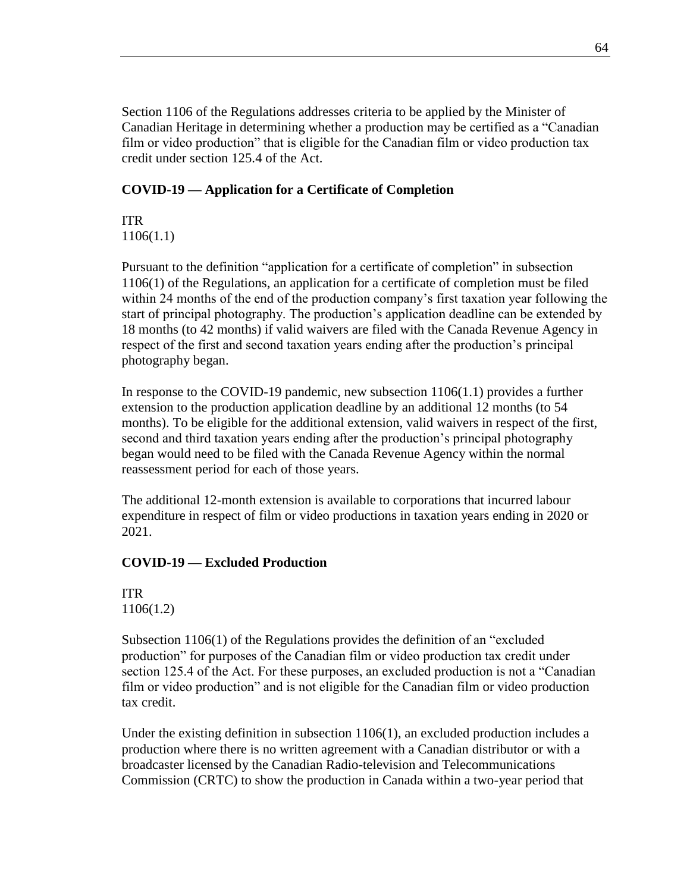Section 1106 of the Regulations addresses criteria to be applied by the Minister of Canadian Heritage in determining whether a production may be certified as a "Canadian film or video production" that is eligible for the Canadian film or video production tax credit under section 125.4 of the Act.

### **COVID-19 — Application for a Certificate of Completion**

ITR 1106(1.1)

Pursuant to the definition "application for a certificate of completion" in subsection 1106(1) of the Regulations, an application for a certificate of completion must be filed within 24 months of the end of the production company's first taxation year following the start of principal photography. The production's application deadline can be extended by 18 months (to 42 months) if valid waivers are filed with the Canada Revenue Agency in respect of the first and second taxation years ending after the production's principal photography began.

In response to the COVID-19 pandemic, new subsection 1106(1.1) provides a further extension to the production application deadline by an additional 12 months (to 54 months). To be eligible for the additional extension, valid waivers in respect of the first, second and third taxation years ending after the production's principal photography began would need to be filed with the Canada Revenue Agency within the normal reassessment period for each of those years.

The additional 12-month extension is available to corporations that incurred labour expenditure in respect of film or video productions in taxation years ending in 2020 or 2021.

### **COVID-19 — Excluded Production**

ITR 1106(1.2)

Subsection 1106(1) of the Regulations provides the definition of an "excluded production" for purposes of the Canadian film or video production tax credit under section 125.4 of the Act. For these purposes, an excluded production is not a "Canadian film or video production" and is not eligible for the Canadian film or video production tax credit.

Under the existing definition in subsection 1106(1), an excluded production includes a production where there is no written agreement with a Canadian distributor or with a broadcaster licensed by the Canadian Radio-television and Telecommunications Commission (CRTC) to show the production in Canada within a two-year period that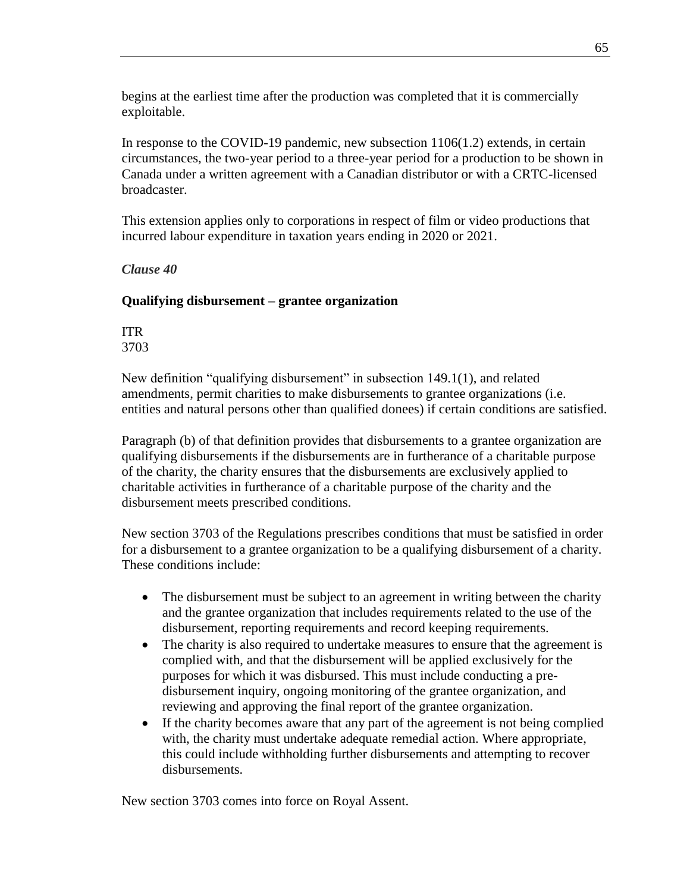begins at the earliest time after the production was completed that it is commercially exploitable.

In response to the COVID-19 pandemic, new subsection 1106(1.2) extends, in certain circumstances, the two-year period to a three-year period for a production to be shown in Canada under a written agreement with a Canadian distributor or with a CRTC-licensed broadcaster.

This extension applies only to corporations in respect of film or video productions that incurred labour expenditure in taxation years ending in 2020 or 2021.

*Clause 40*

### **Qualifying disbursement – grantee organization**

ITR 3703

New definition "qualifying disbursement" in subsection 149.1(1), and related amendments, permit charities to make disbursements to grantee organizations (i.e. entities and natural persons other than qualified donees) if certain conditions are satisfied.

Paragraph (b) of that definition provides that disbursements to a grantee organization are qualifying disbursements if the disbursements are in furtherance of a charitable purpose of the charity, the charity ensures that the disbursements are exclusively applied to charitable activities in furtherance of a charitable purpose of the charity and the disbursement meets prescribed conditions.

New section 3703 of the Regulations prescribes conditions that must be satisfied in order for a disbursement to a grantee organization to be a qualifying disbursement of a charity. These conditions include:

- The disbursement must be subject to an agreement in writing between the charity and the grantee organization that includes requirements related to the use of the disbursement, reporting requirements and record keeping requirements.
- The charity is also required to undertake measures to ensure that the agreement is complied with, and that the disbursement will be applied exclusively for the purposes for which it was disbursed. This must include conducting a predisbursement inquiry, ongoing monitoring of the grantee organization, and reviewing and approving the final report of the grantee organization.
- If the charity becomes aware that any part of the agreement is not being complied with, the charity must undertake adequate remedial action. Where appropriate, this could include withholding further disbursements and attempting to recover disbursements.

New section 3703 comes into force on Royal Assent.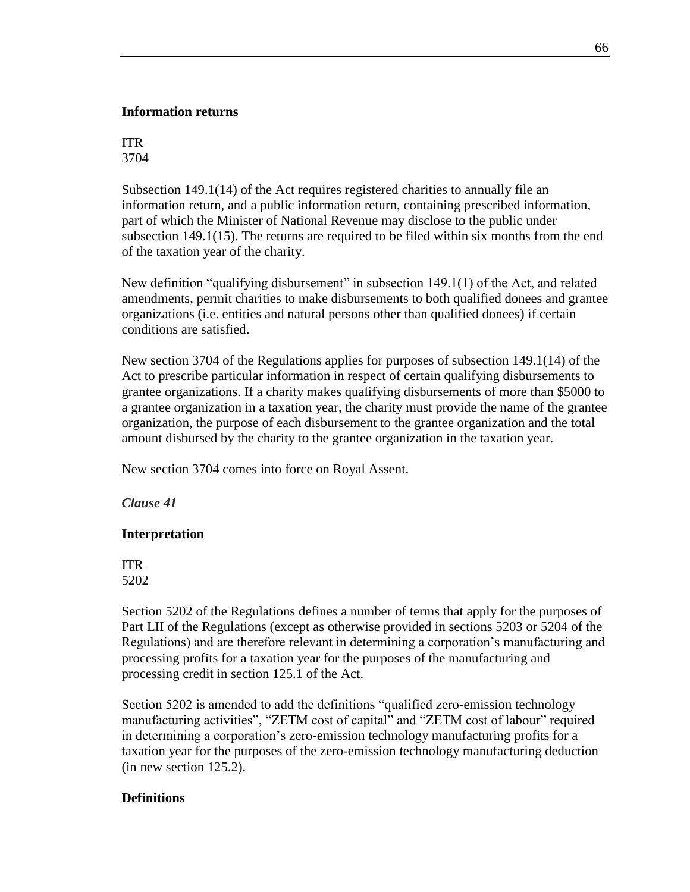### **Information returns**

### ITR 3704

Subsection 149.1(14) of the Act requires registered charities to annually file an information return, and a public information return, containing prescribed information, part of which the Minister of National Revenue may disclose to the public under subsection 149.1(15). The returns are required to be filed within six months from the end of the taxation year of the charity.

New definition "qualifying disbursement" in subsection 149.1(1) of the Act, and related amendments, permit charities to make disbursements to both qualified donees and grantee organizations (i.e. entities and natural persons other than qualified donees) if certain conditions are satisfied.

New section 3704 of the Regulations applies for purposes of subsection 149.1(14) of the Act to prescribe particular information in respect of certain qualifying disbursements to grantee organizations. If a charity makes qualifying disbursements of more than \$5000 to a grantee organization in a taxation year, the charity must provide the name of the grantee organization, the purpose of each disbursement to the grantee organization and the total amount disbursed by the charity to the grantee organization in the taxation year.

New section 3704 comes into force on Royal Assent.

### *Clause 41*

### **Interpretation**

ITR 5202

Section 5202 of the Regulations defines a number of terms that apply for the purposes of Part LII of the Regulations (except as otherwise provided in sections 5203 or 5204 of the Regulations) and are therefore relevant in determining a corporation's manufacturing and processing profits for a taxation year for the purposes of the manufacturing and processing credit in section 125.1 of the Act.

Section 5202 is amended to add the definitions "qualified zero-emission technology manufacturing activities", "ZETM cost of capital" and "ZETM cost of labour" required in determining a corporation's zero-emission technology manufacturing profits for a taxation year for the purposes of the zero-emission technology manufacturing deduction (in new section 125.2).

### **Definitions**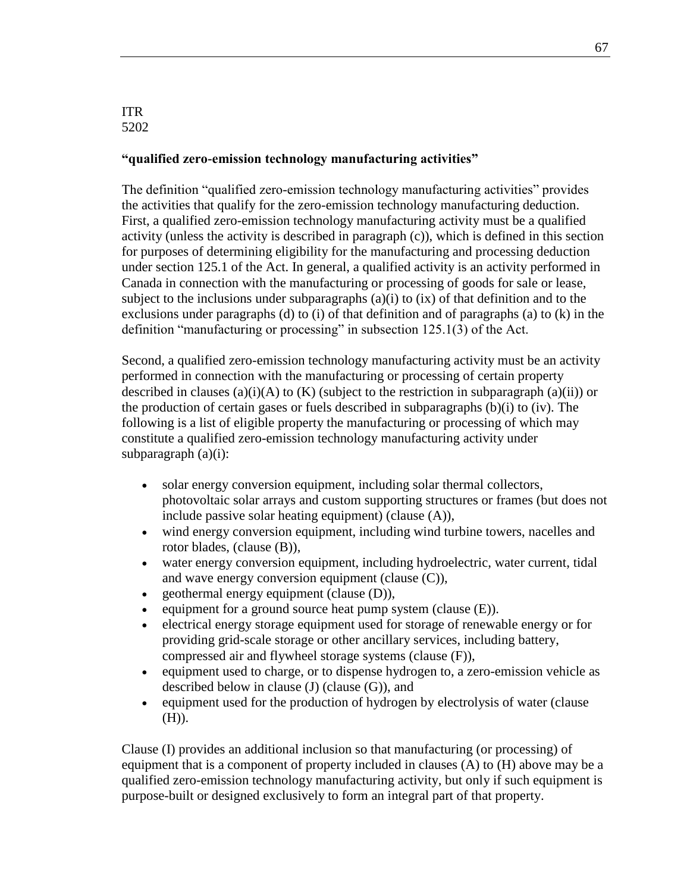#### ITR 5202

#### **"qualified zero-emission technology manufacturing activities"**

The definition "qualified zero-emission technology manufacturing activities" provides the activities that qualify for the zero-emission technology manufacturing deduction. First, a qualified zero-emission technology manufacturing activity must be a qualified activity (unless the activity is described in paragraph (c)), which is defined in this section for purposes of determining eligibility for the manufacturing and processing deduction under section 125.1 of the Act. In general, a qualified activity is an activity performed in Canada in connection with the manufacturing or processing of goods for sale or lease, subject to the inclusions under subparagraphs  $(a)(i)$  to  $(ix)$  of that definition and to the exclusions under paragraphs (d) to (i) of that definition and of paragraphs (a) to  $(k)$  in the definition "manufacturing or processing" in subsection 125.1(3) of the Act.

Second, a qualified zero-emission technology manufacturing activity must be an activity performed in connection with the manufacturing or processing of certain property described in clauses (a)(i)(A) to (K) (subject to the restriction in subparagraph (a)(ii)) or the production of certain gases or fuels described in subparagraphs (b)(i) to (iv). The following is a list of eligible property the manufacturing or processing of which may constitute a qualified zero-emission technology manufacturing activity under subparagraph  $(a)(i)$ :

- solar energy conversion equipment, including solar thermal collectors, photovoltaic solar arrays and custom supporting structures or frames (but does not include passive solar heating equipment) (clause (A)),
- wind energy conversion equipment, including wind turbine towers, nacelles and rotor blades, (clause (B)),
- water energy conversion equipment, including hydroelectric, water current, tidal and wave energy conversion equipment (clause (C)),
- geothermal energy equipment (clause (D)),
- equipment for a ground source heat pump system (clause  $(E)$ ).
- electrical energy storage equipment used for storage of renewable energy or for providing grid-scale storage or other ancillary services, including battery, compressed air and flywheel storage systems (clause (F)),
- equipment used to charge, or to dispense hydrogen to, a zero-emission vehicle as described below in clause (J) (clause (G)), and
- equipment used for the production of hydrogen by electrolysis of water (clause (H)).

Clause (I) provides an additional inclusion so that manufacturing (or processing) of equipment that is a component of property included in clauses (A) to (H) above may be a qualified zero-emission technology manufacturing activity, but only if such equipment is purpose-built or designed exclusively to form an integral part of that property.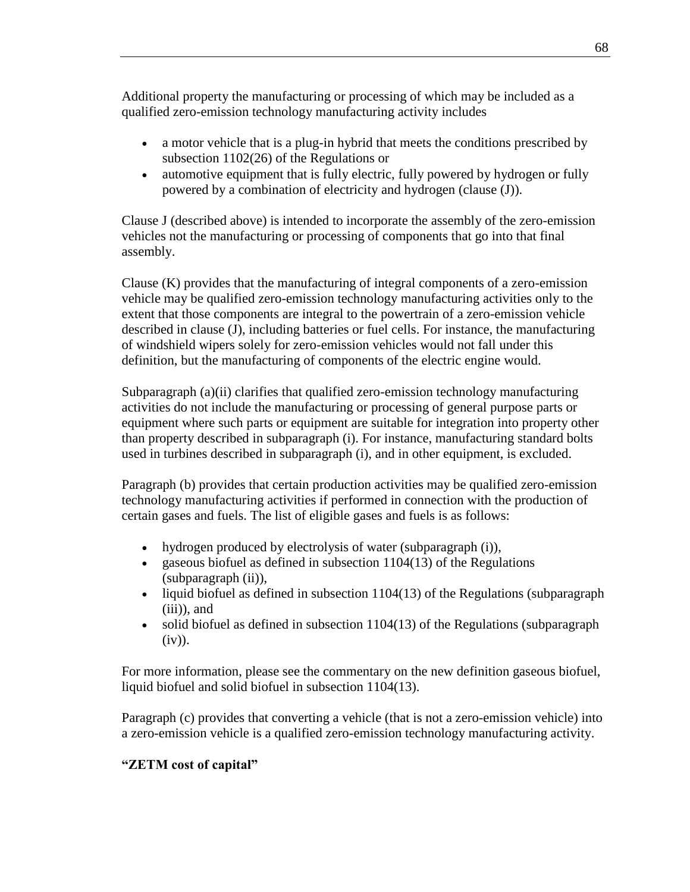Additional property the manufacturing or processing of which may be included as a qualified zero-emission technology manufacturing activity includes

- a motor vehicle that is a plug-in hybrid that meets the conditions prescribed by subsection 1102(26) of the Regulations or
- automotive equipment that is fully electric, fully powered by hydrogen or fully powered by a combination of electricity and hydrogen (clause (J)).

Clause J (described above) is intended to incorporate the assembly of the zero-emission vehicles not the manufacturing or processing of components that go into that final assembly.

Clause (K) provides that the manufacturing of integral components of a zero-emission vehicle may be qualified zero-emission technology manufacturing activities only to the extent that those components are integral to the powertrain of a zero-emission vehicle described in clause (J), including batteries or fuel cells. For instance, the manufacturing of windshield wipers solely for zero-emission vehicles would not fall under this definition, but the manufacturing of components of the electric engine would.

Subparagraph (a)(ii) clarifies that qualified zero-emission technology manufacturing activities do not include the manufacturing or processing of general purpose parts or equipment where such parts or equipment are suitable for integration into property other than property described in subparagraph (i). For instance, manufacturing standard bolts used in turbines described in subparagraph (i), and in other equipment, is excluded.

Paragraph (b) provides that certain production activities may be qualified zero-emission technology manufacturing activities if performed in connection with the production of certain gases and fuels. The list of eligible gases and fuels is as follows:

- hydrogen produced by electrolysis of water (subparagraph (i)),
- gaseous biofuel as defined in subsection  $1104(13)$  of the Regulations (subparagraph (ii)),
- liquid biofuel as defined in subsection 1104(13) of the Regulations (subparagraph (iii)), and
- solid biofuel as defined in subsection 1104(13) of the Regulations (subparagraph  $(iv)$ ).

For more information, please see the commentary on the new definition gaseous biofuel, liquid biofuel and solid biofuel in subsection 1104(13).

Paragraph (c) provides that converting a vehicle (that is not a zero-emission vehicle) into a zero-emission vehicle is a qualified zero-emission technology manufacturing activity.

# **"ZETM cost of capital"**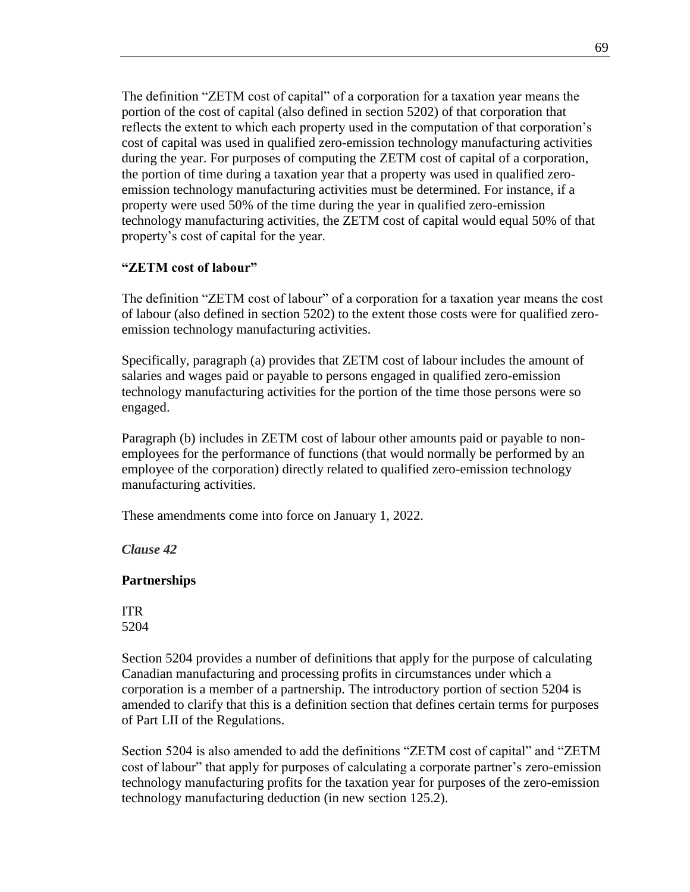The definition "ZETM cost of capital" of a corporation for a taxation year means the portion of the cost of capital (also defined in section 5202) of that corporation that reflects the extent to which each property used in the computation of that corporation's cost of capital was used in qualified zero-emission technology manufacturing activities during the year. For purposes of computing the ZETM cost of capital of a corporation, the portion of time during a taxation year that a property was used in qualified zeroemission technology manufacturing activities must be determined. For instance, if a property were used 50% of the time during the year in qualified zero-emission technology manufacturing activities, the ZETM cost of capital would equal 50% of that property's cost of capital for the year.

### **"ZETM cost of labour"**

The definition "ZETM cost of labour" of a corporation for a taxation year means the cost of labour (also defined in section 5202) to the extent those costs were for qualified zeroemission technology manufacturing activities.

Specifically, paragraph (a) provides that ZETM cost of labour includes the amount of salaries and wages paid or payable to persons engaged in qualified zero-emission technology manufacturing activities for the portion of the time those persons were so engaged.

Paragraph (b) includes in ZETM cost of labour other amounts paid or payable to nonemployees for the performance of functions (that would normally be performed by an employee of the corporation) directly related to qualified zero-emission technology manufacturing activities.

These amendments come into force on January 1, 2022.

*Clause 42*

### **Partnerships**

ITR 5204

Section 5204 provides a number of definitions that apply for the purpose of calculating Canadian manufacturing and processing profits in circumstances under which a corporation is a member of a partnership. The introductory portion of section 5204 is amended to clarify that this is a definition section that defines certain terms for purposes of Part LII of the Regulations.

Section 5204 is also amended to add the definitions "ZETM cost of capital" and "ZETM cost of labour" that apply for purposes of calculating a corporate partner's zero-emission technology manufacturing profits for the taxation year for purposes of the zero-emission technology manufacturing deduction (in new section 125.2).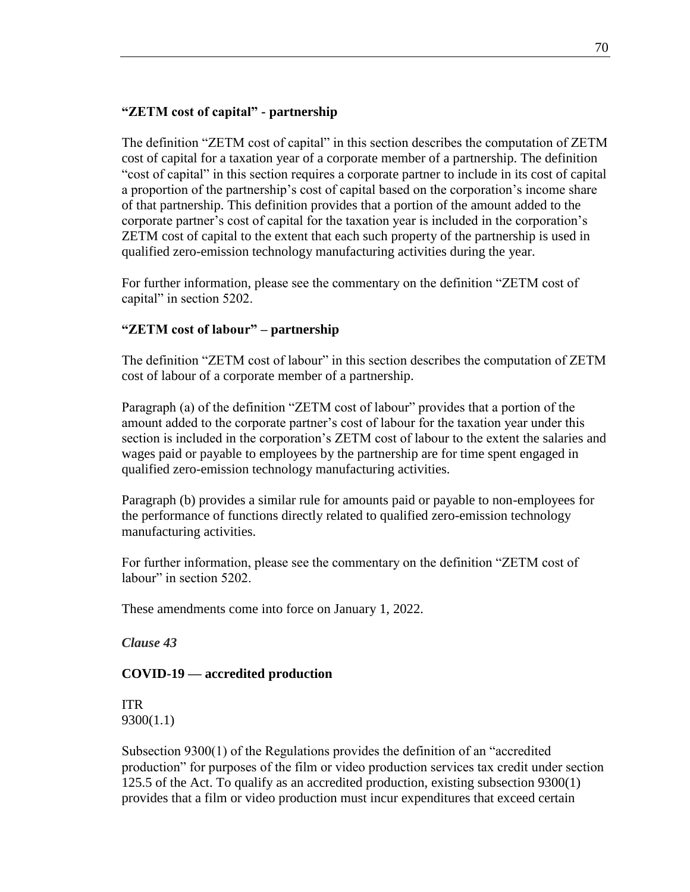### **"ZETM cost of capital"** *-* **partnership**

The definition "ZETM cost of capital" in this section describes the computation of ZETM cost of capital for a taxation year of a corporate member of a partnership. The definition "cost of capital" in this section requires a corporate partner to include in its cost of capital a proportion of the partnership's cost of capital based on the corporation's income share of that partnership. This definition provides that a portion of the amount added to the corporate partner's cost of capital for the taxation year is included in the corporation's ZETM cost of capital to the extent that each such property of the partnership is used in qualified zero-emission technology manufacturing activities during the year.

For further information, please see the commentary on the definition "ZETM cost of capital" in section 5202.

### **"ZETM cost of labour" – partnership**

The definition "ZETM cost of labour" in this section describes the computation of ZETM cost of labour of a corporate member of a partnership.

Paragraph (a) of the definition "ZETM cost of labour" provides that a portion of the amount added to the corporate partner's cost of labour for the taxation year under this section is included in the corporation's ZETM cost of labour to the extent the salaries and wages paid or payable to employees by the partnership are for time spent engaged in qualified zero-emission technology manufacturing activities.

Paragraph (b) provides a similar rule for amounts paid or payable to non-employees for the performance of functions directly related to qualified zero-emission technology manufacturing activities.

For further information, please see the commentary on the definition "ZETM cost of labour" in section 5202.

These amendments come into force on January 1, 2022.

*Clause 43*

### **COVID-19 — accredited production**

ITR 9300(1.1)

Subsection 9300(1) of the Regulations provides the definition of an "accredited production" for purposes of the film or video production services tax credit under section 125.5 of the Act. To qualify as an accredited production, existing subsection 9300(1) provides that a film or video production must incur expenditures that exceed certain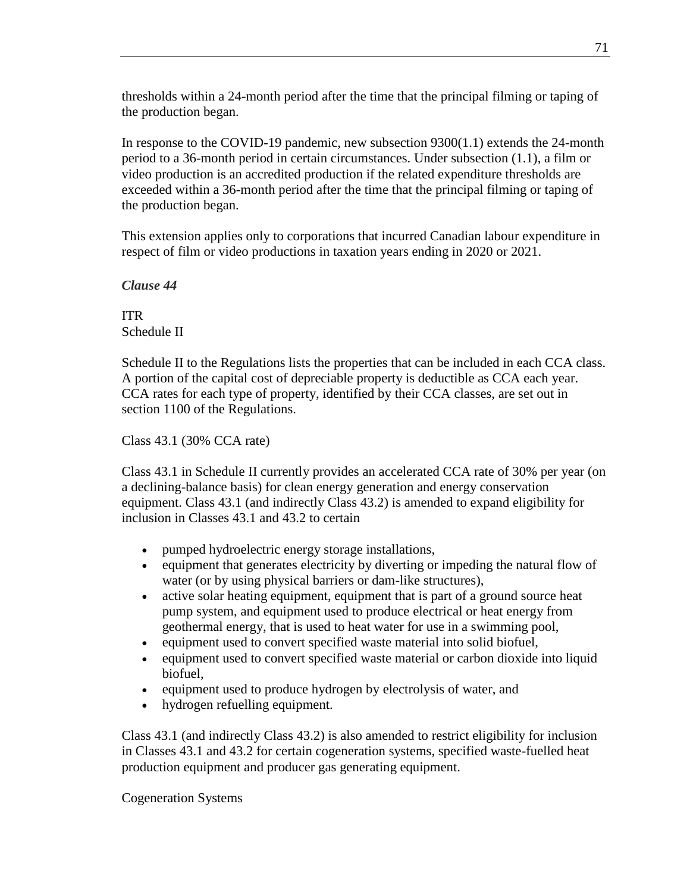thresholds within a 24-month period after the time that the principal filming or taping of the production began.

In response to the COVID-19 pandemic, new subsection 9300(1.1) extends the 24-month period to a 36-month period in certain circumstances. Under subsection (1.1), a film or video production is an accredited production if the related expenditure thresholds are exceeded within a 36-month period after the time that the principal filming or taping of the production began.

This extension applies only to corporations that incurred Canadian labour expenditure in respect of film or video productions in taxation years ending in 2020 or 2021.

*Clause 44*

ITR Schedule II

Schedule II to the Regulations lists the properties that can be included in each CCA class. A portion of the capital cost of depreciable property is deductible as CCA each year. CCA rates for each type of property, identified by their CCA classes, are set out in section 1100 of the Regulations.

Class 43.1 (30% CCA rate)

Class 43.1 in Schedule II currently provides an accelerated CCA rate of 30% per year (on a declining-balance basis) for clean energy generation and energy conservation equipment. Class 43.1 (and indirectly Class 43.2) is amended to expand eligibility for inclusion in Classes 43.1 and 43.2 to certain

- pumped hydroelectric energy storage installations,
- equipment that generates electricity by diverting or impeding the natural flow of water (or by using physical barriers or dam-like structures),
- active solar heating equipment, equipment that is part of a ground source heat pump system, and equipment used to produce electrical or heat energy from geothermal energy, that is used to heat water for use in a swimming pool,
- equipment used to convert specified waste material into solid biofuel,
- equipment used to convert specified waste material or carbon dioxide into liquid biofuel,
- equipment used to produce hydrogen by electrolysis of water, and
- hydrogen refuelling equipment.

Class 43.1 (and indirectly Class 43.2) is also amended to restrict eligibility for inclusion in Classes 43.1 and 43.2 for certain cogeneration systems, specified waste-fuelled heat production equipment and producer gas generating equipment.

Cogeneration Systems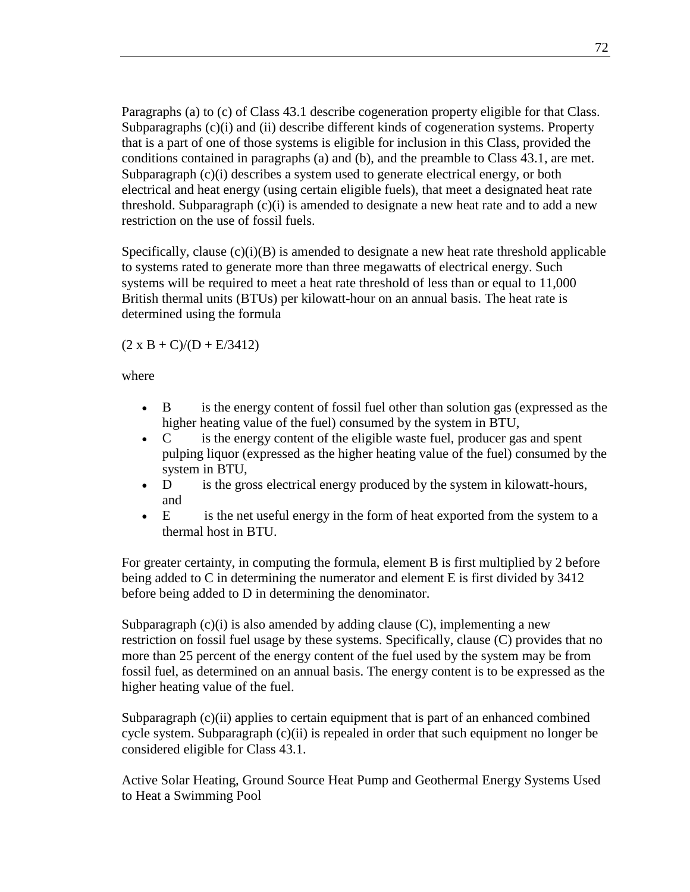Paragraphs (a) to (c) of Class 43.1 describe cogeneration property eligible for that Class. Subparagraphs (c)(i) and (ii) describe different kinds of cogeneration systems. Property that is a part of one of those systems is eligible for inclusion in this Class, provided the conditions contained in paragraphs (a) and (b), and the preamble to Class 43.1, are met. Subparagraph  $(c)(i)$  describes a system used to generate electrical energy, or both electrical and heat energy (using certain eligible fuels), that meet a designated heat rate threshold. Subparagraph  $(c)(i)$  is amended to designate a new heat rate and to add a new restriction on the use of fossil fuels.

Specifically, clause  $(c)(i)(B)$  is amended to designate a new heat rate threshold applicable to systems rated to generate more than three megawatts of electrical energy. Such systems will be required to meet a heat rate threshold of less than or equal to 11,000 British thermal units (BTUs) per kilowatt-hour on an annual basis. The heat rate is determined using the formula

 $(2 \times B + C)/(D + E/3412)$ 

where

- B is the energy content of fossil fuel other than solution gas (expressed as the higher heating value of the fuel) consumed by the system in BTU,
- C is the energy content of the eligible waste fuel, producer gas and spent pulping liquor (expressed as the higher heating value of the fuel) consumed by the system in BTU,
- D is the gross electrical energy produced by the system in kilowatt-hours, and
- E is the net useful energy in the form of heat exported from the system to a thermal host in BTU.

For greater certainty, in computing the formula, element B is first multiplied by 2 before being added to C in determining the numerator and element E is first divided by 3412 before being added to D in determining the denominator.

Subparagraph  $(c)(i)$  is also amended by adding clause  $(C)$ , implementing a new restriction on fossil fuel usage by these systems. Specifically, clause (C) provides that no more than 25 percent of the energy content of the fuel used by the system may be from fossil fuel, as determined on an annual basis. The energy content is to be expressed as the higher heating value of the fuel.

Subparagraph (c)(ii) applies to certain equipment that is part of an enhanced combined cycle system. Subparagraph (c)(ii) is repealed in order that such equipment no longer be considered eligible for Class 43.1.

Active Solar Heating, Ground Source Heat Pump and Geothermal Energy Systems Used to Heat a Swimming Pool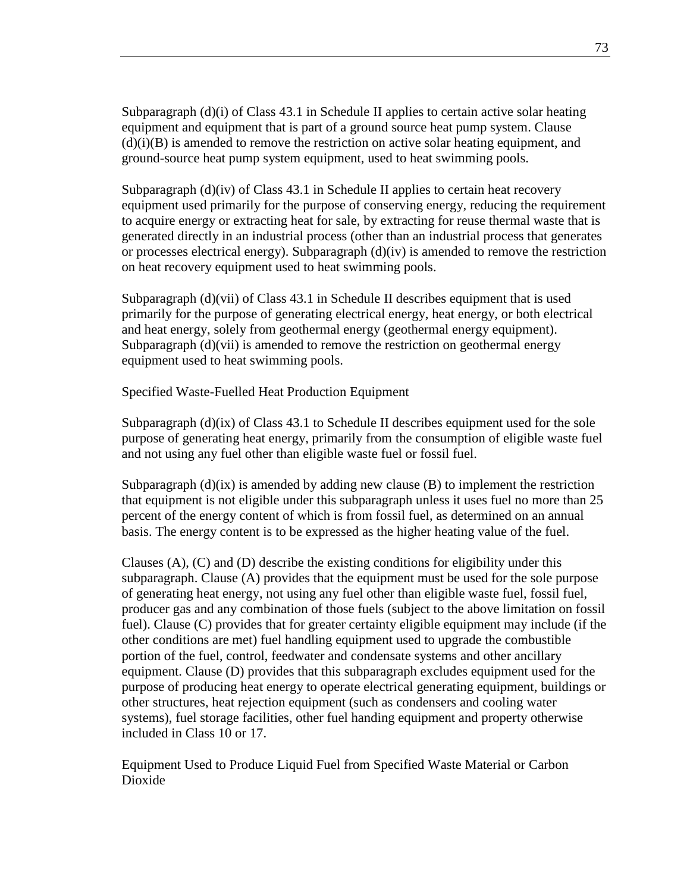Subparagraph  $(d)(i)$  of Class 43.1 in Schedule II applies to certain active solar heating equipment and equipment that is part of a ground source heat pump system. Clause  $(d)(i)(B)$  is amended to remove the restriction on active solar heating equipment, and ground-source heat pump system equipment, used to heat swimming pools.

Subparagraph (d)(iv) of Class 43.1 in Schedule II applies to certain heat recovery equipment used primarily for the purpose of conserving energy, reducing the requirement to acquire energy or extracting heat for sale, by extracting for reuse thermal waste that is generated directly in an industrial process (other than an industrial process that generates or processes electrical energy). Subparagraph  $(d)(iv)$  is amended to remove the restriction on heat recovery equipment used to heat swimming pools.

Subparagraph  $(d)(\n\tiii)$  of Class 43.1 in Schedule II describes equipment that is used primarily for the purpose of generating electrical energy, heat energy, or both electrical and heat energy, solely from geothermal energy (geothermal energy equipment). Subparagraph (d)(vii) is amended to remove the restriction on geothermal energy equipment used to heat swimming pools.

Specified Waste-Fuelled Heat Production Equipment

Subparagraph  $(d)(ix)$  of Class 43.1 to Schedule II describes equipment used for the sole purpose of generating heat energy, primarily from the consumption of eligible waste fuel and not using any fuel other than eligible waste fuel or fossil fuel.

Subparagraph  $(d)(ix)$  is amended by adding new clause  $(B)$  to implement the restriction that equipment is not eligible under this subparagraph unless it uses fuel no more than 25 percent of the energy content of which is from fossil fuel, as determined on an annual basis. The energy content is to be expressed as the higher heating value of the fuel.

Clauses  $(A)$ ,  $(C)$  and  $(D)$  describe the existing conditions for eligibility under this subparagraph. Clause (A) provides that the equipment must be used for the sole purpose of generating heat energy, not using any fuel other than eligible waste fuel, fossil fuel, producer gas and any combination of those fuels (subject to the above limitation on fossil fuel). Clause (C) provides that for greater certainty eligible equipment may include (if the other conditions are met) fuel handling equipment used to upgrade the combustible portion of the fuel, control, feedwater and condensate systems and other ancillary equipment. Clause (D) provides that this subparagraph excludes equipment used for the purpose of producing heat energy to operate electrical generating equipment, buildings or other structures, heat rejection equipment (such as condensers and cooling water systems), fuel storage facilities, other fuel handing equipment and property otherwise included in Class 10 or 17.

Equipment Used to Produce Liquid Fuel from Specified Waste Material or Carbon Dioxide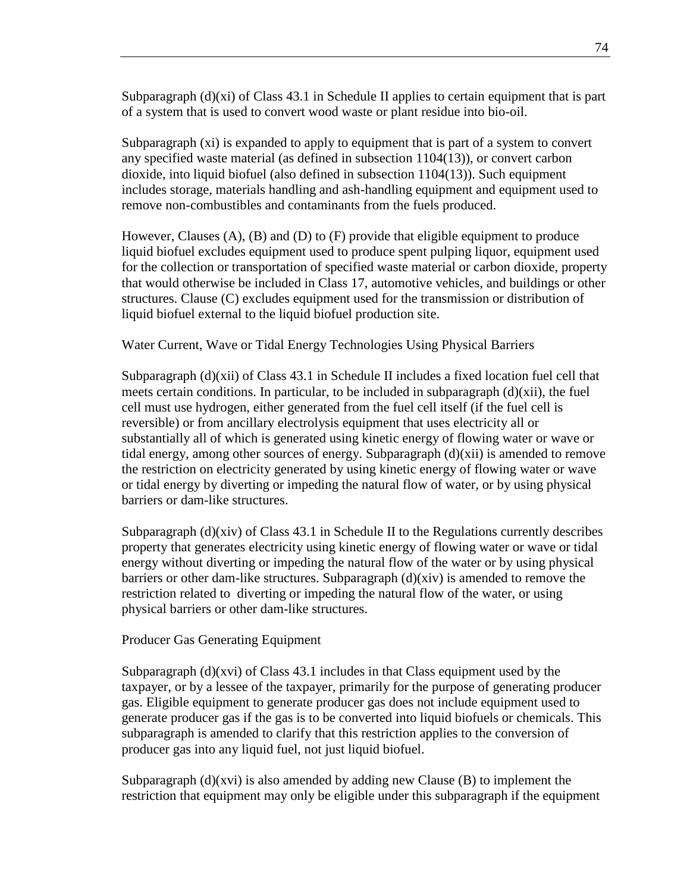Subparagraph  $(d)(xi)$  of Class 43.1 in Schedule II applies to certain equipment that is part of a system that is used to convert wood waste or plant residue into bio-oil.

Subparagraph (xi) is expanded to apply to equipment that is part of a system to convert any specified waste material (as defined in subsection 1104(13)), or convert carbon dioxide, into liquid biofuel (also defined in subsection 1104(13)). Such equipment includes storage, materials handling and ash-handling equipment and equipment used to remove non-combustibles and contaminants from the fuels produced.

However, Clauses (A), (B) and (D) to (F) provide that eligible equipment to produce liquid biofuel excludes equipment used to produce spent pulping liquor, equipment used for the collection or transportation of specified waste material or carbon dioxide, property that would otherwise be included in Class 17, automotive vehicles, and buildings or other structures. Clause (C) excludes equipment used for the transmission or distribution of liquid biofuel external to the liquid biofuel production site.

Water Current, Wave or Tidal Energy Technologies Using Physical Barriers

Subparagraph  $(d)(xii)$  of Class 43.1 in Schedule II includes a fixed location fuel cell that meets certain conditions. In particular, to be included in subparagraph  $(d)(xii)$ , the fuel cell must use hydrogen, either generated from the fuel cell itself (if the fuel cell is reversible) or from ancillary electrolysis equipment that uses electricity all or substantially all of which is generated using kinetic energy of flowing water or wave or tidal energy, among other sources of energy. Subparagraph (d)(xii) is amended to remove the restriction on electricity generated by using kinetic energy of flowing water or wave or tidal energy by diverting or impeding the natural flow of water, or by using physical barriers or dam-like structures.

Subparagraph  $(d)(xiv)$  of Class 43.1 in Schedule II to the Regulations currently describes property that generates electricity using kinetic energy of flowing water or wave or tidal energy without diverting or impeding the natural flow of the water or by using physical barriers or other dam-like structures. Subparagraph (d)(xiv) is amended to remove the restriction related to diverting or impeding the natural flow of the water, or using physical barriers or other dam-like structures.

Producer Gas Generating Equipment

Subparagraph (d)(xvi) of Class 43.1 includes in that Class equipment used by the taxpayer, or by a lessee of the taxpayer, primarily for the purpose of generating producer gas. Eligible equipment to generate producer gas does not include equipment used to generate producer gas if the gas is to be converted into liquid biofuels or chemicals. This subparagraph is amended to clarify that this restriction applies to the conversion of producer gas into any liquid fuel, not just liquid biofuel.

Subparagraph  $(d)(xvi)$  is also amended by adding new Clause  $(B)$  to implement the restriction that equipment may only be eligible under this subparagraph if the equipment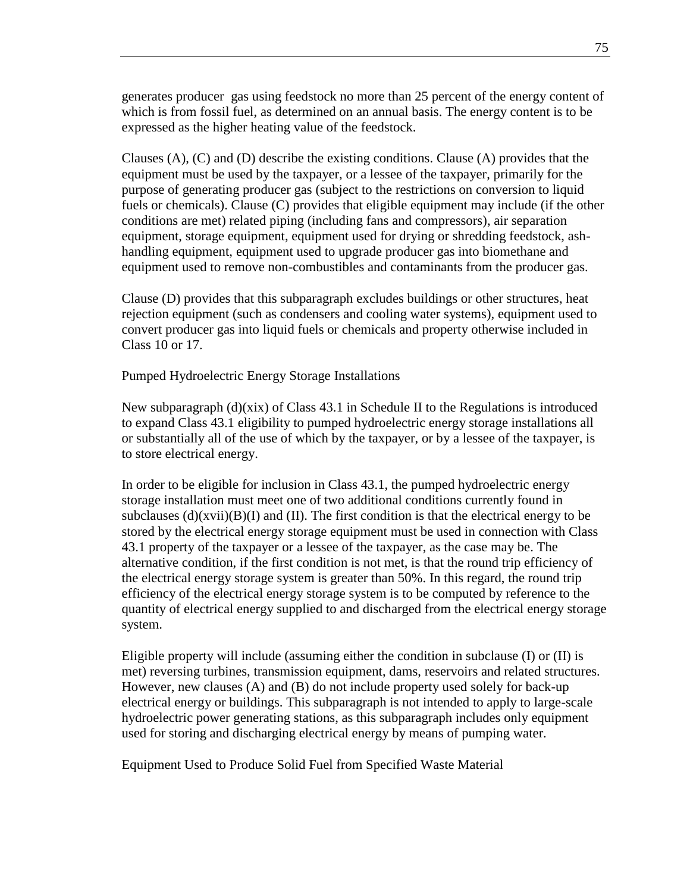generates producer gas using feedstock no more than 25 percent of the energy content of which is from fossil fuel, as determined on an annual basis. The energy content is to be expressed as the higher heating value of the feedstock.

Clauses  $(A)$ ,  $(C)$  and  $(D)$  describe the existing conditions. Clause  $(A)$  provides that the equipment must be used by the taxpayer, or a lessee of the taxpayer, primarily for the purpose of generating producer gas (subject to the restrictions on conversion to liquid fuels or chemicals). Clause (C) provides that eligible equipment may include (if the other conditions are met) related piping (including fans and compressors), air separation equipment, storage equipment, equipment used for drying or shredding feedstock, ashhandling equipment, equipment used to upgrade producer gas into biomethane and equipment used to remove non-combustibles and contaminants from the producer gas.

Clause (D) provides that this subparagraph excludes buildings or other structures, heat rejection equipment (such as condensers and cooling water systems), equipment used to convert producer gas into liquid fuels or chemicals and property otherwise included in Class 10 or 17.

Pumped Hydroelectric Energy Storage Installations

New subparagraph (d)(xix) of Class 43.1 in Schedule II to the Regulations is introduced to expand Class 43.1 eligibility to pumped hydroelectric energy storage installations all or substantially all of the use of which by the taxpayer, or by a lessee of the taxpayer, is to store electrical energy.

In order to be eligible for inclusion in Class 43.1, the pumped hydroelectric energy storage installation must meet one of two additional conditions currently found in subclauses  $(d)(xvi)(B)(I)$  and (II). The first condition is that the electrical energy to be stored by the electrical energy storage equipment must be used in connection with Class 43.1 property of the taxpayer or a lessee of the taxpayer, as the case may be. The alternative condition, if the first condition is not met, is that the round trip efficiency of the electrical energy storage system is greater than 50%. In this regard, the round trip efficiency of the electrical energy storage system is to be computed by reference to the quantity of electrical energy supplied to and discharged from the electrical energy storage system.

Eligible property will include (assuming either the condition in subclause (I) or (II) is met) reversing turbines, transmission equipment, dams, reservoirs and related structures. However, new clauses (A) and (B) do not include property used solely for back-up electrical energy or buildings. This subparagraph is not intended to apply to large-scale hydroelectric power generating stations, as this subparagraph includes only equipment used for storing and discharging electrical energy by means of pumping water.

Equipment Used to Produce Solid Fuel from Specified Waste Material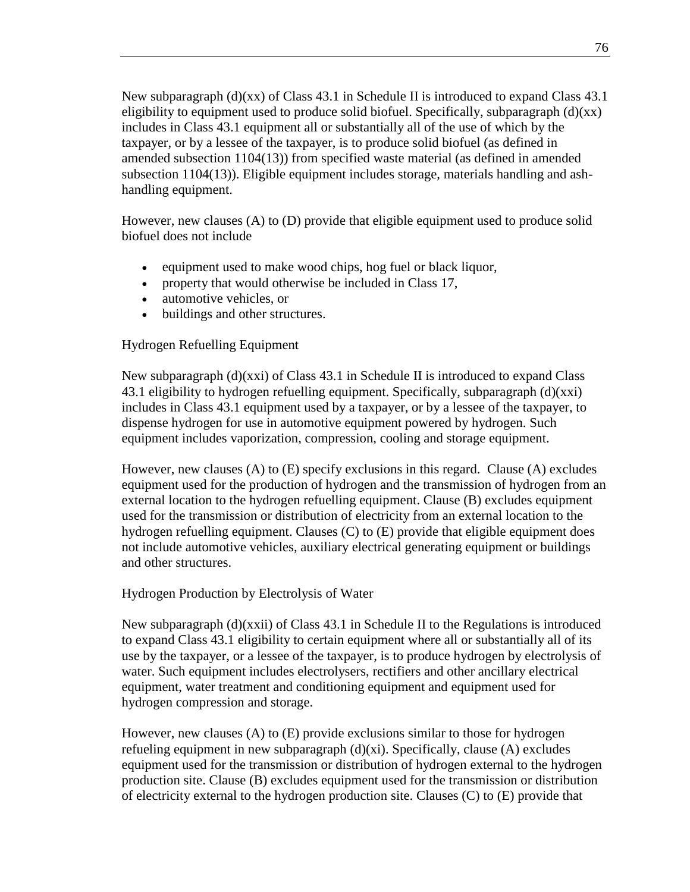New subparagraph  $(d)(xx)$  of Class 43.1 in Schedule II is introduced to expand Class 43.1 eligibility to equipment used to produce solid biofuel. Specifically, subparagraph  $(d)(xx)$ includes in Class 43.1 equipment all or substantially all of the use of which by the taxpayer, or by a lessee of the taxpayer, is to produce solid biofuel (as defined in amended subsection 1104(13)) from specified waste material (as defined in amended subsection 1104(13)). Eligible equipment includes storage, materials handling and ashhandling equipment.

However, new clauses (A) to (D) provide that eligible equipment used to produce solid biofuel does not include

- equipment used to make wood chips, hog fuel or black liquor,
- property that would otherwise be included in Class 17,
- automotive vehicles, or
- buildings and other structures.

## Hydrogen Refuelling Equipment

New subparagraph (d)(xxi) of Class 43.1 in Schedule II is introduced to expand Class 43.1 eligibility to hydrogen refuelling equipment. Specifically, subparagraph (d)(xxi) includes in Class 43.1 equipment used by a taxpayer, or by a lessee of the taxpayer, to dispense hydrogen for use in automotive equipment powered by hydrogen. Such equipment includes vaporization, compression, cooling and storage equipment.

However, new clauses (A) to (E) specify exclusions in this regard. Clause (A) excludes equipment used for the production of hydrogen and the transmission of hydrogen from an external location to the hydrogen refuelling equipment. Clause (B) excludes equipment used for the transmission or distribution of electricity from an external location to the hydrogen refuelling equipment. Clauses (C) to (E) provide that eligible equipment does not include automotive vehicles, auxiliary electrical generating equipment or buildings and other structures.

## Hydrogen Production by Electrolysis of Water

New subparagraph (d)(xxii) of Class 43.1 in Schedule II to the Regulations is introduced to expand Class 43.1 eligibility to certain equipment where all or substantially all of its use by the taxpayer, or a lessee of the taxpayer, is to produce hydrogen by electrolysis of water. Such equipment includes electrolysers, rectifiers and other ancillary electrical equipment, water treatment and conditioning equipment and equipment used for hydrogen compression and storage.

However, new clauses (A) to (E) provide exclusions similar to those for hydrogen refueling equipment in new subparagraph (d)(xi). Specifically, clause (A) excludes equipment used for the transmission or distribution of hydrogen external to the hydrogen production site. Clause (B) excludes equipment used for the transmission or distribution of electricity external to the hydrogen production site. Clauses  $(C)$  to  $(E)$  provide that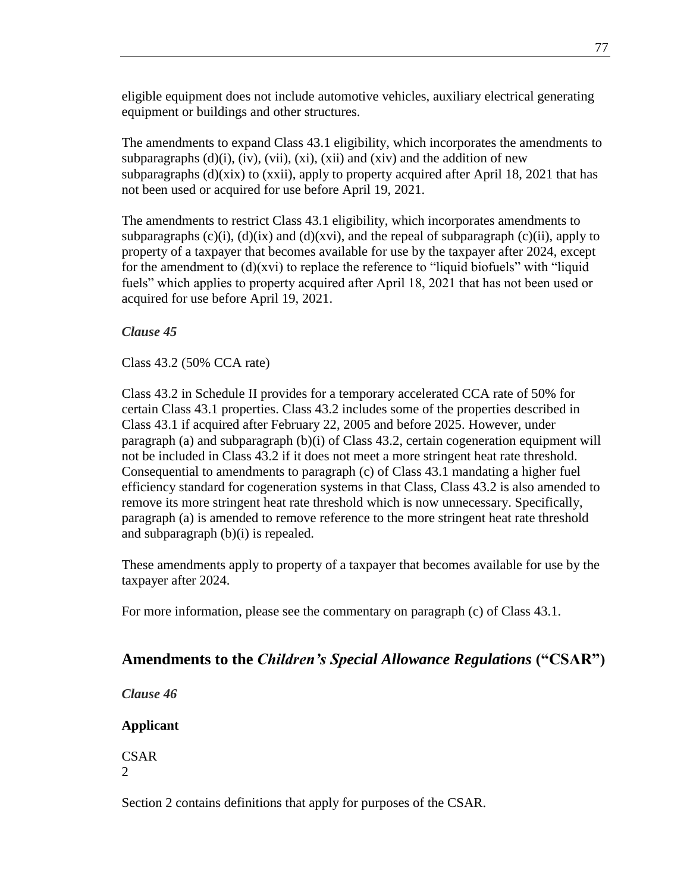eligible equipment does not include automotive vehicles, auxiliary electrical generating equipment or buildings and other structures.

The amendments to expand Class 43.1 eligibility, which incorporates the amendments to subparagraphs  $(d)(i)$ ,  $(iv)$ ,  $(vii)$ ,  $(xi)$ ,  $(xii)$  and  $(xiv)$  and the addition of new subparagraphs  $(d)(\overline{x})$  to  $(\overline{x})$ , apply to property acquired after April 18, 2021 that has not been used or acquired for use before April 19, 2021.

The amendments to restrict Class 43.1 eligibility, which incorporates amendments to subparagraphs  $(c)(i)$ ,  $(d)(ix)$  and  $(d)(x)(i)$ , and the repeal of subparagraph  $(c)(ii)$ , apply to property of a taxpayer that becomes available for use by the taxpayer after 2024, except for the amendment to (d)(xvi) to replace the reference to "liquid biofuels" with "liquid fuels" which applies to property acquired after April 18, 2021 that has not been used or acquired for use before April 19, 2021.

## *Clause 45*

Class 43.2 (50% CCA rate)

Class 43.2 in Schedule II provides for a temporary accelerated CCA rate of 50% for certain Class 43.1 properties. Class 43.2 includes some of the properties described in Class 43.1 if acquired after February 22, 2005 and before 2025. However, under paragraph (a) and subparagraph (b)(i) of Class 43.2, certain cogeneration equipment will not be included in Class 43.2 if it does not meet a more stringent heat rate threshold. Consequential to amendments to paragraph (c) of Class 43.1 mandating a higher fuel efficiency standard for cogeneration systems in that Class, Class 43.2 is also amended to remove its more stringent heat rate threshold which is now unnecessary. Specifically, paragraph (a) is amended to remove reference to the more stringent heat rate threshold and subparagraph (b)(i) is repealed.

These amendments apply to property of a taxpayer that becomes available for use by the taxpayer after 2024.

For more information, please see the commentary on paragraph (c) of Class 43.1.

## **Amendments to the** *Children's Special Allowance Regulations* **("CSAR")**

*Clause 46*

**Applicant**

CSAR 2

Section 2 contains definitions that apply for purposes of the CSAR.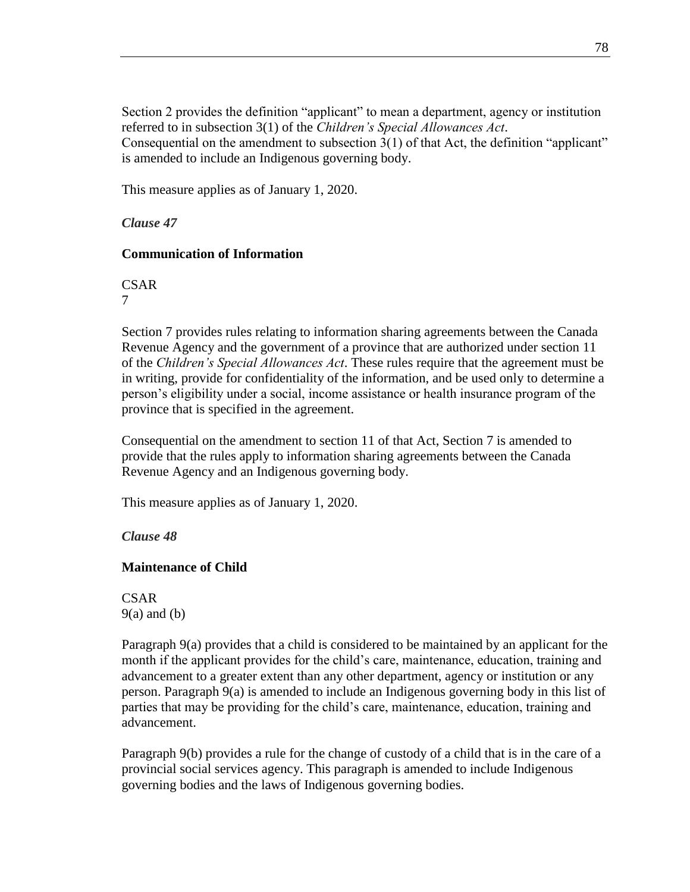Section 2 provides the definition "applicant" to mean a department, agency or institution referred to in subsection 3(1) of the *Children's Special Allowances Act*. Consequential on the amendment to subsection 3(1) of that Act, the definition "applicant" is amended to include an Indigenous governing body.

This measure applies as of January 1, 2020.

*Clause 47*

## **Communication of Information**

CSAR

7

Section 7 provides rules relating to information sharing agreements between the Canada Revenue Agency and the government of a province that are authorized under section 11 of the *Children's Special Allowances Act*. These rules require that the agreement must be in writing, provide for confidentiality of the information, and be used only to determine a person's eligibility under a social, income assistance or health insurance program of the province that is specified in the agreement.

Consequential on the amendment to section 11 of that Act, Section 7 is amended to provide that the rules apply to information sharing agreements between the Canada Revenue Agency and an Indigenous governing body.

This measure applies as of January 1, 2020.

*Clause 48*

## **Maintenance of Child**

**CSAR**  $9(a)$  and  $(b)$ 

Paragraph 9(a) provides that a child is considered to be maintained by an applicant for the month if the applicant provides for the child's care, maintenance, education, training and advancement to a greater extent than any other department, agency or institution or any person. Paragraph 9(a) is amended to include an Indigenous governing body in this list of parties that may be providing for the child's care, maintenance, education, training and advancement.

Paragraph 9(b) provides a rule for the change of custody of a child that is in the care of a provincial social services agency. This paragraph is amended to include Indigenous governing bodies and the laws of Indigenous governing bodies.